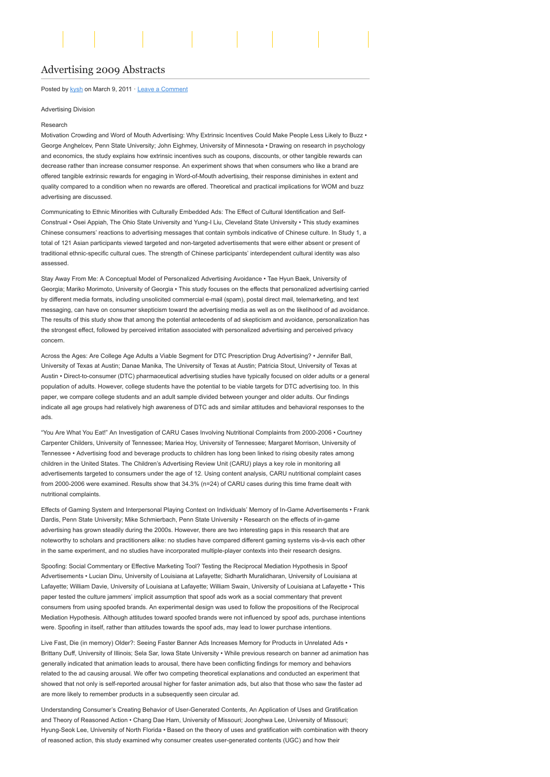# [Advertising 2009 Abstracts](http://www.aejmc.org/home/2011/03/adv-2009-abstracts/)

# Posted by [kysh](http://www.aejmc.org/home/author/kyshiab/) on March 9, 2011 · [Leave a Comment](http://www.aejmc.org/home/2011/03/adv-2009-abstracts/#respond)

### Advertising Division

#### Research

Motivation Crowding and Word of Mouth Advertising: Why Extrinsic Incentives Could Make People Less Likely to Buzz • George Anghelcev, Penn State University; John Eighmey, University of Minnesota • Drawing on research in psychology and economics, the study explains how extrinsic incentives such as coupons, discounts, or other tangible rewards can decrease rather than increase consumer response. An experiment shows that when consumers who like a brand are offered tangible extrinsic rewards for engaging in Word-of-Mouth advertising, their response diminishes in extent and quality compared to a condition when no rewards are offered. Theoretical and practical implications for WOM and buzz advertising are discussed.

Communicating to Ethnic Minorities with Culturally Embedded Ads: The Effect of Cultural Identification and Self-Construal • Osei Appiah, The Ohio State University and Yung-I Liu, Cleveland State University • This study examines Chinese consumers' reactions to advertising messages that contain symbols indicative of Chinese culture. In Study 1, a total of 121 Asian participants viewed targeted and non-targeted advertisements that were either absent or present of traditional ethnic-specific cultural cues. The strength of Chinese participants' interdependent cultural identity was also assessed.

Stay Away From Me: A Conceptual Model of Personalized Advertising Avoidance • Tae Hyun Baek, University of Georgia; Mariko Morimoto, University of Georgia • This study focuses on the effects that personalized advertising carried by different media formats, including unsolicited commercial e-mail (spam), postal direct mail, telemarketing, and text messaging, can have on consumer skepticism toward the advertising media as well as on the likelihood of ad avoidance. The results of this study show that among the potential antecedents of ad skepticism and avoidance, personalization has the strongest effect, followed by perceived irritation associated with personalized advertising and perceived privacy concern.

Across the Ages: Are College Age Adults a Viable Segment for DTC Prescription Drug Advertising? • Jennifer Ball University of Texas at Austin; Danae Manika, The University of Texas at Austin; Patricia Stout, University of Texas at Austin • Direct-to-consumer (DTC) pharmaceutical advertising studies have typically focused on older adults or a general population of adults. However, college students have the potential to be viable targets for DTC advertising too. In this paper, we compare college students and an adult sample divided between younger and older adults. Our findings indicate all age groups had relatively high awareness of DTC ads and similar attitudes and behavioral responses to the ads.

"You Are What You Eat!" An Investigation of CARU Cases Involving Nutritional Complaints from 2000-2006 • Courtney Carpenter Childers, University of Tennessee; Mariea Hoy, University of Tennessee; Margaret Morrison, University of Tennessee • Advertising food and beverage products to children has long been linked to rising obesity rates among children in the United States. The Children's Advertising Review Unit (CARU) plays a key role in monitoring all advertisements targeted to consumers under the age of 12. Using content analysis, CARU nutritional complaint cases from 2000-2006 were examined. Results show that 34.3% (n=24) of CARU cases during this time frame dealt with nutritional complaints.

Effects of Gaming System and Interpersonal Playing Context on Individuals' Memory of In-Game Advertisements • Frank Dardis, Penn State University; Mike Schmierbach, Penn State University • Research on the effects of in-game advertising has grown steadily during the 2000s. However, there are two interesting gaps in this research that are noteworthy to scholars and practitioners alike: no studies have compared different gaming systems vis-à-vis each other in the same experiment, and no studies have incorporated multiple-player contexts into their research designs.

Spoofing: Social Commentary or Effective Marketing Tool? Testing the Reciprocal Mediation Hypothesis in Spoof Advertisements • Lucian Dinu, University of Louisiana at Lafayette; Sidharth Muralidharan, University of Louisiana at Lafayette; William Davie, University of Louisiana at Lafayette; William Swain, University of Louisiana at Lafayette • This paper tested the culture jammers' implicit assumption that spoof ads work as a social commentary that prevent consumers from using spoofed brands. An experimental design was used to follow the propositions of the Reciprocal Mediation Hypothesis. Although attitudes toward spoofed brands were not influenced by spoof ads, purchase intentions were. Spoofing in itself, rather than attitudes towards the spoof ads, may lead to lower purchase intentions.

Live Fast, Die (in memory) Older?: Seeing Faster Banner Ads Increases Memory for Products in Unrelated Ads • Brittany Duff, University of Illinois; Sela Sar, Iowa State University • While previous research on banner ad animation has generally indicated that animation leads to arousal, there have been conflicting findings for memory and behaviors related to the ad causing arousal. We offer two competing theoretical explanations and conducted an experiment that showed that not only is self-reported arousal higher for faster animation ads, but also that those who saw the faster ad are more likely to remember products in a subsequently seen circular ad.

Understanding Consumer's Creating Behavior of User-Generated Contents, An Application of Uses and Gratification and Theory of Reasoned Action • Chang Dae Ham, University of Missouri; Joonghwa Lee, University of Missouri; Hyung-Seok Lee, University of North Florida • Based on the theory of uses and gratification with combination with theory of reasoned action, this study examined why consumer creates user-generated contents (UGC) and how their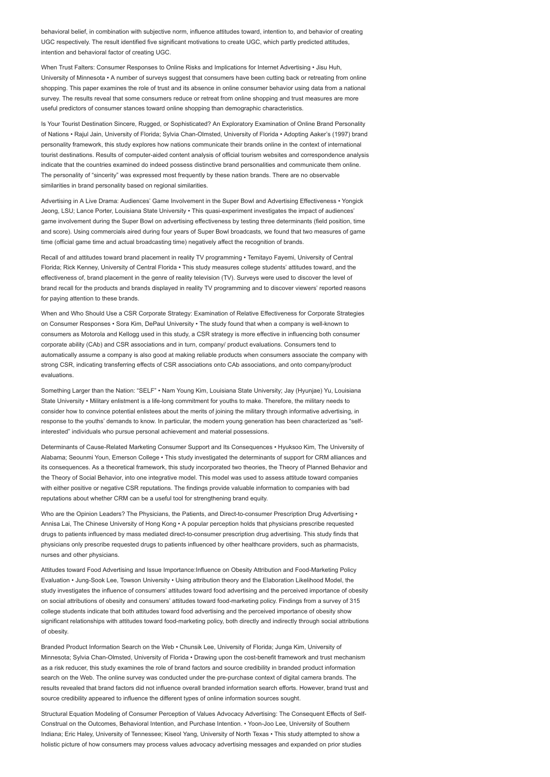behavioral belief, in combination with subjective norm, influence attitudes toward, intention to, and behavior of creating UGC respectively. The result identified five significant motivations to create UGC, which partly predicted attitudes, intention and behavioral factor of creating UGC.

When Trust Falters: Consumer Responses to Online Risks and Implications for Internet Advertising • Jisu Huh, University of Minnesota • A number of surveys suggest that consumers have been cutting back or retreating from online shopping. This paper examines the role of trust and its absence in online consumer behavior using data from a national survey. The results reveal that some consumers reduce or retreat from online shopping and trust measures are more useful predictors of consumer stances toward online shopping than demographic characteristics.

Is Your Tourist Destination Sincere, Rugged, or Sophisticated? An Exploratory Examination of Online Brand Personality of Nations • Rajul Jain, University of Florida; Sylvia Chan-Olmsted, University of Florida • Adopting Aaker's (1997) brand personality framework, this study explores how nations communicate their brands online in the context of international tourist destinations. Results of computer-aided content analysis of official tourism websites and correspondence analysis indicate that the countries examined do indeed possess distinctive brand personalities and communicate them online. The personality of "sincerity" was expressed most frequently by these nation brands. There are no observable similarities in brand personality based on regional similarities.

Advertising in A Live Drama: Audiences' Game Involvement in the Super Bowl and Advertising Effectiveness • Yongick Jeong, LSU; Lance Porter, Louisiana State University • This quasi-experiment investigates the impact of audiences' game involvement during the Super Bowl on advertising effectiveness by testing three determinants (field position, time and score). Using commercials aired during four years of Super Bowl broadcasts, we found that two measures of game time (official game time and actual broadcasting time) negatively affect the recognition of brands.

Recall of and attitudes toward brand placement in reality TV programming • Temitayo Fayemi, University of Central Florida; Rick Kenney, University of Central Florida • This study measures college students' attitudes toward, and the effectiveness of, brand placement in the genre of reality television (TV). Surveys were used to discover the level of brand recall for the products and brands displayed in reality TV programming and to discover viewers' reported reasons for paying attention to these brands.

When and Who Should Use a CSR Corporate Strategy: Examination of Relative Effectiveness for Corporate Strategies on Consumer Responses • Sora Kim, DePaul University • The study found that when a company is well-known to consumers as Motorola and Kellogg used in this study, a CSR strategy is more effective in influencing both consumer corporate ability (CAb) and CSR associations and in turn, company/ product evaluations. Consumers tend to automatically assume a company is also good at making reliable products when consumers associate the company with strong CSR, indicating transferring effects of CSR associations onto CAb associations, and onto company/product evaluations.

Something Larger than the Nation: "SELF" • Nam Young Kim, Louisiana State University; Jay (Hyunjae) Yu, Louisiana State University • Military enlistment is a life-long commitment for youths to make. Therefore, the military needs to consider how to convince potential enlistees about the merits of joining the military through informative advertising, in response to the youths' demands to know. In particular, the modern young generation has been characterized as "selfinterested" individuals who pursue personal achievement and material possessions.

Determinants of Cause-Related Marketing Consumer Support and Its Consequences • Hyuksoo Kim, The University of Alabama; Seounmi Youn, Emerson College • This study investigated the determinants of support for CRM alliances and its consequences. As a theoretical framework, this study incorporated two theories, the Theory of Planned Behavior and the Theory of Social Behavior, into one integrative model. This model was used to assess attitude toward companies with either positive or negative CSR reputations. The findings provide valuable information to companies with bad reputations about whether CRM can be a useful tool for strengthening brand equity.

Who are the Opinion Leaders? The Physicians, the Patients, and Direct-to-consumer Prescription Drug Advertising • Annisa Lai, The Chinese University of Hong Kong • A popular perception holds that physicians prescribe requested drugs to patients influenced by mass mediated direct-to-consumer prescription drug advertising. This study finds that physicians only prescribe requested drugs to patients influenced by other healthcare providers, such as pharmacists, nurses and other physicians.

Attitudes toward Food Advertising and Issue Importance:Influence on Obesity Attribution and Food-Marketing Policy Evaluation • Jung-Sook Lee, Towson University • Using attribution theory and the Elaboration Likelihood Model, the study investigates the influence of consumers' attitudes toward food advertising and the perceived importance of obesity on social attributions of obesity and consumers' attitudes toward food-marketing policy. Findings from a survey of 315 college students indicate that both attitudes toward food advertising and the perceived importance of obesity show significant relationships with attitudes toward food-marketing policy, both directly and indirectly through social attributions of obesity.

Branded Product Information Search on the Web • Chunsik Lee, University of Florida; Junga Kim, University of Minnesota; Sylvia Chan-Olmsted, University of Florida • Drawing upon the cost-benefit framework and trust mechanism as a risk reducer, this study examines the role of brand factors and source credibility in branded product information search on the Web. The online survey was conducted under the pre-purchase context of digital camera brands. The results revealed that brand factors did not influence overall branded information search efforts. However, brand trust and source credibility appeared to influence the different types of online information sources sought.

Structural Equation Modeling of Consumer Perception of Values Advocacy Advertising: The Consequent Effects of Self-Construal on the Outcomes, Behavioral Intention, and Purchase Intention. • Yoon-Joo Lee, University of Southern Indiana; Eric Haley, University of Tennessee; Kiseol Yang, University of North Texas • This study attempted to show a holistic picture of how consumers may process values advocacy advertising messages and expanded on prior studies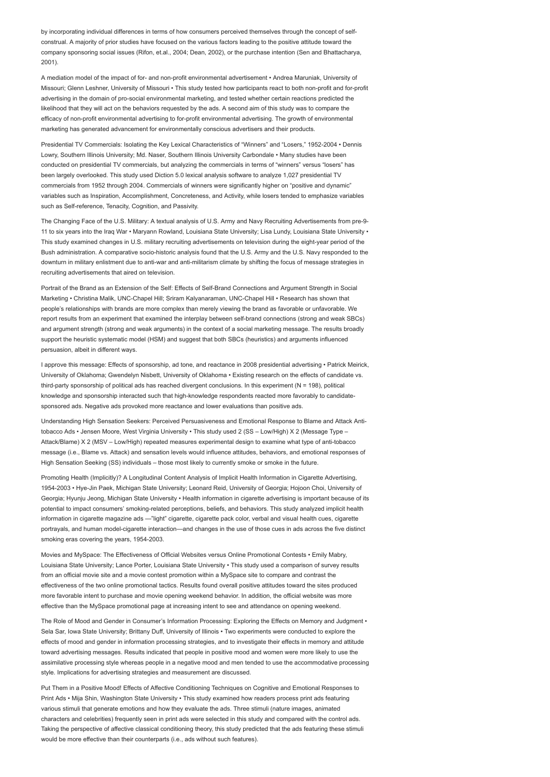by incorporating individual differences in terms of how consumers perceived themselves through the concept of selfconstrual. A majority of prior studies have focused on the various factors leading to the positive attitude toward the company sponsoring social issues (Rifon, et.al., 2004; Dean, 2002), or the purchase intention (Sen and Bhattacharya, 2001).

A mediation model of the impact of for- and non-profit environmental advertisement • Andrea Maruniak, University of Missouri; Glenn Leshner, University of Missouri • This study tested how participants react to both non-profit and for-profit advertising in the domain of pro-social environmental marketing, and tested whether certain reactions predicted the likelihood that they will act on the behaviors requested by the ads. A second aim of this study was to compare the efficacy of non-profit environmental advertising to for-profit environmental advertising. The growth of environmental marketing has generated advancement for environmentally conscious advertisers and their products.

Presidential TV Commercials: Isolating the Key Lexical Characteristics of "Winners" and "Losers," 1952-2004 • Dennis Lowry, Southern Illinois University; Md. Naser, Southern Illinois University Carbondale • Many studies have been conducted on presidential TV commercials, but analyzing the commercials in terms of "winners" versus "losers" has been largely overlooked. This study used Diction 5.0 lexical analysis software to analyze 1,027 presidential TV commercials from 1952 through 2004. Commercials of winners were significantly higher on "positive and dynamic" variables such as Inspiration, Accomplishment, Concreteness, and Activity, while losers tended to emphasize variables such as Self-reference, Tenacity, Cognition, and Passivity.

The Changing Face of the U.S. Military: A textual analysis of U.S. Army and Navy Recruiting Advertisements from pre-9- 11 to six years into the Iraq War • Maryann Rowland, Louisiana State University; Lisa Lundy, Louisiana State University • This study examined changes in U.S. military recruiting advertisements on television during the eight-year period of the Bush administration. A comparative socio-historic analysis found that the U.S. Army and the U.S. Navy responded to the downturn in military enlistment due to anti-war and anti-militarism climate by shifting the focus of message strategies in recruiting advertisements that aired on television.

Portrait of the Brand as an Extension of the Self: Effects of Self-Brand Connections and Argument Strength in Social Marketing • Christina Malik, UNC-Chapel Hill; Sriram Kalyanaraman, UNC-Chapel Hill • Research has shown that people's relationships with brands are more complex than merely viewing the brand as favorable or unfavorable. We report results from an experiment that examined the interplay between self-brand connections (strong and weak SBCs) and argument strength (strong and weak arguments) in the context of a social marketing message. The results broadly support the heuristic systematic model (HSM) and suggest that both SBCs (heuristics) and arguments influenced persuasion, albeit in different ways.

I approve this message: Effects of sponsorship, ad tone, and reactance in 2008 presidential advertising • Patrick Meirick, University of Oklahoma; Gwendelyn Nisbett, University of Oklahoma • Existing research on the effects of candidate vs. third-party sponsorship of political ads has reached divergent conclusions. In this experiment  $(N = 198)$ , political knowledge and sponsorship interacted such that high-knowledge respondents reacted more favorably to candidatesponsored ads. Negative ads provoked more reactance and lower evaluations than positive ads.

Understanding High Sensation Seekers: Perceived Persuasiveness and Emotional Response to Blame and Attack Antitobacco Ads • Jensen Moore, West Virginia University • This study used 2 (SS – Low/High) X 2 (Message Type – Attack/Blame) X 2 (MSV – Low/High) repeated measures experimental design to examine what type of anti-tobacco message (i.e., Blame vs. Attack) and sensation levels would influence attitudes, behaviors, and emotional responses of High Sensation Seeking (SS) individuals – those most likely to currently smoke or smoke in the future.

Promoting Health (Implicitly)? A Longitudinal Content Analysis of Implicit Health Information in Cigarette Advertising, 1954-2003 • Hye-Jin Paek, Michigan State University; Leonard Reid, University of Georgia; Hojoon Choi, University of Georgia; Hyunju Jeong, Michigan State University • Health information in cigarette advertising is important because of its potential to impact consumers' smoking-related perceptions, beliefs, and behaviors. This study analyzed implicit health information in cigarette magazine ads —"light" cigarette, cigarette pack color, verbal and visual health cues, cigarette portrayals, and human model-cigarette interaction—and changes in the use of those cues in ads across the five distinct smoking eras covering the years, 1954-2003.

Movies and MySpace: The Effectiveness of Official Websites versus Online Promotional Contests • Emily Mabry, Louisiana State University; Lance Porter, Louisiana State University • This study used a comparison of survey results from an official movie site and a movie contest promotion within a MySpace site to compare and contrast the effectiveness of the two online promotional tactics. Results found overall positive attitudes toward the sites produced more favorable intent to purchase and movie opening weekend behavior. In addition, the official website was more effective than the MySpace promotional page at increasing intent to see and attendance on opening weekend.

The Role of Mood and Gender in Consumer's Information Processing: Exploring the Effects on Memory and Judgment • Sela Sar, Iowa State University; Brittany Duff, University of Illinois • Two experiments were conducted to explore the effects of mood and gender in information processing strategies, and to investigate their effects in memory and attitude toward advertising messages. Results indicated that people in positive mood and women were more likely to use the assimilative processing style whereas people in a negative mood and men tended to use the accommodative processing style. Implications for advertising strategies and measurement are discussed.

Put Them in a Positive Mood! Effects of Affective Conditioning Techniques on Cognitive and Emotional Responses to Print Ads • Mija Shin, Washington State University • This study examined how readers process print ads featuring various stimuli that generate emotions and how they evaluate the ads. Three stimuli (nature images, animated characters and celebrities) frequently seen in print ads were selected in this study and compared with the control ads. Taking the perspective of affective classical conditioning theory, this study predicted that the ads featuring these stimuli would be more effective than their counterparts (i.e., ads without such features).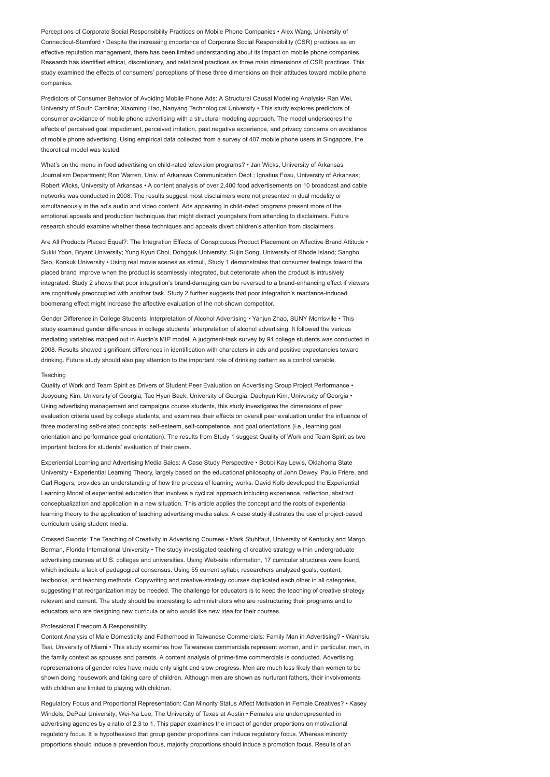Perceptions of Corporate Social Responsibility Practices on Mobile Phone Companies • Alex Wang, University of Connecticut-Stamford • Despite the increasing importance of Corporate Social Responsibility (CSR) practices as an effective reputation management, there has been limited understanding about its impact on mobile phone companies. Research has identified ethical, discretionary, and relational practices as three main dimensions of CSR practices. This study examined the effects of consumers' perceptions of these three dimensions on their attitudes toward mobile phone companies.

Predictors of Consumer Behavior of Avoiding Mobile Phone Ads: A Structural Causal Modeling Analysis• Ran Wei, University of South Carolina; Xiaoming Hao, Nanyang Technological University • This study explores predictors of consumer avoidance of mobile phone advertising with a structural modeling approach. The model underscores the effects of perceived goal impediment, perceived irritation, past negative experience, and privacy concerns on avoidance of mobile phone advertising. Using empirical data collected from a survey of 407 mobile phone users in Singapore, the theoretical model was tested.

What's on the menu in food advertising on child-rated television programs? • Jan Wicks, University of Arkansas Journalism Department; Ron Warren, Univ. of Arkansas Communication Dept.; Ignatius Fosu, University of Arkansas; Robert Wicks, University of Arkansas • A content analysis of over 2,400 food advertisements on 10 broadcast and cable networks was conducted in 2008. The results suggest most disclaimers were not presented in dual modality or simultaneously in the ad's audio and video content. Ads appearing in child-rated programs present more of the emotional appeals and production techniques that might distract youngsters from attending to disclaimers. Future research should examine whether these techniques and appeals divert children's attention from disclaimers.

Are All Products Placed Equal?: The Integration Effects of Conspicuous Product Placement on Affective Brand Attitude • Sukki Yoon, Bryant University; Yung Kyun Choi, Dongguk University; Sujin Song, University of Rhode Island; Sangho Seo, Konkuk University • Using real movie scenes as stimuli, Study 1 demonstrates that consumer feelings toward the placed brand improve when the product is seamlessly integrated, but deteriorate when the product is intrusively integrated. Study 2 shows that poor integration's brand-damaging can be reversed to a brand-enhancing effect if viewers are cognitively preoccupied with another task. Study 2 further suggests that poor integration's reactance-induced boomerang effect might increase the affective evaluation of the not-shown competitor.

Gender Difference in College Students' Interpretation of Alcohol Advertising • Yanjun Zhao, SUNY Morrisville • This study examined gender differences in college students' interpretation of alcohol advertising. It followed the various mediating variables mapped out in Austin's MIP model. A judgment-task survey by 94 college students was conducted in 2008. Results showed significant differences in identification with characters in ads and positive expectancies toward drinking. Future study should also pay attention to the important role of drinking pattern as a control variable.

# Teaching

Quality of Work and Team Spirit as Drivers of Student Peer Evaluation on Advertising Group Project Performance • Jooyoung Kim, University of Georgia; Tae Hyun Baek, University of Georgia; Daehyun Kim, University of Georgia • Using advertising management and campaigns course students, this study investigates the dimensions of peer evaluation criteria used by college students, and examines their effects on overall peer evaluation under the influence of three moderating self-related concepts: self-esteem, self-competence, and goal orientations (i.e., learning goal orientation and performance goal orientation). The results from Study 1 suggest Quality of Work and Team Spirit as two important factors for students' evaluation of their peers.

Experiential Learning and Advertising Media Sales: A Case Study Perspective • Bobbi Kay Lewis, Oklahoma State University • Experiential Learning Theory, largely based on the educational philosophy of John Dewey, Paulo Friere, and Carl Rogers, provides an understanding of how the process of learning works. David Kolb developed the Experiential Learning Model of experiential education that involves a cyclical approach including experience, reflection, abstract conceptualization and application in a new situation. This article applies the concept and the roots of experiential learning theory to the application of teaching advertising media sales. A case study illustrates the use of project-based curriculum using student media.

Crossed Swords: The Teaching of Creativity in Advertising Courses • Mark Stuhlfaut, University of Kentucky and Margo Berman, Florida International University • The study investigated teaching of creative strategy within undergraduate advertising courses at U.S. colleges and universities. Using Web-site information, 17 curricular structures were found, which indicate a lack of pedagogical consensus. Using 55 current syllabi, researchers analyzed goals, content, textbooks, and teaching methods. Copywriting and creative-strategy courses duplicated each other in all categories, suggesting that reorganization may be needed. The challenge for educators is to keep the teaching of creative strategy relevant and current. The study should be interesting to administrators who are restructuring their programs and to educators who are designing new curricula or who would like new idea for their courses.

#### Professional Freedom & Responsibility

Content Analysis of Male Domesticity and Fatherhood in Taiwanese Commercials: Family Man in Advertising? • Wanhsiu Tsai, University of Miami • This study examines how Taiwanese commercials represent women, and in particular, men, in the family context as spouses and parents. A content analysis of prime-time commercials is conducted. Advertising representations of gender roles have made only slight and slow progress. Men are much less likely than women to be shown doing housework and taking care of children. Although men are shown as nurturant fathers, their involvements with children are limited to playing with children.

Regulatory Focus and Proportional Representation: Can Minority Status Affect Motivation in Female Creatives? • Kasey Windels, DePaul University; Wei-Na Lee, The University of Texas at Austin • Females are underrepresented in advertising agencies by a ratio of 2.3 to 1. This paper examines the impact of gender proportions on motivational regulatory focus. It is hypothesized that group gender proportions can induce regulatory focus. Whereas minority proportions should induce a prevention focus, majority proportions should induce a promotion focus. Results of an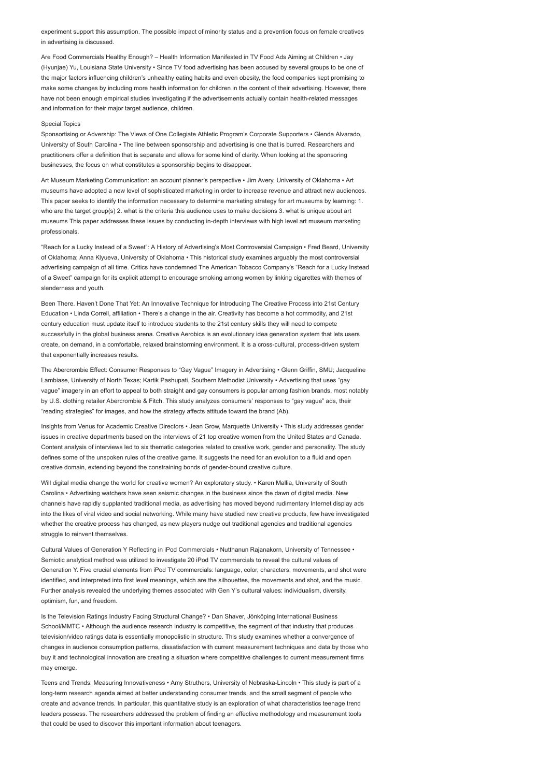experiment support this assumption. The possible impact of minority status and a prevention focus on female creatives in advertising is discussed.

Are Food Commercials Healthy Enough? – Health Information Manifested in TV Food Ads Aiming at Children • Jay (Hyunjae) Yu, Louisiana State University • Since TV food advertising has been accused by several groups to be one of the major factors influencing children's unhealthy eating habits and even obesity, the food companies kept promising to make some changes by including more health information for children in the content of their advertising. However, there have not been enough empirical studies investigating if the advertisements actually contain health-related messages and information for their major target audience, children.

#### Special Topics

Sponsortising or Advership: The Views of One Collegiate Athletic Program's Corporate Supporters • Glenda Alvarado, University of South Carolina • The line between sponsorship and advertising is one that is burred. Researchers and practitioners offer a definition that is separate and allows for some kind of clarity. When looking at the sponsoring businesses, the focus on what constitutes a sponsorship begins to disappear.

Art Museum Marketing Communication: an account planner's perspective • Jim Avery, University of Oklahoma • Art museums have adopted a new level of sophisticated marketing in order to increase revenue and attract new audiences. This paper seeks to identify the information necessary to determine marketing strategy for art museums by learning: 1. who are the target group(s) 2. what is the criteria this audience uses to make decisions 3. what is unique about art museums This paper addresses these issues by conducting in-depth interviews with high level art museum marketing professionals.

"Reach for a Lucky Instead of a Sweet": A History of Advertising's Most Controversial Campaign • Fred Beard, University of Oklahoma; Anna Klyueva, University of Oklahoma • This historical study examines arguably the most controversial advertising campaign of all time. Critics have condemned The American Tobacco Company's "Reach for a Lucky Instead of a Sweet" campaign for its explicit attempt to encourage smoking among women by linking cigarettes with themes of slenderness and youth.

Been There. Haven't Done That Yet: An Innovative Technique for Introducing The Creative Process into 21st Century Education • Linda Correll, affiliation • There's a change in the air. Creativity has become a hot commodity, and 21st century education must update itself to introduce students to the 21st century skills they will need to compete successfully in the global business arena. Creative Aerobics is an evolutionary idea generation system that lets users create, on demand, in a comfortable, relaxed brainstorming environment. It is a cross-cultural, process-driven system that exponentially increases results.

The Abercrombie Effect: Consumer Responses to "Gay Vague" Imagery in Advertising • Glenn Griffin, SMU; Jacqueline Lambiase, University of North Texas; Kartik Pashupati, Southern Methodist University • Advertising that uses "gay vague" imagery in an effort to appeal to both straight and gay consumers is popular among fashion brands, most notably by U.S. clothing retailer Abercrombie & Fitch. This study analyzes consumers' responses to "gay vague" ads, their "reading strategies" for images, and how the strategy affects attitude toward the brand (Ab).

Insights from Venus for Academic Creative Directors • Jean Grow, Marquette University • This study addresses gender issues in creative departments based on the interviews of 21 top creative women from the United States and Canada. Content analysis of interviews led to six thematic categories related to creative work, gender and personality. The study defines some of the unspoken rules of the creative game. It suggests the need for an evolution to a fluid and open creative domain, extending beyond the constraining bonds of gender-bound creative culture.

Will digital media change the world for creative women? An exploratory study. • Karen Mallia, University of South Carolina • Advertising watchers have seen seismic changes in the business since the dawn of digital media. New channels have rapidly supplanted traditional media, as advertising has moved beyond rudimentary Internet display ads into the likes of viral video and social networking. While many have studied new creative products, few have investigated whether the creative process has changed, as new players nudge out traditional agencies and traditional agencies struggle to reinvent themselves.

Cultural Values of Generation Y Reflecting in iPod Commercials • Nutthanun Rajanakorn, University of Tennessee • Semiotic analytical method was utilized to investigate 20 iPod TV commercials to reveal the cultural values of Generation Y. Five crucial elements from iPod TV commercials: language, color, characters, movements, and shot were identified, and interpreted into first level meanings, which are the silhouettes, the movements and shot, and the music. Further analysis revealed the underlying themes associated with Gen Y's cultural values: individualism, diversity, optimism, fun, and freedom.

Is the Television Ratings Industry Facing Structural Change? • Dan Shaver, Jönköping International Business School/MMTC • Although the audience research industry is competitive, the segment of that industry that produces television/video ratings data is essentially monopolistic in structure. This study examines whether a convergence of changes in audience consumption patterns, dissatisfaction with current measurement techniques and data by those who buy it and technological innovation are creating a situation where competitive challenges to current measurement firms may emerge.

Teens and Trends: Measuring Innovativeness • Amy Struthers, University of Nebraska-Lincoln • This study is part of a long-term research agenda aimed at better understanding consumer trends, and the small segment of people who create and advance trends. In particular, this quantitative study is an exploration of what characteristics teenage trend leaders possess. The researchers addressed the problem of finding an effective methodology and measurement tools that could be used to discover this important information about teenagers.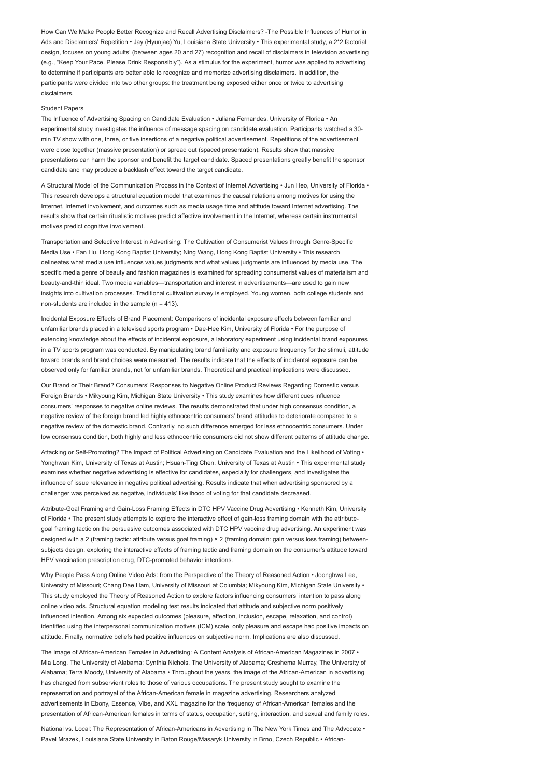How Can We Make People Better Recognize and Recall Advertising Disclaimers? -The Possible Influences of Humor in Ads and Disclamiers' Repetition • Jay (Hyunjae) Yu, Louisiana State University • This experimental study, a 2\*2 factorial design, focuses on young adults' (between ages 20 and 27) recognition and recall of disclaimers in television advertising (e.g., "Keep Your Pace. Please Drink Responsibly"). As a stimulus for the experiment, humor was applied to advertising to determine if participants are better able to recognize and memorize advertising disclaimers. In addition, the participants were divided into two other groups: the treatment being exposed either once or twice to advertising disclaimers.

## Student Papers

The Influence of Advertising Spacing on Candidate Evaluation • Juliana Fernandes, University of Florida • An experimental study investigates the influence of message spacing on candidate evaluation. Participants watched a 30 min TV show with one, three, or five insertions of a negative political advertisement. Repetitions of the advertisement were close together (massive presentation) or spread out (spaced presentation). Results show that massive presentations can harm the sponsor and benefit the target candidate. Spaced presentations greatly benefit the sponsor candidate and may produce a backlash effect toward the target candidate.

A Structural Model of the Communication Process in the Context of Internet Advertising • Jun Heo, University of Florida • This research develops a structural equation model that examines the causal relations among motives for using the Internet, Internet involvement, and outcomes such as media usage time and attitude toward Internet advertising. The results show that certain ritualistic motives predict affective involvement in the Internet, whereas certain instrumental motives predict cognitive involvement.

Transportation and Selective Interest in Advertising: The Cultivation of Consumerist Values through Genre-Specific Media Use • Fan Hu, Hong Kong Baptist University; Ning Wang, Hong Kong Baptist University • This research delineates what media use influences values judgments and what values judgments are influenced by media use. The specific media genre of beauty and fashion magazines is examined for spreading consumerist values of materialism and beauty-and-thin ideal. Two media variables—transportation and interest in advertisements—are used to gain new insights into cultivation processes. Traditional cultivation survey is employed. Young women, both college students and non-students are included in the sample  $(n = 413)$ .

Incidental Exposure Effects of Brand Placement: Comparisons of incidental exposure effects between familiar and unfamiliar brands placed in a televised sports program • Dae-Hee Kim, University of Florida • For the purpose of extending knowledge about the effects of incidental exposure, a laboratory experiment using incidental brand exposures in a TV sports program was conducted. By manipulating brand familiarity and exposure frequency for the stimuli, attitude toward brands and brand choices were measured. The results indicate that the effects of incidental exposure can be observed only for familiar brands, not for unfamiliar brands. Theoretical and practical implications were discussed.

Our Brand or Their Brand? Consumers' Responses to Negative Online Product Reviews Regarding Domestic versus Foreign Brands • Mikyoung Kim, Michigan State University • This study examines how different cues influence consumers' responses to negative online reviews. The results demonstrated that under high consensus condition, a negative review of the foreign brand led highly ethnocentric consumers' brand attitudes to deteriorate compared to a negative review of the domestic brand. Contrarily, no such difference emerged for less ethnocentric consumers. Under low consensus condition, both highly and less ethnocentric consumers did not show different patterns of attitude change.

Attacking or Self-Promoting? The Impact of Political Advertising on Candidate Evaluation and the Likelihood of Voting • Yonghwan Kim, University of Texas at Austin; Hsuan-Ting Chen, University of Texas at Austin • This experimental study examines whether negative advertising is effective for candidates, especially for challengers, and investigates the influence of issue relevance in negative political advertising. Results indicate that when advertising sponsored by a challenger was perceived as negative, individuals' likelihood of voting for that candidate decreased.

Attribute-Goal Framing and Gain-Loss Framing Effects in DTC HPV Vaccine Drug Advertising • Kenneth Kim, University of Florida • The present study attempts to explore the interactive effect of gain-loss framing domain with the attributegoal framing tactic on the persuasive outcomes associated with DTC HPV vaccine drug advertising. An experiment was designed with a 2 (framing tactic: attribute versus goal framing) × 2 (framing domain: gain versus loss framing) betweensubjects design, exploring the interactive effects of framing tactic and framing domain on the consumer's attitude toward HPV vaccination prescription drug, DTC-promoted behavior intentions.

Why People Pass Along Online Video Ads: from the Perspective of the Theory of Reasoned Action • Joonghwa Lee, University of Missouri; Chang Dae Ham, University of Missouri at Columbia; Mikyoung Kim, Michigan State University • This study employed the Theory of Reasoned Action to explore factors influencing consumers' intention to pass along online video ads. Structural equation modeling test results indicated that attitude and subjective norm positively influenced intention. Among six expected outcomes (pleasure, affection, inclusion, escape, relaxation, and control) identified using the interpersonal communication motives (ICM) scale, only pleasure and escape had positive impacts on attitude. Finally, normative beliefs had positive influences on subjective norm. Implications are also discussed.

The Image of African-American Females in Advertising: A Content Analysis of African-American Magazines in 2007 • Mia Long, The University of Alabama; Cynthia Nichols, The University of Alabama; Creshema Murray, The University of Alabama; Terra Moody, University of Alabama • Throughout the years, the image of the African-American in advertising has changed from subservient roles to those of various occupations. The present study sought to examine the representation and portrayal of the African-American female in magazine advertising. Researchers analyzed advertisements in Ebony, Essence, Vibe, and XXL magazine for the frequency of African-American females and the presentation of African-American females in terms of status, occupation, setting, interaction, and sexual and family roles.

National vs. Local: The Representation of African-Americans in Advertising in The New York Times and The Advocate • Pavel Mrazek, Louisiana State University in Baton Rouge/Masaryk University in Brno, Czech Republic • African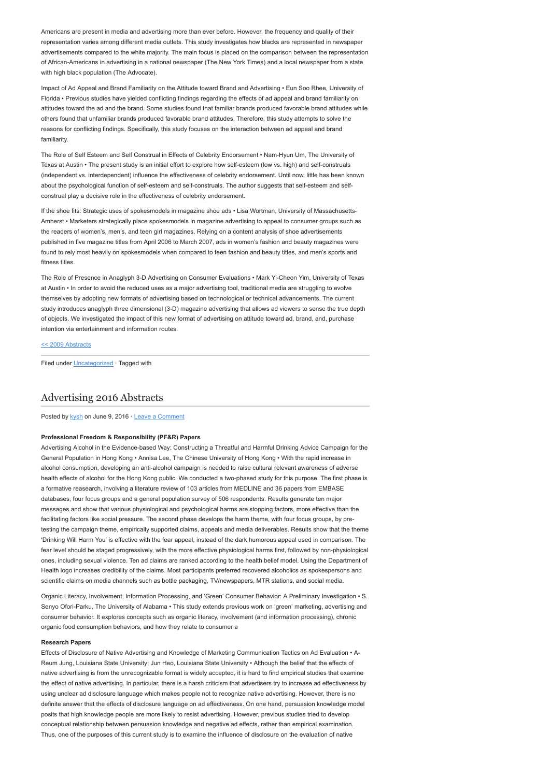Americans are present in media and advertising more than ever before. However, the frequency and quality of their representation varies among different media outlets. This study investigates how blacks are represented in newspaper advertisements compared to the white majority. The main focus is placed on the comparison between the representation of African-Americans in advertising in a national newspaper (The New York Times) and a local newspaper from a state with high black population (The Advocate).

Impact of Ad Appeal and Brand Familiarity on the Attitude toward Brand and Advertising • Eun Soo Rhee, University of Florida • Previous studies have yielded conflicting findings regarding the effects of ad appeal and brand familiarity on attitudes toward the ad and the brand. Some studies found that familiar brands produced favorable brand attitudes while others found that unfamiliar brands produced favorable brand attitudes. Therefore, this study attempts to solve the reasons for conflicting findings. Specifically, this study focuses on the interaction between ad appeal and brand familiarity

The Role of Self Esteem and Self Construal in Effects of Celebrity Endorsement • Nam-Hyun Um, The University of Texas at Austin • The present study is an initial effort to explore how self-esteem (low vs. high) and self-construals (independent vs. interdependent) influence the effectiveness of celebrity endorsement. Until now, little has been known about the psychological function of self-esteem and self-construals. The author suggests that self-esteem and selfconstrual play a decisive role in the effectiveness of celebrity endorsement.

If the shoe fits: Strategic uses of spokesmodels in magazine shoe ads • Lisa Wortman, University of Massachusetts-Amherst • Marketers strategically place spokesmodels in magazine advertising to appeal to consumer groups such as the readers of women's, men's, and teen girl magazines. Relying on a content analysis of shoe advertisements published in five magazine titles from April 2006 to March 2007, ads in women's fashion and beauty magazines were found to rely most heavily on spokesmodels when compared to teen fashion and beauty titles, and men's sports and fitness titles.

The Role of Presence in Anaglyph 3-D Advertising on Consumer Evaluations • Mark Yi-Cheon Yim, University of Texas at Austin • In order to avoid the reduced uses as a major advertising tool, traditional media are struggling to evolve themselves by adopting new formats of advertising based on technological or technical advancements. The current study introduces anaglyph three dimensional (3-D) magazine advertising that allows ad viewers to sense the true depth of objects. We investigated the impact of this new format of advertising on attitude toward ad, brand, and, purchase intention via entertainment and information routes.

### [<< 2009 Abstracts](http://www.aejmc.com/home/2011/03/2009-abstracts/)

Filed under [Uncategorized](http://www.aejmc.org/home/category/uncategorized/) · Tagged with

# [Advertising 2016 Abstracts](http://www.aejmc.org/home/2016/06/adv-2016-abstracts/)

Posted by [kysh](http://www.aejmc.org/home/author/kyshiab/) on June 9, 2016 · [Leave a Comment](http://www.aejmc.org/home/2016/06/adv-2016-abstracts/#respond)

# Professional Freedom & Responsibility (PF&R) Papers

Advertising Alcohol in the Evidence-based Way: Constructing a Threatful and Harmful Drinking Advice Campaign for the General Population in Hong Kong • Annisa Lee, The Chinese University of Hong Kong • With the rapid increase in alcohol consumption, developing an anti-alcohol campaign is needed to raise cultural relevant awareness of adverse health effects of alcohol for the Hong Kong public. We conducted a two-phased study for this purpose. The first phase is a formative reasearch, involving a literature review of 103 articles from MEDLINE and 36 papers from EMBASE databases, four focus groups and a general population survey of 506 respondents. Results generate ten major messages and show that various physiological and psychological harms are stopping factors, more effective than the facilitating factors like social pressure. The second phase develops the harm theme, with four focus groups, by pretesting the campaign theme, empirically supported claims, appeals and media deliverables. Results show that the theme 'Drinking Will Harm You' is effective with the fear appeal, instead of the dark humorous appeal used in comparison. The fear level should be staged progressively, with the more effective physiological harms first, followed by non-physiological ones, including sexual violence. Ten ad claims are ranked according to the health belief model. Using the Department of Health logo increases credibility of the claims. Most participants preferred recovered alcoholics as spokespersons and scientific claims on media channels such as bottle packaging, TV/newspapers, MTR stations, and social media.

Organic Literacy, Involvement, Information Processing, and 'Green' Consumer Behavior: A Preliminary Investigation • S. Senyo Ofori-Parku, The University of Alabama • This study extends previous work on 'green' marketing, advertising and consumer behavior. It explores concepts such as organic literacy, involvement (and information processing), chronic organic food consumption behaviors, and how they relate to consumer a

### Research Papers

Effects of Disclosure of Native Advertising and Knowledge of Marketing Communication Tactics on Ad Evaluation • A-Reum Jung, Louisiana State University; Jun Heo, Louisiana State University • Although the belief that the effects of native advertising is from the unrecognizable format is widely accepted, it is hard to find empirical studies that examine the effect of native advertising. In particular, there is a harsh criticism that advertisers try to increase ad effectiveness by using unclear ad disclosure language which makes people not to recognize native advertising. However, there is no definite answer that the effects of disclosure language on ad effectiveness. On one hand, persuasion knowledge model posits that high knowledge people are more likely to resist advertising. However, previous studies tried to develop conceptual relationship between persuasion knowledge and negative ad effects, rather than empirical examination. Thus, one of the purposes of this current study is to examine the influence of disclosure on the evaluation of native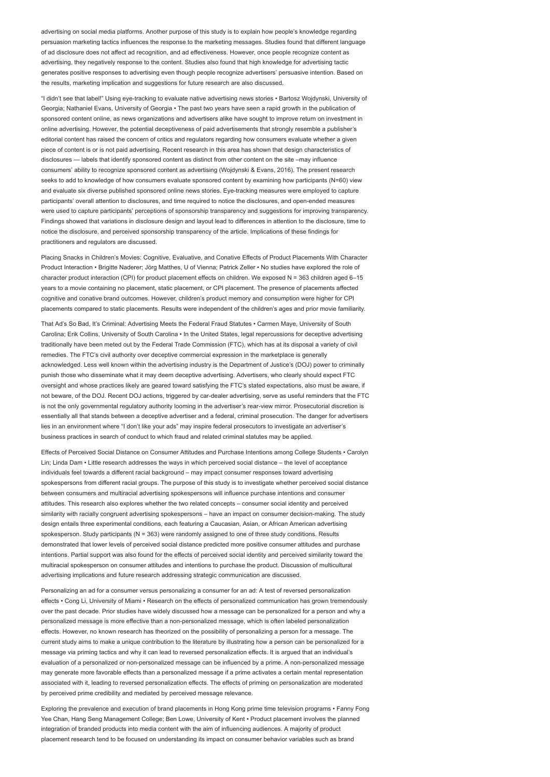advertising on social media platforms. Another purpose of this study is to explain how people's knowledge regarding persuasion marketing tactics influences the response to the marketing messages. Studies found that different language of ad disclosure does not affect ad recognition, and ad effectiveness. However, once people recognize content as advertising, they negatively response to the content. Studies also found that high knowledge for advertising tactic generates positive responses to advertising even though people recognize advertisers' persuasive intention. Based on the results, marketing implication and suggestions for future research are also discussed.

"I didn't see that label!" Using eye-tracking to evaluate native advertising news stories • Bartosz Wojdynski, University of Georgia; Nathaniel Evans, University of Georgia • The past two years have seen a rapid growth in the publication of sponsored content online, as news organizations and advertisers alike have sought to improve return on investment in online advertising. However, the potential deceptiveness of paid advertisements that strongly resemble a publisher's editorial content has raised the concern of critics and regulators regarding how consumers evaluate whether a given piece of content is or is not paid advertising. Recent research in this area has shown that design characteristics of disclosures — labels that identify sponsored content as distinct from other content on the site –may influence consumers' ability to recognize sponsored content as advertising (Wojdynski & Evans, 2016). The present research seeks to add to knowledge of how consumers evaluate sponsored content by examining how participants (N=60) view and evaluate six diverse published sponsored online news stories. Eye-tracking measures were employed to capture participants' overall attention to disclosures, and time required to notice the disclosures, and open-ended measures were used to capture participants' perceptions of sponsorship transparency and suggestions for improving transparency. Findings showed that variations in disclosure design and layout lead to differences in attention to the disclosure, time to notice the disclosure, and perceived sponsorship transparency of the article. Implications of these findings for practitioners and regulators are discussed.

Placing Snacks in Children's Movies: Cognitive, Evaluative, and Conative Effects of Product Placements With Character Product Interaction • Brigitte Naderer; Jörg Matthes, U of Vienna; Patrick Zeller • No studies have explored the role of character product interaction (CPI) for product placement effects on children. We exposed N = 363 children aged 6-15 years to a movie containing no placement, static placement, or CPI placement. The presence of placements affected cognitive and conative brand outcomes. However, children's product memory and consumption were higher for CPI placements compared to static placements. Results were independent of the children's ages and prior movie familiarity.

That Ad's So Bad, It's Criminal: Advertising Meets the Federal Fraud Statutes • Carmen Maye, University of South Carolina; Erik Collins, University of South Carolina • In the United States, legal repercussions for deceptive advertising traditionally have been meted out by the Federal Trade Commission (FTC), which has at its disposal a variety of civil remedies. The FTC's civil authority over deceptive commercial expression in the marketplace is generally acknowledged. Less well known within the advertising industry is the Department of Justice's (DOJ) power to criminally punish those who disseminate what it may deem deceptive advertising. Advertisers, who clearly should expect FTC oversight and whose practices likely are geared toward satisfying the FTC's stated expectations, also must be aware, if not beware, of the DOJ. Recent DOJ actions, triggered by car-dealer advertising, serve as useful reminders that the FTC is not the only governmental regulatory authority looming in the advertiser's rear-view mirror. Prosecutorial discretion is essentially all that stands between a deceptive advertiser and a federal, criminal prosecution. The danger for advertisers lies in an environment where "I don't like your ads" may inspire federal prosecutors to investigate an advertiser's business practices in search of conduct to which fraud and related criminal statutes may be applied.

Effects of Perceived Social Distance on Consumer Attitudes and Purchase Intentions among College Students • Carolyn Lin; Linda Dam • Little research addresses the ways in which perceived social distance – the level of acceptance individuals feel towards a different racial background – may impact consumer responses toward advertising spokespersons from different racial groups. The purpose of this study is to investigate whether perceived social distance between consumers and multiracial advertising spokespersons will influence purchase intentions and consumer attitudes. This research also explores whether the two related concepts – consumer social identity and perceived similarity with racially congruent advertising spokespersons – have an impact on consumer decision-making. The study design entails three experimental conditions, each featuring a Caucasian, Asian, or African American advertising spokesperson. Study participants (N = 363) were randomly assigned to one of three study conditions. Results demonstrated that lower levels of perceived social distance predicted more positive consumer attitudes and purchase intentions. Partial support was also found for the effects of perceived social identity and perceived similarity toward the multiracial spokesperson on consumer attitudes and intentions to purchase the product. Discussion of multicultural advertising implications and future research addressing strategic communication are discussed.

Personalizing an ad for a consumer versus personalizing a consumer for an ad: A test of reversed personalization effects • Cong Li, University of Miami • Research on the effects of personalized communication has grown tremendously over the past decade. Prior studies have widely discussed how a message can be personalized for a person and why a personalized message is more effective than a non-personalized message, which is often labeled personalization effects. However, no known research has theorized on the possibility of personalizing a person for a message. The current study aims to make a unique contribution to the literature by illustrating how a person can be personalized for a message via priming tactics and why it can lead to reversed personalization effects. It is argued that an individual's evaluation of a personalized or non-personalized message can be influenced by a prime. A non-personalized message may generate more favorable effects than a personalized message if a prime activates a certain mental representation associated with it, leading to reversed personalization effects. The effects of priming on personalization are moderated by perceived prime credibility and mediated by perceived message relevance.

Exploring the prevalence and execution of brand placements in Hong Kong prime time television programs • Fanny Fong Yee Chan, Hang Seng Management College; Ben Lowe, University of Kent • Product placement involves the planned integration of branded products into media content with the aim of influencing audiences. A majority of product placement research tend to be focused on understanding its impact on consumer behavior variables such as brand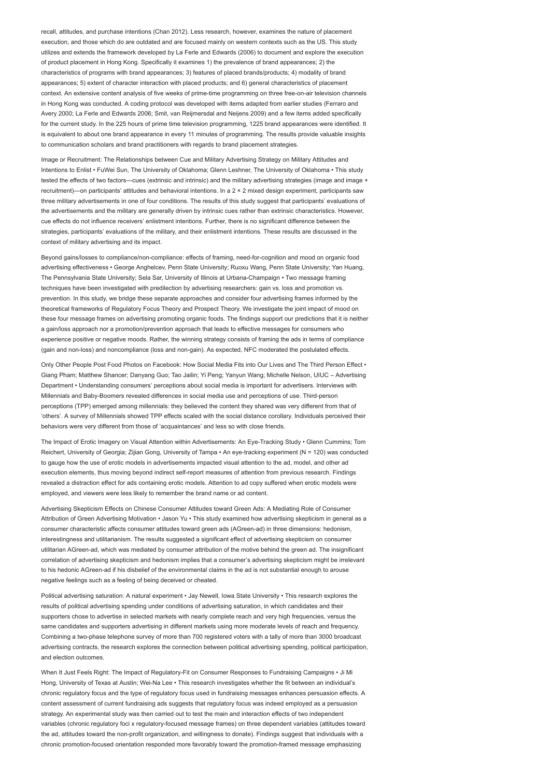recall, attitudes, and purchase intentions (Chan 2012). Less research, however, examines the nature of placement execution, and those which do are outdated and are focused mainly on western contexts such as the US. This study utilizes and extends the framework developed by La Ferle and Edwards (2006) to document and explore the execution of product placement in Hong Kong. Specifically it examines 1) the prevalence of brand appearances; 2) the characteristics of programs with brand appearances; 3) features of placed brands/products; 4) modality of brand appearances; 5) extent of character interaction with placed products; and 6) general characteristics of placement context. An extensive content analysis of five weeks of prime-time programming on three free-on-air television channels in Hong Kong was conducted. A coding protocol was developed with items adapted from earlier studies (Ferraro and Avery 2000; La Ferle and Edwards 2006; Smit, van Reijmersdal and Neijens 2009) and a few items added specifically for the current study. In the 225 hours of prime time television programming, 1225 brand appearances were identified. It is equivalent to about one brand appearance in every 11 minutes of programming. The results provide valuable insights to communication scholars and brand practitioners with regards to brand placement strategies.

Image or Recruitment: The Relationships between Cue and Military Advertising Strategy on Military Attitudes and Intentions to Enlist • FuWei Sun, The University of Oklahoma; Glenn Leshner, The University of Oklahoma • This study tested the effects of two factors—cues (extrinsic and intrinsic) and the military advertising strategies (image and image + recruitment)—on participants' attitudes and behavioral intentions. In a 2 × 2 mixed design experiment, participants saw three military advertisements in one of four conditions. The results of this study suggest that participants' evaluations of the advertisements and the military are generally driven by intrinsic cues rather than extrinsic characteristics. However, cue effects do not influence receivers' enlistment intentions. Further, there is no significant difference between the strategies, participants' evaluations of the military, and their enlistment intentions. These results are discussed in the context of military advertising and its impact.

Beyond gains/losses to compliance/non-compliance: effects of framing, need-for-cognition and mood on organic food advertising effectiveness • George Anghelcev, Penn State University; Ruoxu Wang, Penn State University; Yan Huang, The Pennsylvania State University; Sela Sar, University of Illinois at Urbana-Champaign • Two message framing techniques have been investigated with predilection by advertising researchers: gain vs. loss and promotion vs. prevention. In this study, we bridge these separate approaches and consider four advertising frames informed by the theoretical frameworks of Regulatory Focus Theory and Prospect Theory. We investigate the joint impact of mood on these four message frames on advertising promoting organic foods. The findings support our predictions that it is neither a gain/loss approach nor a promotion/prevention approach that leads to effective messages for consumers who experience positive or negative moods. Rather, the winning strategy consists of framing the ads in terms of compliance (gain and non-loss) and noncompliance (loss and non-gain). As expected, NFC moderated the postulated effects.

Only Other People Post Food Photos on Facebook: How Social Media Fits into Our Lives and The Third Person Effect • Giang Pham; Matthew Shancer; Danyang Guo; Tao Jailin; Yi Peng; Yanyun Wang; Michelle Nelson, UIUC – Advertising Department • Understanding consumers' perceptions about social media is important for advertisers. Interviews with Millennials and Baby-Boomers revealed differences in social media use and perceptions of use. Third-person perceptions (TPP) emerged among millennials: they believed the content they shared was very different from that of 'others'. A survey of Millennials showed TPP effects scaled with the social distance corollary. Individuals perceived their behaviors were very different from those of 'acquaintances' and less so with close friends.

The Impact of Erotic Imagery on Visual Attention within Advertisements: An Eye-Tracking Study • Glenn Cummins; Tom Reichert, University of Georgia; Zijian Gong, University of Tampa • An eye-tracking experiment (N = 120) was conducted to gauge how the use of erotic models in advertisements impacted visual attention to the ad, model, and other ad execution elements, thus moving beyond indirect self-report measures of attention from previous research. Findings revealed a distraction effect for ads containing erotic models. Attention to ad copy suffered when erotic models were employed, and viewers were less likely to remember the brand name or ad content.

Advertising Skepticism Effects on Chinese Consumer Attitudes toward Green Ads: A Mediating Role of Consumer Attribution of Green Advertising Motivation • Jason Yu • This study examined how advertising skepticism in general as a consumer characteristic affects consumer attitudes toward green ads (AGreen-ad) in three dimensions: hedonism, interestingness and utilitarianism. The results suggested a significant effect of advertising skepticism on consumer utilitarian AGreen-ad, which was mediated by consumer attribution of the motive behind the green ad. The insignificant correlation of advertising skepticism and hedonism implies that a consumer's advertising skepticism might be irrelevant to his hedonic AGreen-ad if his disbelief of the environmental claims in the ad is not substantial enough to arouse negative feelings such as a feeling of being deceived or cheated.

Political advertising saturation: A natural experiment • Jay Newell, Iowa State University • This research explores the results of political advertising spending under conditions of advertising saturation, in which candidates and their supporters chose to advertise in selected markets with nearly complete reach and very high frequencies, versus the same candidates and supporters advertising in different markets using more moderate levels of reach and frequency. Combining a two-phase telephone survey of more than 700 registered voters with a tally of more than 3000 broadcast advertising contracts, the research explores the connection between political advertising spending, political participation, and election outcomes.

When It Just Feels Right: The Impact of Regulatory-Fit on Consumer Responses to Fundraising Campaigns • Ji Mi Hong, University of Texas at Austin; Wei-Na Lee • This research investigates whether the fit between an individual's chronic regulatory focus and the type of regulatory focus used in fundraising messages enhances persuasion effects. A content assessment of current fundraising ads suggests that regulatory focus was indeed employed as a persuasion strategy. An experimental study was then carried out to test the main and interaction effects of two independent variables (chronic regulatory foci x regulatory-focused message frames) on three dependent variables (attitudes toward the ad, attitudes toward the non-profit organization, and willingness to donate). Findings suggest that individuals with a chronic promotion-focused orientation responded more favorably toward the promotion-framed message emphasizing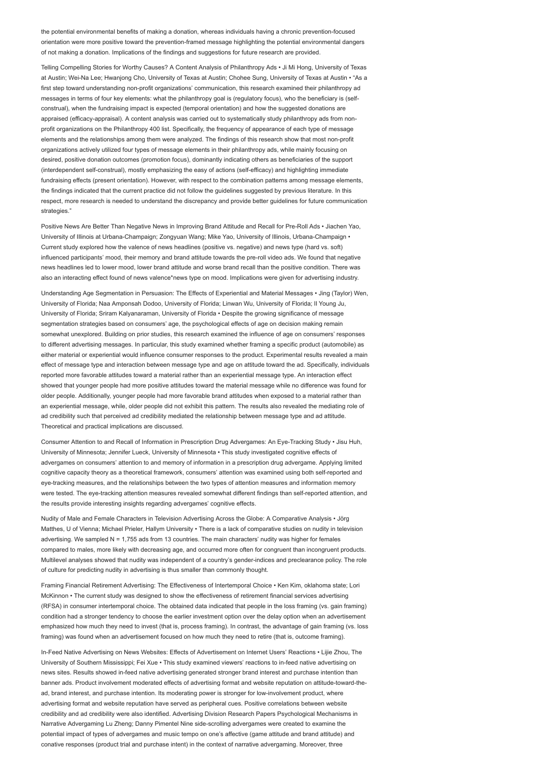the potential environmental benefits of making a donation, whereas individuals having a chronic prevention-focused orientation were more positive toward the prevention-framed message highlighting the potential environmental dangers of not making a donation. Implications of the findings and suggestions for future research are provided.

Telling Compelling Stories for Worthy Causes? A Content Analysis of Philanthropy Ads • Ji Mi Hong, University of Texas at Austin; Wei-Na Lee; Hwanjong Cho, University of Texas at Austin; Chohee Sung, University of Texas at Austin • "As a first step toward understanding non-profit organizations' communication, this research examined their philanthropy ad messages in terms of four key elements: what the philanthropy goal is (regulatory focus), who the beneficiary is (selfconstrual), when the fundraising impact is expected (temporal orientation) and how the suggested donations are appraised (efficacy-appraisal). A content analysis was carried out to systematically study philanthropy ads from nonprofit organizations on the Philanthropy 400 list. Specifically, the frequency of appearance of each type of message elements and the relationships among them were analyzed. The findings of this research show that most non-profit organizations actively utilized four types of message elements in their philanthropy ads, while mainly focusing on desired, positive donation outcomes (promotion focus), dominantly indicating others as beneficiaries of the support (interdependent self-construal), mostly emphasizing the easy of actions (self-efficacy) and highlighting immediate fundraising effects (present orientation). However, with respect to the combination patterns among message elements, the findings indicated that the current practice did not follow the guidelines suggested by previous literature. In this respect, more research is needed to understand the discrepancy and provide better guidelines for future communication strategies."

Positive News Are Better Than Negative News in Improving Brand Attitude and Recall for Pre-Roll Ads • Jiachen Yao, University of Illinois at Urbana-Champaign; Zongyuan Wang; Mike Yao, University of Illinois, Urbana-Champaign • Current study explored how the valence of news headlines (positive vs. negative) and news type (hard vs. soft) influenced participants' mood, their memory and brand attitude towards the pre-roll video ads. We found that negative news headlines led to lower mood, lower brand attitude and worse brand recall than the positive condition. There was also an interacting effect found of news valence\*news type on mood. Implications were given for advertising industry.

Understanding Age Segmentation in Persuasion: The Effects of Experiential and Material Messages • Jing (Taylor) Wen, University of Florida; Naa Amponsah Dodoo, University of Florida; Linwan Wu, University of Florida; Il Young Ju, University of Florida; Sriram Kalyanaraman, University of Florida • Despite the growing significance of message segmentation strategies based on consumers' age, the psychological effects of age on decision making remain somewhat unexplored. Building on prior studies, this research examined the influence of age on consumers' responses to different advertising messages. In particular, this study examined whether framing a specific product (automobile) as either material or experiential would influence consumer responses to the product. Experimental results revealed a main effect of message type and interaction between message type and age on attitude toward the ad. Specifically, individuals reported more favorable attitudes toward a material rather than an experiential message type. An interaction effect showed that younger people had more positive attitudes toward the material message while no difference was found for older people. Additionally, younger people had more favorable brand attitudes when exposed to a material rather than an experiential message, while, older people did not exhibit this pattern. The results also revealed the mediating role of ad credibility such that perceived ad credibility mediated the relationship between message type and ad attitude. Theoretical and practical implications are discussed.

Consumer Attention to and Recall of Information in Prescription Drug Advergames: An Eye-Tracking Study • Jisu Huh, University of Minnesota; Jennifer Lueck, University of Minnesota • This study investigated cognitive effects of advergames on consumers' attention to and memory of information in a prescription drug advergame. Applying limited cognitive capacity theory as a theoretical framework, consumers' attention was examined using both self-reported and eye-tracking measures, and the relationships between the two types of attention measures and information memory were tested. The eye-tracking attention measures revealed somewhat different findings than self-reported attention, and the results provide interesting insights regarding advergames' cognitive effects.

Nudity of Male and Female Characters in Television Advertising Across the Globe: A Comparative Analysis • Jörg Matthes, U of Vienna; Michael Prieler, Hallym University • There is a lack of comparative studies on nudity in television advertising. We sampled N = 1,755 ads from 13 countries. The main characters' nudity was higher for females compared to males, more likely with decreasing age, and occurred more often for congruent than incongruent products. Multilevel analyses showed that nudity was independent of a country's gender-indices and preclearance policy. The role of culture for predicting nudity in advertising is thus smaller than commonly thought.

Framing Financial Retirement Advertising: The Effectiveness of Intertemporal Choice • Ken Kim, oklahoma state; Lori McKinnon • The current study was designed to show the effectiveness of retirement financial services advertising (RFSA) in consumer intertemporal choice. The obtained data indicated that people in the loss framing (vs. gain framing) condition had a stronger tendency to choose the earlier investment option over the delay option when an advertisement emphasized how much they need to invest (that is, process framing). In contrast, the advantage of gain framing (vs. loss framing) was found when an advertisement focused on how much they need to retire (that is, outcome framing).

In-Feed Native Advertising on News Websites: Effects of Advertisement on Internet Users' Reactions • Lijie Zhou, The University of Southern Mississippi; Fei Xue • This study examined viewers' reactions to in-feed native advertising on news sites. Results showed in-feed native advertising generated stronger brand interest and purchase intention than banner ads. Product involvement moderated effects of advertising format and website reputation on attitude-toward-thead, brand interest, and purchase intention. Its moderating power is stronger for low-involvement product, where advertising format and website reputation have served as peripheral cues. Positive correlations between website credibility and ad credibility were also identified. Advertising Division Research Papers Psychological Mechanisms in Narrative Advergaming Lu Zheng; Danny Pimentel Nine side-scrolling advergames were created to examine the potential impact of types of advergames and music tempo on one's affective (game attitude and brand attitude) and conative responses (product trial and purchase intent) in the context of narrative advergaming. Moreover, three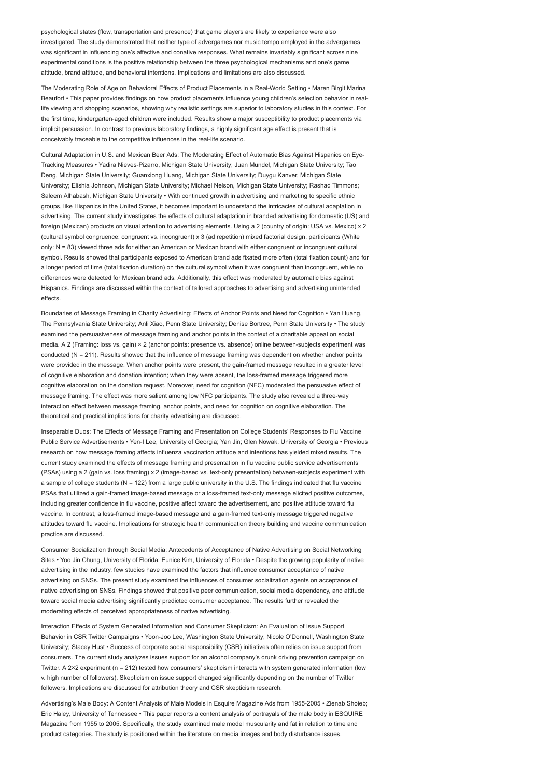psychological states (flow, transportation and presence) that game players are likely to experience were also investigated. The study demonstrated that neither type of advergames nor music tempo employed in the advergames was significant in influencing one's affective and conative responses. What remains invariably significant across nine experimental conditions is the positive relationship between the three psychological mechanisms and one's game attitude, brand attitude, and behavioral intentions. Implications and limitations are also discussed.

The Moderating Role of Age on Behavioral Effects of Product Placements in a Real-World Setting • Maren Birgit Marina Beaufort • This paper provides findings on how product placements influence young children's selection behavior in reallife viewing and shopping scenarios, showing why realistic settings are superior to laboratory studies in this context. For the first time, kindergarten-aged children were included. Results show a major susceptibility to product placements via implicit persuasion. In contrast to previous laboratory findings, a highly significant age effect is present that is conceivably traceable to the competitive influences in the real-life scenario.

Cultural Adaptation in U.S. and Mexican Beer Ads: The Moderating Effect of Automatic Bias Against Hispanics on Eye-Tracking Measures • Yadira Nieves-Pizarro, Michigan State University; Juan Mundel, Michigan State University; Tao Deng, Michigan State University; Guanxiong Huang, Michigan State University; Duygu Kanver, Michigan State University; Elishia Johnson, Michigan State University; Michael Nelson, Michigan State University; Rashad Timmons; Saleem Alhabash, Michigan State University • With continued growth in advertising and marketing to specific ethnic groups, like Hispanics in the United States, it becomes important to understand the intricacies of cultural adaptation in advertising. The current study investigates the effects of cultural adaptation in branded advertising for domestic (US) and foreign (Mexican) products on visual attention to advertising elements. Using a 2 (country of origin: USA vs. Mexico) x 2 (cultural symbol congruence: congruent vs. incongruent) x 3 (ad repetition) mixed factorial design, participants (White only: N = 83) viewed three ads for either an American or Mexican brand with either congruent or incongruent cultural symbol. Results showed that participants exposed to American brand ads fixated more often (total fixation count) and for a longer period of time (total fixation duration) on the cultural symbol when it was congruent than incongruent, while no differences were detected for Mexican brand ads. Additionally, this effect was moderated by automatic bias against Hispanics. Findings are discussed within the context of tailored approaches to advertising and advertising unintended effects.

Boundaries of Message Framing in Charity Advertising: Effects of Anchor Points and Need for Cognition • Yan Huang, The Pennsylvania State University; Anli Xiao, Penn State University; Denise Bortree, Penn State University • The study examined the persuasiveness of message framing and anchor points in the context of a charitable appeal on social media. A 2 (Framing: loss vs. gain) × 2 (anchor points: presence vs. absence) online between-subjects experiment was conducted (N = 211). Results showed that the influence of message framing was dependent on whether anchor points were provided in the message. When anchor points were present, the gain-framed message resulted in a greater level of cognitive elaboration and donation intention; when they were absent, the loss-framed message triggered more cognitive elaboration on the donation request. Moreover, need for cognition (NFC) moderated the persuasive effect of message framing. The effect was more salient among low NFC participants. The study also revealed a three-way interaction effect between message framing, anchor points, and need for cognition on cognitive elaboration. The theoretical and practical implications for charity advertising are discussed.

Inseparable Duos: The Effects of Message Framing and Presentation on College Students' Responses to Flu Vaccine Public Service Advertisements • Yen-I Lee, University of Georgia; Yan Jin; Glen Nowak, University of Georgia • Previous research on how message framing affects influenza vaccination attitude and intentions has yielded mixed results. The current study examined the effects of message framing and presentation in flu vaccine public service advertisements (PSAs) using a 2 (gain vs. loss framing) x 2 (image-based vs. text-only presentation) between-subjects experiment with a sample of college students (N = 122) from a large public university in the U.S. The findings indicated that flu vaccine PSAs that utilized a gain-framed image-based message or a loss-framed text-only message elicited positive outcomes, including greater confidence in flu vaccine, positive affect toward the advertisement, and positive attitude toward flu vaccine. In contrast, a loss-framed image-based message and a gain-framed text-only message triggered negative attitudes toward flu vaccine. Implications for strategic health communication theory building and vaccine communication practice are discussed.

Consumer Socialization through Social Media: Antecedents of Acceptance of Native Advertising on Social Networking Sites • Yoo Jin Chung, University of Florida; Eunice Kim, University of Florida • Despite the growing popularity of native advertising in the industry, few studies have examined the factors that influence consumer acceptance of native advertising on SNSs. The present study examined the influences of consumer socialization agents on acceptance of native advertising on SNSs. Findings showed that positive peer communication, social media dependency, and attitude toward social media advertising significantly predicted consumer acceptance. The results further revealed the moderating effects of perceived appropriateness of native advertising.

Interaction Effects of System Generated Information and Consumer Skepticism: An Evaluation of Issue Support Behavior in CSR Twitter Campaigns • Yoon-Joo Lee, Washington State University; Nicole O'Donnell, Washington State University; Stacey Hust • Success of corporate social responsibility (CSR) initiatives often relies on issue support from consumers. The current study analyzes issues support for an alcohol company's drunk driving prevention campaign on Twitter. A 2×2 experiment (n = 212) tested how consumers' skepticism interacts with system generated information (low v. high number of followers). Skepticism on issue support changed significantly depending on the number of Twitter followers. Implications are discussed for attribution theory and CSR skepticism research.

Advertising's Male Body: A Content Analysis of Male Models in Esquire Magazine Ads from 1955-2005 • Zienab Shoieb; Eric Haley, University of Tennessee • This paper reports a content analysis of portrayals of the male body in ESQUIRE Magazine from 1955 to 2005. Specifically, the study examined male model muscularity and fat in relation to time and product categories. The study is positioned within the literature on media images and body disturbance issues.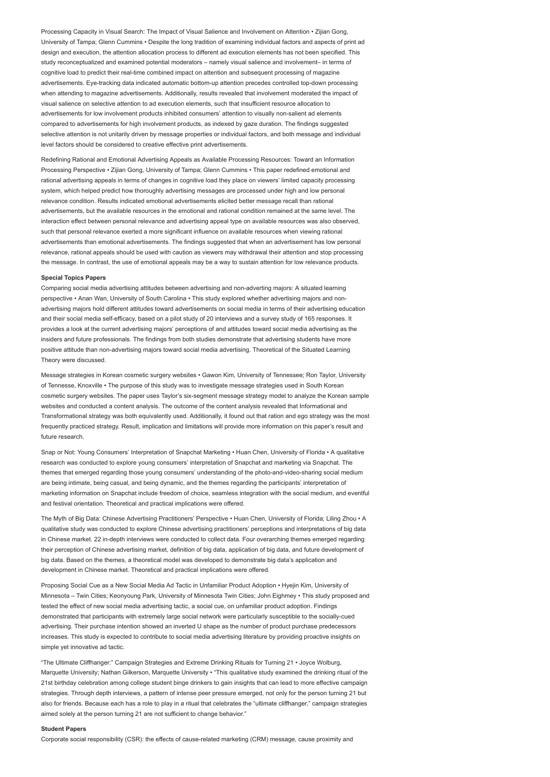Processing Capacity in Visual Search: The Impact of Visual Salience and Involvement on Attention • Zijian Gong, University of Tampa; Glenn Cummins • Despite the long tradition of examining individual factors and aspects of print ad design and execution, the attention allocation process to different ad execution elements has not been specified. This study reconceptualized and examined potential moderators – namely visual salience and involvement– in terms of cognitive load to predict their real-time combined impact on attention and subsequent processing of magazine advertisements. Eye-tracking data indicated automatic bottom-up attention precedes controlled top-down processing when attending to magazine advertisements. Additionally, results revealed that involvement moderated the impact of visual salience on selective attention to ad execution elements, such that insufficient resource allocation to advertisements for low involvement products inhibited consumers' attention to visually non-salient ad elements compared to advertisements for high involvement products, as indexed by gaze duration. The findings suggested selective attention is not unitarily driven by message properties or individual factors, and both message and individual level factors should be considered to creative effective print advertisements.

Redefining Rational and Emotional Advertising Appeals as Available Processing Resources: Toward an Information Processing Perspective • Zijian Gong, University of Tampa; Glenn Cummins • This paper redefined emotional and rational advertising appeals in terms of changes in cognitive load they place on viewers' limited capacity processing system, which helped predict how thoroughly advertising messages are processed under high and low personal relevance condition. Results indicated emotional advertisements elicited better message recall than rational advertisements, but the available resources in the emotional and rational condition remained at the same level. The interaction effect between personal relevance and advertising appeal type on available resources was also observed, such that personal relevance exerted a more significant influence on available resources when viewing rational advertisements than emotional advertisements. The findings suggested that when an advertisement has low personal relevance, rational appeals should be used with caution as viewers may withdrawal their attention and stop processing the message. In contrast, the use of emotional appeals may be a way to sustain attention for low relevance products.

#### Special Topics Papers

Comparing social media advertising attitudes between advertising and non-adverting majors: A situated learning perspective • Anan Wan, University of South Carolina • This study explored whether advertising majors and nonadvertising majors hold different attitudes toward advertisements on social media in terms of their advertising education and their social media self-efficacy, based on a pilot study of 20 interviews and a survey study of 165 responses. It provides a look at the current advertising majors' perceptions of and attitudes toward social media advertising as the insiders and future professionals. The findings from both studies demonstrate that advertising students have more positive attitude than non-advertising majors toward social media advertising. Theoretical of the Situated Learning Theory were discussed.

Message strategies in Korean cosmetic surgery websites • Gawon Kim, University of Tennessee; Ron Taylor, University of Tennesse, Knoxville • The purpose of this study was to investigate message strategies used in South Korean cosmetic surgery websites. The paper uses Taylor's six-segment message strategy model to analyze the Korean sample websites and conducted a content analysis. The outcome of the content analysis revealed that Informational and Transformational strategy was both equivalently used. Additionally, it found out that ration and ego strategy was the most frequently practiced strategy. Result, implication and limitations will provide more information on this paper's result and future research.

Snap or Not: Young Consumers' Interpretation of Snapchat Marketing • Huan Chen, University of Florida • A qualitative research was conducted to explore young consumers' interpretation of Snapchat and marketing via Snapchat. The themes that emerged regarding those young consumers' understanding of the photo-and-video-sharing social medium are being intimate, being casual, and being dynamic, and the themes regarding the participants' interpretation of marketing information on Snapchat include freedom of choice, seamless integration with the social medium, and eventful and festival orientation. Theoretical and practical implications were offered.

The Myth of Big Data: Chinese Advertising Practitioners' Perspective • Huan Chen, University of Florida; Liling Zhou • A qualitative study was conducted to explore Chinese advertising practitioners' perceptions and interpretations of big data in Chinese market. 22 in-depth interviews were conducted to collect data. Four overarching themes emerged regarding their perception of Chinese advertising market, definition of big data, application of big data, and future development of big data. Based on the themes, a theoretical model was developed to demonstrate big data's application and development in Chinese market. Theoretical and practical implications were offered.

Proposing Social Cue as a New Social Media Ad Tactic in Unfamiliar Product Adoption • Hyejin Kim, University of Minnesota – Twin Cities; Keonyoung Park, University of Minnesota Twin Cities; John Eighmey • This study proposed and tested the effect of new social media advertising tactic, a social cue, on unfamiliar product adoption. Findings demonstrated that participants with extremely large social network were particularly susceptible to the socially-cued advertising. Their purchase intention showed an inverted U shape as the number of product purchase predecessors increases. This study is expected to contribute to social media advertising literature by providing proactive insights on simple yet innovative ad tactic.

"The Ultimate Cliffhanger:" Campaign Strategies and Extreme Drinking Rituals for Turning 21 • Joyce Wolburg, Marquette University; Nathan Gilkerson, Marquette University • "This qualitative study examined the drinking ritual of the 21st birthday celebration among college student binge drinkers to gain insights that can lead to more effective campaign strategies. Through depth interviews, a pattern of intense peer pressure emerged, not only for the person turning 21 but also for friends. Because each has a role to play in a ritual that celebrates the "ultimate cliffhanger," campaign strategies aimed solely at the person turning 21 are not sufficient to change behavior."

#### Student Papers

Corporate social responsibility (CSR): the effects of cause-related marketing (CRM) message, cause proximity and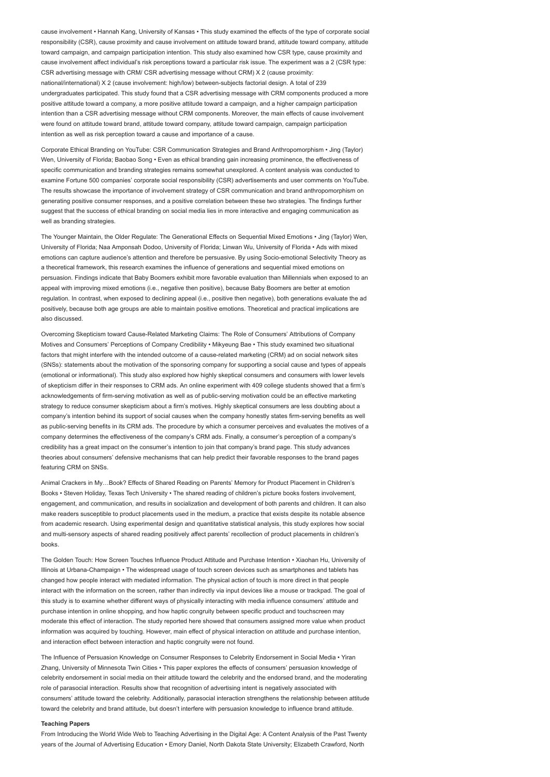cause involvement • Hannah Kang, University of Kansas • This study examined the effects of the type of corporate social responsibility (CSR), cause proximity and cause involvement on attitude toward brand, attitude toward company, attitude toward campaign, and campaign participation intention. This study also examined how CSR type, cause proximity and cause involvement affect individual's risk perceptions toward a particular risk issue. The experiment was a 2 (CSR type: CSR advertising message with CRM/ CSR advertising message without CRM) X 2 (cause proximity: national/international) X 2 (cause involvement: high/low) between-subjects factorial design. A total of 239 undergraduates participated. This study found that a CSR advertising message with CRM components produced a more positive attitude toward a company, a more positive attitude toward a campaign, and a higher campaign participation intention than a CSR advertising message without CRM components. Moreover, the main effects of cause involvement were found on attitude toward brand, attitude toward company, attitude toward campaign, campaign participation intention as well as risk perception toward a cause and importance of a cause.

Corporate Ethical Branding on YouTube: CSR Communication Strategies and Brand Anthropomorphism • Jing (Taylor) Wen, University of Florida; Baobao Song • Even as ethical branding gain increasing prominence, the effectiveness of specific communication and branding strategies remains somewhat unexplored. A content analysis was conducted to examine Fortune 500 companies' corporate social responsibility (CSR) advertisements and user comments on YouTube. The results showcase the importance of involvement strategy of CSR communication and brand anthropomorphism on generating positive consumer responses, and a positive correlation between these two strategies. The findings further suggest that the success of ethical branding on social media lies in more interactive and engaging communication as well as branding strategies

The Younger Maintain, the Older Regulate: The Generational Effects on Sequential Mixed Emotions • Jing (Taylor) Wen, University of Florida; Naa Amponsah Dodoo, University of Florida; Linwan Wu, University of Florida • Ads with mixed emotions can capture audience's attention and therefore be persuasive. By using Socio-emotional Selectivity Theory as a theoretical framework, this research examines the influence of generations and sequential mixed emotions on persuasion. Findings indicate that Baby Boomers exhibit more favorable evaluation than Millennials when exposed to an appeal with improving mixed emotions (i.e., negative then positive), because Baby Boomers are better at emotion regulation. In contrast, when exposed to declining appeal (i.e., positive then negative), both generations evaluate the ad positively, because both age groups are able to maintain positive emotions. Theoretical and practical implications are also discussed.

Overcoming Skepticism toward Cause-Related Marketing Claims: The Role of Consumers' Attributions of Company Motives and Consumers' Perceptions of Company Credibility • Mikyeung Bae • This study examined two situational factors that might interfere with the intended outcome of a cause-related marketing (CRM) ad on social network sites (SNSs): statements about the motivation of the sponsoring company for supporting a social cause and types of appeals (emotional or informational). This study also explored how highly skeptical consumers and consumers with lower levels of skepticism differ in their responses to CRM ads. An online experiment with 409 college students showed that a firm's acknowledgements of firm-serving motivation as well as of public-serving motivation could be an effective marketing strategy to reduce consumer skepticism about a firm's motives. Highly skeptical consumers are less doubting about a company's intention behind its support of social causes when the company honestly states firm-serving benefits as well as public-serving benefits in its CRM ads. The procedure by which a consumer perceives and evaluates the motives of a company determines the effectiveness of the company's CRM ads. Finally, a consumer's perception of a company's credibility has a great impact on the consumer's intention to join that company's brand page. This study advances theories about consumers' defensive mechanisms that can help predict their favorable responses to the brand pages featuring CRM on SNSs.

Animal Crackers in My…Book? Effects of Shared Reading on Parents' Memory for Product Placement in Children's Books • Steven Holiday, Texas Tech University • The shared reading of children's picture books fosters involvement, engagement, and communication, and results in socialization and development of both parents and children. It can also make readers susceptible to product placements used in the medium, a practice that exists despite its notable absence from academic research. Using experimental design and quantitative statistical analysis, this study explores how social and multi-sensory aspects of shared reading positively affect parents' recollection of product placements in children's books.

The Golden Touch: How Screen Touches Influence Product Attitude and Purchase Intention • Xiaohan Hu, University of Illinois at Urbana-Champaign • The widespread usage of touch screen devices such as smartphones and tablets has changed how people interact with mediated information. The physical action of touch is more direct in that people interact with the information on the screen, rather than indirectly via input devices like a mouse or trackpad. The goal of this study is to examine whether different ways of physically interacting with media influence consumers' attitude and purchase intention in online shopping, and how haptic congruity between specific product and touchscreen may moderate this effect of interaction. The study reported here showed that consumers assigned more value when product information was acquired by touching. However, main effect of physical interaction on attitude and purchase intention, and interaction effect between interaction and haptic congruity were not found.

The Influence of Persuasion Knowledge on Consumer Responses to Celebrity Endorsement in Social Media • Yiran Zhang, University of Minnesota Twin Cities • This paper explores the effects of consumers' persuasion knowledge of celebrity endorsement in social media on their attitude toward the celebrity and the endorsed brand, and the moderating role of parasocial interaction. Results show that recognition of advertising intent is negatively associated with consumers' attitude toward the celebrity. Additionally, parasocial interaction strengthens the relationship between attitude toward the celebrity and brand attitude, but doesn't interfere with persuasion knowledge to influence brand attitude.

#### Teaching Papers

From Introducing the World Wide Web to Teaching Advertising in the Digital Age: A Content Analysis of the Past Twenty years of the Journal of Advertising Education • Emory Daniel, North Dakota State University; Elizabeth Crawford, North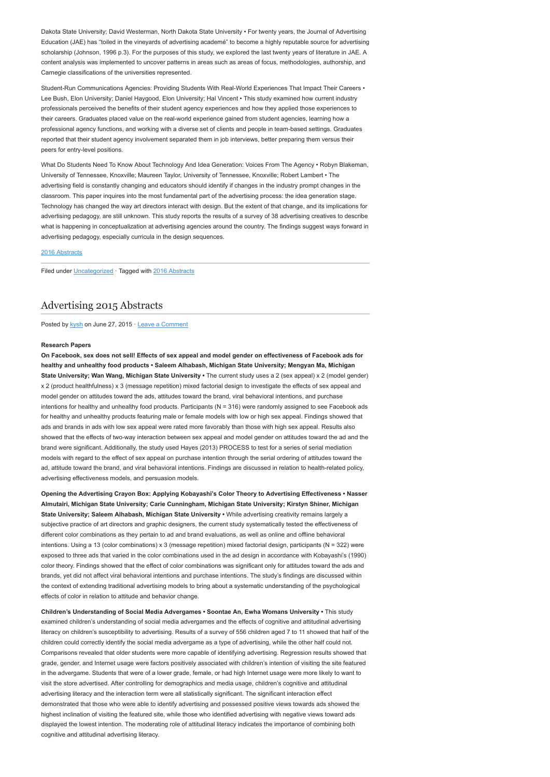Dakota State University; David Westerman, North Dakota State University • For twenty years, the Journal of Advertising Education (JAE) has "toiled in the vineyards of advertising academé" to become a highly reputable source for advertising scholarship (Johnson, 1996 p.3). For the purposes of this study, we explored the last twenty years of literature in JAE. A content analysis was implemented to uncover patterns in areas such as areas of focus, methodologies, authorship, and Carnegie classifications of the universities represented.

Student-Run Communications Agencies: Providing Students With Real-World Experiences That Impact Their Careers • Lee Bush, Elon University; Daniel Haygood, Elon University; Hal Vincent • This study examined how current industry professionals perceived the benefits of their student agency experiences and how they applied those experiences to their careers. Graduates placed value on the real-world experience gained from student agencies, learning how a professional agency functions, and working with a diverse set of clients and people in team-based settings. Graduates reported that their student agency involvement separated them in job interviews, better preparing them versus their peers for entry-level positions.

What Do Students Need To Know About Technology And Idea Generation: Voices From The Agency • Robyn Blakeman, University of Tennessee, Knoxville; Maureen Taylor, University of Tennessee, Knoxville; Robert Lambert • The advertising field is constantly changing and educators should identify if changes in the industry prompt changes in the classroom. This paper inquires into the most fundamental part of the advertising process: the idea generation stage. Technology has changed the way art directors interact with design. But the extent of that change, and its implications for advertising pedagogy, are still unknown. This study reports the results of a survey of 38 advertising creatives to describe what is happening in conceptualization at advertising agencies around the country. The findings suggest ways forward in advertising pedagogy, especially curricula in the design sequences.

# [2016 Abstracts](http://www.aejmc.org/home/2016/06/2016-abstracts/)

Filed under [Uncategorized](http://www.aejmc.org/home/category/uncategorized/) · Tagged with [2016 Abstracts](http://www.aejmc.org/home/tag/2016-abstracts/)

# [Advertising 2015 Abstracts](http://www.aejmc.org/home/2015/06/adv-2015-abstracts/)

Posted by [kysh](http://www.aejmc.org/home/author/kyshiab/) on June 27, 2015 · [Leave a Comment](http://www.aejmc.org/home/2015/06/adv-2015-abstracts/#respond)

## Research Papers

On Facebook, sex does not sell! Effects of sex appeal and model gender on effectiveness of Facebook ads for healthy and unhealthy food products • Saleem Alhabash, Michigan State University; Mengyan Ma, Michigan State University; Wan Wang, Michigan State University • The current study uses a 2 (sex appeal) x 2 (model gender) x 2 (product healthfulness) x 3 (message repetition) mixed factorial design to investigate the effects of sex appeal and model gender on attitudes toward the ads, attitudes toward the brand, viral behavioral intentions, and purchase intentions for healthy and unhealthy food products. Participants (N = 316) were randomly assigned to see Facebook ads for healthy and unhealthy products featuring male or female models with low or high sex appeal. Findings showed that ads and brands in ads with low sex appeal were rated more favorably than those with high sex appeal. Results also showed that the effects of two-way interaction between sex appeal and model gender on attitudes toward the ad and the brand were significant. Additionally, the study used Hayes (2013) PROCESS to test for a series of serial mediation models with regard to the effect of sex appeal on purchase intention through the serial ordering of attitudes toward the ad, attitude toward the brand, and viral behavioral intentions. Findings are discussed in relation to health-related policy, advertising effectiveness models, and persuasion models.

Opening the Advertising Crayon Box: Applying Kobayashi's Color Theory to Advertising Effectiveness • Nasser Almutairi, Michigan State University; Carie Cunningham, Michigan State University; Kirstyn Shiner, Michigan State University; Saleem Alhabash, Michigan State University • While advertising creativity remains largely a subjective practice of art directors and graphic designers, the current study systematically tested the effectiveness of different color combinations as they pertain to ad and brand evaluations, as well as online and offline behavioral intentions. Using a 13 (color combinations) x 3 (message repetition) mixed factorial design, participants (N = 322) were exposed to three ads that varied in the color combinations used in the ad design in accordance with Kobayashi's (1990) color theory. Findings showed that the effect of color combinations was significant only for attitudes toward the ads and brands, yet did not affect viral behavioral intentions and purchase intentions. The study's findings are discussed within the context of extending traditional advertising models to bring about a systematic understanding of the psychological effects of color in relation to attitude and behavior change.

Children's Understanding of Social Media Advergames • Soontae An, Ewha Womans University • This study examined children's understanding of social media advergames and the effects of cognitive and attitudinal advertising literacy on children's susceptibility to advertising. Results of a survey of 556 children aged 7 to 11 showed that half of the children could correctly identify the social media advergame as a type of advertising, while the other half could not. Comparisons revealed that older students were more capable of identifying advertising. Regression results showed that grade, gender, and Internet usage were factors positively associated with children's intention of visiting the site featured in the advergame. Students that were of a lower grade, female, or had high Internet usage were more likely to want to visit the store advertised. After controlling for demographics and media usage, children's cognitive and attitudinal advertising literacy and the interaction term were all statistically significant. The significant interaction effect demonstrated that those who were able to identify advertising and possessed positive views towards ads showed the highest inclination of visiting the featured site, while those who identified advertising with negative views toward ads displayed the lowest intention. The moderating role of attitudinal literacy indicates the importance of combining both cognitive and attitudinal advertising literacy.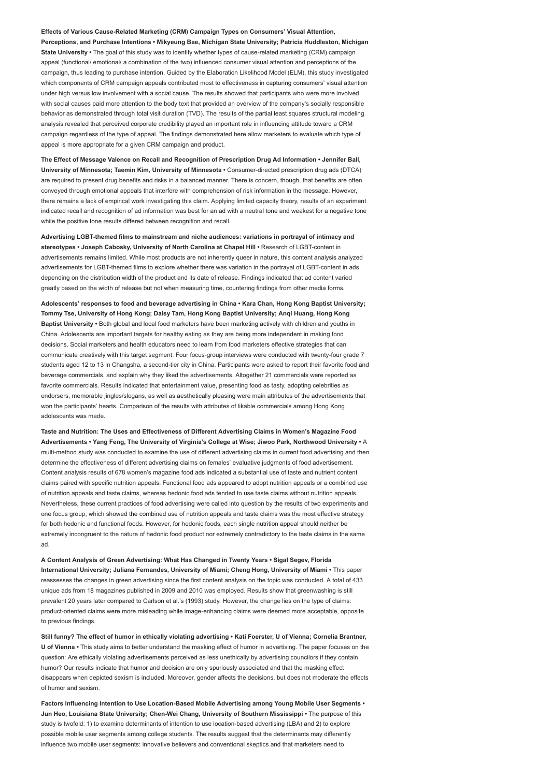Effects of Various Cause-Related Marketing (CRM) Campaign Types on Consumers' Visual Attention, Perceptions, and Purchase Intentions • Mikyeung Bae, Michigan State University; Patricia Huddleston, Michigan State University • The goal of this study was to identify whether types of cause-related marketing (CRM) campaign appeal (functional/ emotional/ a combination of the two) influenced consumer visual attention and perceptions of the campaign, thus leading to purchase intention. Guided by the Elaboration Likelihood Model (ELM), this study investigated which components of CRM campaign appeals contributed most to effectiveness in capturing consumers' visual attention under high versus low involvement with a social cause. The results showed that participants who were more involved with social causes paid more attention to the body text that provided an overview of the company's socially responsible behavior as demonstrated through total visit duration (TVD). The results of the partial least squares structural modeling analysis revealed that perceived corporate credibility played an important role in influencing attitude toward a CRM campaign regardless of the type of appeal. The findings demonstrated here allow marketers to evaluate which type of appeal is more appropriate for a given CRM campaign and product.

The Effect of Message Valence on Recall and Recognition of Prescription Drug Ad Information • Jennifer Ball, University of Minnesota; Taemin Kim, University of Minnesota • Consumer-directed prescription drug ads (DTCA) are required to present drug benefits and risks in a balanced manner. There is concern, though, that benefits are often conveyed through emotional appeals that interfere with comprehension of risk information in the message. However, there remains a lack of empirical work investigating this claim. Applying limited capacity theory, results of an experiment indicated recall and recognition of ad information was best for an ad with a neutral tone and weakest for a negative tone while the positive tone results differed between recognition and recall.

Advertising LGBT-themed films to mainstream and niche audiences: variations in portrayal of intimacy and stereotypes • Joseph Cabosky, University of North Carolina at Chapel Hill • Research of LGBT-content in advertisements remains limited. While most products are not inherently queer in nature, this content analysis analyzed advertisements for LGBT-themed films to explore whether there was variation in the portrayal of LGBT-content in ads depending on the distribution width of the product and its date of release. Findings indicated that ad content varied greatly based on the width of release but not when measuring time, countering findings from other media forms.

Adolescents' responses to food and beverage advertising in China • Kara Chan, Hong Kong Baptist University; Tommy Tse, University of Hong Kong; Daisy Tam, Hong Kong Baptist University; Anqi Huang, Hong Kong Baptist University • Both global and local food marketers have been marketing actively with children and youths in China. Adolescents are important targets for healthy eating as they are being more independent in making food decisions. Social marketers and health educators need to learn from food marketers effective strategies that can communicate creatively with this target segment. Four focus-group interviews were conducted with twenty-four grade 7 students aged 12 to 13 in Changsha, a second-tier city in China. Participants were asked to report their favorite food and beverage commercials, and explain why they liked the advertisements. Altogether 21 commercials were reported as favorite commercials. Results indicated that entertainment value, presenting food as tasty, adopting celebrities as endorsers, memorable jingles/slogans, as well as aesthetically pleasing were main attributes of the advertisements that won the participants' hearts. Comparison of the results with attributes of likable commercials among Hong Kong adolescents was made.

Taste and Nutrition: The Uses and Effectiveness of Different Advertising Claims in Women's Magazine Food Advertisements • Yang Feng, The University of Virginia's College at Wise; Jiwoo Park, Northwood University • A multi-method study was conducted to examine the use of different advertising claims in current food advertising and then determine the effectiveness of different advertising claims on females' evaluative judgments of food advertisement. Content analysis results of 678 women's magazine food ads indicated a substantial use of taste and nutrient content claims paired with specific nutrition appeals. Functional food ads appeared to adopt nutrition appeals or a combined use of nutrition appeals and taste claims, whereas hedonic food ads tended to use taste claims without nutrition appeals. Nevertheless, these current practices of food advertising were called into question by the results of two experiments and one focus group, which showed the combined use of nutrition appeals and taste claims was the most effective strategy for both hedonic and functional foods. However, for hedonic foods, each single nutrition appeal should neither be extremely incongruent to the nature of hedonic food product nor extremely contradictory to the taste claims in the same ad.

A Content Analysis of Green Advertising: What Has Changed in Twenty Years • Sigal Segev, Florida International University; Juliana Fernandes, University of Miami; Cheng Hong, University of Miami • This paper reassesses the changes in green advertising since the first content analysis on the topic was conducted. A total of 433 unique ads from 18 magazines published in 2009 and 2010 was employed. Results show that greenwashing is still prevalent 20 years later compared to Carlson et al.'s (1993) study. However, the change lies on the type of claims: product-oriented claims were more misleading while image-enhancing claims were deemed more acceptable, opposite to previous findings.

Still funny? The effect of humor in ethically violating advertising • Kati Foerster, U of Vienna; Cornelia Brantner, U of Vienna • This study aims to better understand the masking effect of humor in advertising. The paper focuses on the question: Are ethically violating advertisements perceived as less unethically by advertising councilors if they contain humor? Our results indicate that humor and decision are only spuriously associated and that the masking effect disappears when depicted sexism is included. Moreover, gender affects the decisions, but does not moderate the effects of humor and sexism.

Factors Influencing Intention to Use Location-Based Mobile Advertising among Young Mobile User Segments • Jun Heo, Louisiana State University; Chen-Wei Chang, University of Southern Mississippi • The purpose of this study is twofold: 1) to examine determinants of intention to use location-based advertising (LBA) and 2) to explore possible mobile user segments among college students. The results suggest that the determinants may differently influence two mobile user segments: innovative believers and conventional skeptics and that marketers need to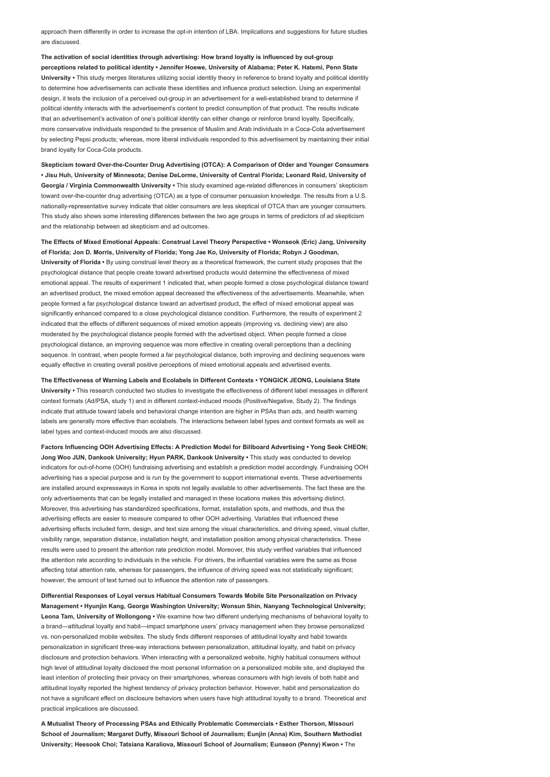approach them differently in order to increase the opt-in intention of LBA. Implications and suggestions for future studies are discussed.

The activation of social identities through advertising: How brand loyalty is influenced by out-group perceptions related to political identity • Jennifer Hoewe, University of Alabama; Peter K. Hatemi, Penn State University • This study merges literatures utilizing social identity theory in reference to brand loyalty and political identity to determine how advertisements can activate these identities and influence product selection. Using an experimental design, it tests the inclusion of a perceived out-group in an advertisement for a well-established brand to determine if political identity interacts with the advertisement's content to predict consumption of that product. The results indicate that an advertisement's activation of one's political identity can either change or reinforce brand loyalty. Specifically, more conservative individuals responded to the presence of Muslim and Arab individuals in a Coca-Cola advertisement by selecting Pepsi products; whereas, more liberal individuals responded to this advertisement by maintaining their initial brand loyalty for Coca-Cola products.

Skepticism toward Over-the-Counter Drug Advertising (OTCA): A Comparison of Older and Younger Consumers • Jisu Huh, University of Minnesota; Denise DeLorme, University of Central Florida; Leonard Reid, University of Georgia / Virginia Commonwealth University • This study examined age-related differences in consumers' skepticism toward over-the-counter drug advertising (OTCA) as a type of consumer persuasion knowledge. The results from a U.S. nationally-representative survey indicate that older consumers are less skeptical of OTCA than are younger consumers. This study also shows some interesting differences between the two age groups in terms of predictors of ad skepticism and the relationship between ad skepticism and ad outcomes.

The Effects of Mixed Emotional Appeals: Construal Level Theory Perspective • Wonseok (Eric) Jang, University of Florida; Jon D. Morris, University of Florida; Yong Jae Ko, University of Florida; Robyn J Goodman, University of Florida • By using construal level theory as a theoretical framework, the current study proposes that the psychological distance that people create toward advertised products would determine the effectiveness of mixed emotional appeal. The results of experiment 1 indicated that, when people formed a close psychological distance toward an advertised product, the mixed emotion appeal decreased the effectiveness of the advertisements. Meanwhile, when people formed a far psychological distance toward an advertised product, the effect of mixed emotional appeal was significantly enhanced compared to a close psychological distance condition. Furthermore, the results of experiment 2 indicated that the effects of different sequences of mixed emotion appeals (improving vs. declining view) are also moderated by the psychological distance people formed with the advertised object. When people formed a close psychological distance, an improving sequence was more effective in creating overall perceptions than a declining sequence. In contrast, when people formed a far psychological distance, both improving and declining sequences were equally effective in creating overall positive perceptions of mixed emotional appeals and advertised events.

The Effectiveness of Warning Labels and Ecolabels in Different Contexts • YONGICK JEONG, Louisiana State University • This research conducted two studies to investigate the effectiveness of different label messages in different context formats (Ad/PSA, study 1) and in different context-induced moods (Positive/Negative, Study 2). The findings indicate that attitude toward labels and behavioral change intention are higher in PSAs than ads, and health warning labels are generally more effective than ecolabels. The interactions between label types and context formats as well as label types and context-induced moods are also discussed.

Factors Influencing OOH Advertising Effects: A Prediction Model for Billboard Advertising • Yong Seok CHEON; Jong Woo JUN, Dankook University; Hyun PARK, Dankook University • This study was conducted to develop indicators for out-of-home (OOH) fundraising advertising and establish a prediction model accordingly. Fundraising OOH advertising has a special purpose and is run by the government to support international events. These advertisements are installed around expressways in Korea in spots not legally available to other advertisements. The fact these are the only advertisements that can be legally installed and managed in these locations makes this advertising distinct. Moreover, this advertising has standardized specifications, format, installation spots, and methods, and thus the advertising effects are easier to measure compared to other OOH advertising. Variables that influenced these advertising effects included form, design, and text size among the visual characteristics, and driving speed, visual clutter, visibility range, separation distance, installation height, and installation position among physical characteristics. These results were used to present the attention rate prediction model. Moreover, this study verified variables that influenced the attention rate according to individuals in the vehicle. For drivers, the influential variables were the same as those affecting total attention rate, whereas for passengers, the influence of driving speed was not statistically significant; however, the amount of text turned out to influence the attention rate of passengers.

Differential Responses of Loyal versus Habitual Consumers Towards Mobile Site Personalization on Privacy Management • Hyunjin Kang, George Washington University; Wonsun Shin, Nanyang Technological University; Leona Tam, University of Wollongong • We examine how two different underlying mechanisms of behavioral loyalty to a brand—attitudinal loyalty and habit—impact smartphone users' privacy management when they browse personalized vs. non-personalized mobile websites. The study finds different responses of attitudinal loyalty and habit towards personalization in significant three-way interactions between personalization, attitudinal loyalty, and habit on privacy disclosure and protection behaviors. When interacting with a personalized website, highly habitual consumers without high level of attitudinal loyalty disclosed the most personal information on a personalized mobile site, and displayed the least intention of protecting their privacy on their smartphones, whereas consumers with high levels of both habit and attitudinal loyalty reported the highest tendency of privacy protection behavior. However, habit and personalization do not have a significant effect on disclosure behaviors when users have high attitudinal loyalty to a brand. Theoretical and practical implications are discussed.

A Mutualist Theory of Processing PSAs and Ethically Problematic Commercials • Esther Thorson, Missouri School of Journalism; Margaret Duffy, Missouri School of Journalism; Eunjin (Anna) Kim, Southern Methodist University; Heesook Choi; Tatsiana Karaliova, Missouri School of Journalism; Eunseon (Penny) Kwon • The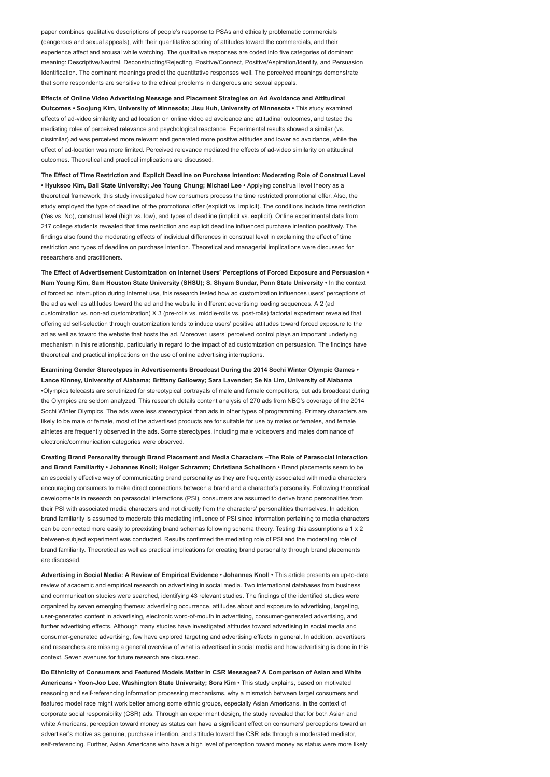paper combines qualitative descriptions of people's response to PSAs and ethically problematic commercials (dangerous and sexual appeals), with their quantitative scoring of attitudes toward the commercials, and their experience affect and arousal while watching. The qualitative responses are coded into five categories of dominant meaning: Descriptive/Neutral, Deconstructing/Rejecting, Positive/Connect, Positive/Aspiration/Identify, and Persuasion Identification. The dominant meanings predict the quantitative responses well. The perceived meanings demonstrate that some respondents are sensitive to the ethical problems in dangerous and sexual appeals.

Effects of Online Video Advertising Message and Placement Strategies on Ad Avoidance and Attitudinal Outcomes • Soojung Kim, University of Minnesota; Jisu Huh, University of Minnesota • This study examined effects of ad-video similarity and ad location on online video ad avoidance and attitudinal outcomes, and tested the mediating roles of perceived relevance and psychological reactance. Experimental results showed a similar (vs. dissimilar) ad was perceived more relevant and generated more positive attitudes and lower ad avoidance, while the effect of ad-location was more limited. Perceived relevance mediated the effects of ad-video similarity on attitudinal outcomes. Theoretical and practical implications are discussed.

The Effect of Time Restriction and Explicit Deadline on Purchase Intention: Moderating Role of Construal Level • Hyuksoo Kim, Ball State University; Jee Young Chung; Michael Lee • Applying construal level theory as a theoretical framework, this study investigated how consumers process the time restricted promotional offer. Also, the study employed the type of deadline of the promotional offer (explicit vs. implicit). The conditions include time restriction (Yes vs. No), construal level (high vs. low), and types of deadline (implicit vs. explicit). Online experimental data from 217 college students revealed that time restriction and explicit deadline influenced purchase intention positively. The findings also found the moderating effects of individual differences in construal level in explaining the effect of time restriction and types of deadline on purchase intention. Theoretical and managerial implications were discussed for researchers and practitioners.

The Effect of Advertisement Customization on Internet Users' Perceptions of Forced Exposure and Persuasion • Nam Young Kim, Sam Houston State University (SHSU); S. Shyam Sundar, Penn State University • In the context of forced ad interruption during Internet use, this research tested how ad customization influences users' perceptions of the ad as well as attitudes toward the ad and the website in different advertising loading sequences. A 2 (ad customization vs. non-ad customization) X 3 (pre-rolls vs. middle-rolls vs. post-rolls) factorial experiment revealed that offering ad self-selection through customization tends to induce users' positive attitudes toward forced exposure to the ad as well as toward the website that hosts the ad. Moreover, users' perceived control plays an important underlying mechanism in this relationship, particularly in regard to the impact of ad customization on persuasion. The findings have theoretical and practical implications on the use of online advertising interruptions.

Examining Gender Stereotypes in Advertisements Broadcast During the 2014 Sochi Winter Olympic Games • Lance Kinney, University of Alabama; Brittany Galloway; Sara Lavender; Se Na Lim, University of Alabama •Olympics telecasts are scrutinized for stereotypical portrayals of male and female competitors, but ads broadcast during the Olympics are seldom analyzed. This research details content analysis of 270 ads from NBC's coverage of the 2014 Sochi Winter Olympics. The ads were less stereotypical than ads in other types of programming. Primary characters are likely to be male or female, most of the advertised products are for suitable for use by males or females, and female athletes are frequently observed in the ads. Some stereotypes, including male voiceovers and males dominance of electronic/communication categories were observed.

Creating Brand Personality through Brand Placement and Media Characters –The Role of Parasocial Interaction and Brand Familiarity • Johannes Knoll; Holger Schramm; Christiana Schallhorn • Brand placements seem to be an especially effective way of communicating brand personality as they are frequently associated with media characters encouraging consumers to make direct connections between a brand and a character's personality. Following theoretical developments in research on parasocial interactions (PSI), consumers are assumed to derive brand personalities from their PSI with associated media characters and not directly from the characters' personalities themselves. In addition, brand familiarity is assumed to moderate this mediating influence of PSI since information pertaining to media characters can be connected more easily to preexisting brand schemas following schema theory. Testing this assumptions a 1 x 2 between-subject experiment was conducted. Results confirmed the mediating role of PSI and the moderating role of brand familiarity. Theoretical as well as practical implications for creating brand personality through brand placements are discussed.

Advertising in Social Media: A Review of Empirical Evidence • Johannes Knoll • This article presents an up-to-date review of academic and empirical research on advertising in social media. Two international databases from business and communication studies were searched, identifying 43 relevant studies. The findings of the identified studies were organized by seven emerging themes: advertising occurrence, attitudes about and exposure to advertising, targeting, user-generated content in advertising, electronic word-of-mouth in advertising, consumer-generated advertising, and further advertising effects. Although many studies have investigated attitudes toward advertising in social media and consumer-generated advertising, few have explored targeting and advertising effects in general. In addition, advertisers and researchers are missing a general overview of what is advertised in social media and how advertising is done in this context. Seven avenues for future research are discussed.

Do Ethnicity of Consumers and Featured Models Matter in CSR Messages? A Comparison of Asian and White Americans • Yoon-Joo Lee, Washington State University; Sora Kim • This study explains, based on motivated reasoning and self-referencing information processing mechanisms, why a mismatch between target consumers and featured model race might work better among some ethnic groups, especially Asian Americans, in the context of corporate social responsibility (CSR) ads. Through an experiment design, the study revealed that for both Asian and white Americans, perception toward money as status can have a significant effect on consumers' perceptions toward an advertiser's motive as genuine, purchase intention, and attitude toward the CSR ads through a moderated mediator, self-referencing. Further, Asian Americans who have a high level of perception toward money as status were more likely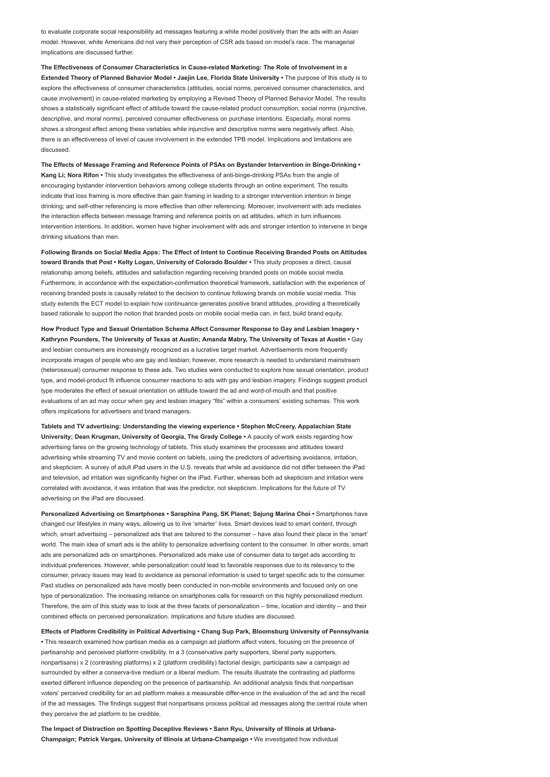to evaluate corporate social responsibility ad messages featuring a white model positively than the ads with an Asian model. However, white Americans did not vary their perception of CSR ads based on model's race. The managerial implications are discussed further.

The Effectiveness of Consumer Characteristics in Cause-related Marketing: The Role of Involvement in a Extended Theory of Planned Behavior Model • Jaejin Lee, Florida State University • The purpose of this study is to explore the effectiveness of consumer characteristics (attitudes, social norms, perceived consumer characteristics, and cause involvement) in cause-related marketing by employing a Revised Theory of Planned Behavior Model. The results shows a statistically significant effect of attitude toward the cause-related product consumption, social norms (injunctive, descriptive, and moral norms), perceived consumer effectiveness on purchase intentions. Especially, moral norms shows a strongest effect among these variables while injunctive and descriptive norms were negatively affect. Also, there is an effectiveness of level of cause involvement in the extended TPB model. Implications and limitations are discussed.

The Effects of Message Framing and Reference Points of PSAs on Bystander Intervention in Binge-Drinking • Kang Li; Nora Rifon • This study investigates the effectiveness of anti-binge-drinking PSAs from the angle of encouraging bystander intervention behaviors among college students through an online experiment. The results indicate that loss framing is more effective than gain framing in leading to a stronger intervention intention in binge drinking; and self-other referencing is more effective than other referencing. Moreover, involvement with ads mediates the interaction effects between message framing and reference points on ad attitudes, which in turn influences intervention intentions. In addition, women have higher involvement with ads and stronger intention to intervene in binge drinking situations than men.

Following Brands on Social Media Apps: The Effect of Intent to Continue Receiving Branded Posts on Attitudes toward Brands that Post • Kelty Logan, University of Colorado Boulder • This study proposes a direct, causal relationship among beliefs, attitudes and satisfaction regarding receiving branded posts on mobile social media. Furthermore, in accordance with the expectation-confirmation theoretical framework, satisfaction with the experience of receiving branded posts is causally related to the decision to continue following brands on mobile social media. This study extends the ECT model to explain how continuance generates positive brand attitudes, providing a theoretically based rationale to support the notion that branded posts on mobile social media can, in fact, build brand equity.

How Product Type and Sexual Orientation Schema Affect Consumer Response to Gay and Lesbian Imagery • Kathrynn Pounders, The University of Texas at Austin; Amanda Mabry, The University of Texas at Austin • Gay and lesbian consumers are increasingly recognized as a lucrative target market. Advertisements more frequently incorporate images of people who are gay and lesbian; however, more research is needed to understand mainstream (heterosexual) consumer response to these ads. Two studies were conducted to explore how sexual orientation, product type, and model-product fit influence consumer reactions to ads with gay and lesbian imagery. Findings suggest product type moderates the effect of sexual orientation on attitude toward the ad and word-of-mouth and that positive evaluations of an ad may occur when gay and lesbian imagery "fits" within a consumers' existing schemas. This work offers implications for advertisers and brand managers.

Tablets and TV advertising: Understanding the viewing experience • Stephen McCreery, Appalachian State University; Dean Krugman, University of Georgia, The Grady College • A paucity of work exists regarding how advertising fares on the growing technology of tablets. This study examines the processes and attitudes toward advertising while streaming TV and movie content on tablets, using the predictors of advertising avoidance, irritation, and skepticism. A survey of adult iPad users in the U.S. reveals that while ad avoidance did not differ between the iPad and television, ad irritation was significantly higher on the iPad. Further, whereas both ad skepticism and irritation were correlated with avoidance, it was irritation that was the predictor, not skepticism. Implications for the future of TV advertising on the iPad are discussed.

Personalized Advertising on Smartphones • Saraphine Pang, SK Planet; Sejung Marina Choi • Smartphones have changed our lifestyles in many ways, allowing us to live 'smarter' lives. Smart devices lead to smart content, through which, smart advertising – personalized ads that are tailored to the consumer – have also found their place in the 'smart' world. The main idea of smart ads is the ability to personalize advertising content to the consumer. In other words, smart ads are personalized ads on smartphones. Personalized ads make use of consumer data to target ads according to individual preferences. However, while personalization could lead to favorable responses due to its relevancy to the consumer, privacy issues may lead to avoidance as personal information is used to target specific ads to the consumer. Past studies on personalized ads have mostly been conducted in non-mobile environments and focused only on one type of personalization. The increasing reliance on smartphones calls for research on this highly personalized medium. Therefore, the aim of this study was to look at the three facets of personalization – time, location and identity – and their combined effects on perceived personalization. Implications and future studies are discussed.

Effects of Platform Credibility in Political Advertising • Chang Sup Park, Bloomsburg University of Pennsylvania • This research examined how partisan media as a campaign ad platform affect voters, focusing on the presence of partisanship and perceived platform credibility. In a 3 (conservative party supporters, liberal party supporters, nonpartisans) x 2 (contrasting platforms) x 2 (platform credibility) factorial design, participants saw a campaign ad surrounded by either a conserva-tive medium or a liberal medium. The results illustrate the contrasting ad platforms exerted different influence depending on the presence of partisanship. An additional analysis finds that nonpartisan voters' perceived credibility for an ad platform makes a measurable differ-ence in the evaluation of the ad and the recall of the ad messages. The findings suggest that nonpartisans process political ad messages along the central route when they perceive the ad platform to be credible.

The Impact of Distraction on Spotting Deceptive Reviews • Sann Ryu, University of Illinois at Urbana-Champaign; Patrick Vargas, University of Illinois at Urbana-Champaign • We investigated how individual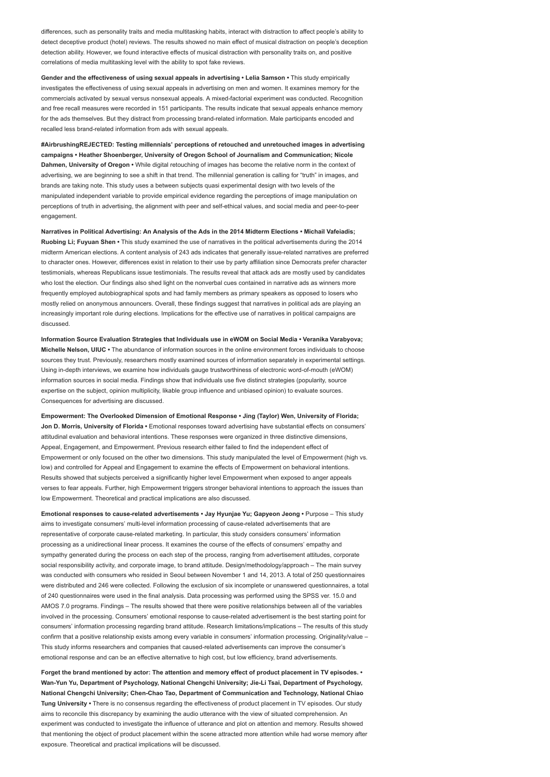differences, such as personality traits and media multitasking habits, interact with distraction to affect people's ability to detect deceptive product (hotel) reviews. The results showed no main effect of musical distraction on people's deception detection ability. However, we found interactive effects of musical distraction with personality traits on, and positive correlations of media multitasking level with the ability to spot fake reviews.

Gender and the effectiveness of using sexual appeals in advertising • Lelia Samson • This study empirically investigates the effectiveness of using sexual appeals in advertising on men and women. It examines memory for the commercials activated by sexual versus nonsexual appeals. A mixed-factorial experiment was conducted. Recognition and free recall measures were recorded in 151 participants. The results indicate that sexual appeals enhance memory for the ads themselves. But they distract from processing brand-related information. Male participants encoded and recalled less brand-related information from ads with sexual appeals.

#AirbrushingREJECTED: Testing millennials' perceptions of retouched and unretouched images in advertising campaigns • Heather Shoenberger, University of Oregon School of Journalism and Communication; Nicole Dahmen, University of Oregon • While digital retouching of images has become the relative norm in the context of advertising, we are beginning to see a shift in that trend. The millennial generation is calling for "truth" in images, and brands are taking note. This study uses a between subjects quasi experimental design with two levels of the manipulated independent variable to provide empirical evidence regarding the perceptions of image manipulation on perceptions of truth in advertising, the alignment with peer and self-ethical values, and social media and peer-to-peer engagement

Narratives in Political Advertising: An Analysis of the Ads in the 2014 Midterm Elections • Michail Vafeiadis; Ruobing Li; Fuyuan Shen • This study examined the use of narratives in the political advertisements during the 2014 midterm American elections. A content analysis of 243 ads indicates that generally issue-related narratives are preferred to character ones. However, differences exist in relation to their use by party affiliation since Democrats prefer character testimonials, whereas Republicans issue testimonials. The results reveal that attack ads are mostly used by candidates who lost the election. Our findings also shed light on the nonverbal cues contained in narrative ads as winners more frequently employed autobiographical spots and had family members as primary speakers as opposed to losers who mostly relied on anonymous announcers. Overall, these findings suggest that narratives in political ads are playing an increasingly important role during elections. Implications for the effective use of narratives in political campaigns are discussed.

Information Source Evaluation Strategies that Individuals use in eWOM on Social Media • Veranika Varabyova; Michelle Nelson, UIUC • The abundance of information sources in the online environment forces individuals to choose sources they trust. Previously, researchers mostly examined sources of information separately in experimental settings. Using in-depth interviews, we examine how individuals gauge trustworthiness of electronic word-of-mouth (eWOM) information sources in social media. Findings show that individuals use five distinct strategies (popularity, source expertise on the subject, opinion multiplicity, likable group influence and unbiased opinion) to evaluate sources. Consequences for advertising are discussed.

Empowerment: The Overlooked Dimension of Emotional Response • Jing (Taylor) Wen, University of Florida; Jon D. Morris, University of Florida • Emotional responses toward advertising have substantial effects on consumers' attitudinal evaluation and behavioral intentions. These responses were organized in three distinctive dimensions, Appeal, Engagement, and Empowerment. Previous research either failed to find the independent effect of Empowerment or only focused on the other two dimensions. This study manipulated the level of Empowerment (high vs. low) and controlled for Appeal and Engagement to examine the effects of Empowerment on behavioral intentions. Results showed that subjects perceived a significantly higher level Empowerment when exposed to anger appeals verses to fear appeals. Further, high Empowerment triggers stronger behavioral intentions to approach the issues than low Empowerment. Theoretical and practical implications are also discussed.

Emotional responses to cause-related advertisements • Jay Hyunjae Yu; Gapyeon Jeong • Purpose – This study aims to investigate consumers' multi-level information processing of cause-related advertisements that are representative of corporate cause-related marketing. In particular, this study considers consumers' information processing as a unidirectional linear process. It examines the course of the effects of consumers' empathy and sympathy generated during the process on each step of the process, ranging from advertisement attitudes, corporate social responsibility activity, and corporate image, to brand attitude. Design/methodology/approach – The main survey was conducted with consumers who resided in Seoul between November 1 and 14, 2013. A total of 250 questionnaires were distributed and 246 were collected. Following the exclusion of six incomplete or unanswered questionnaires, a total of 240 questionnaires were used in the final analysis. Data processing was performed using the SPSS ver. 15.0 and AMOS 7.0 programs. Findings – The results showed that there were positive relationships between all of the variables involved in the processing. Consumers' emotional response to cause-related advertisement is the best starting point for consumers' information processing regarding brand attitude. Research limitations/implications – The results of this study confirm that a positive relationship exists among every variable in consumers' information processing. Originality/value -This study informs researchers and companies that caused-related advertisements can improve the consumer's emotional response and can be an effective alternative to high cost, but low efficiency, brand advertisements.

Forget the brand mentioned by actor: The attention and memory effect of product placement in TV episodes. • Wan-Yun Yu, Department of Psychology, National Chengchi University; Jie-Li Tsai, Department of Psychology, National Chengchi University; Chen-Chao Tao, Department of Communication and Technology, National Chiao Tung University • There is no consensus regarding the effectiveness of product placement in TV episodes. Our study aims to reconcile this discrepancy by examining the audio utterance with the view of situated comprehension. An experiment was conducted to investigate the influence of utterance and plot on attention and memory. Results showed that mentioning the object of product placement within the scene attracted more attention while had worse memory after exposure. Theoretical and practical implications will be discussed.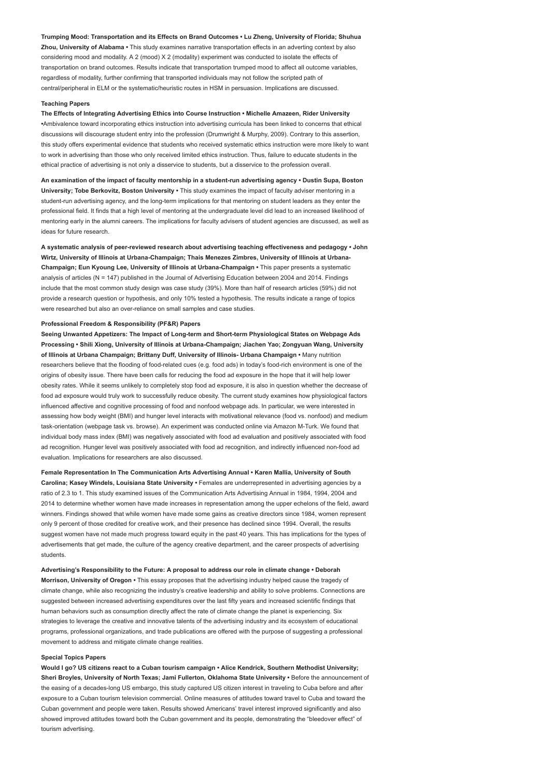Trumping Mood: Transportation and its Effects on Brand Outcomes • Lu Zheng, University of Florida; Shuhua Zhou, University of Alabama • This study examines narrative transportation effects in an adverting context by also considering mood and modality. A 2 (mood) X 2 (modality) experiment was conducted to isolate the effects of transportation on brand outcomes. Results indicate that transportation trumped mood to affect all outcome variables, regardless of modality, further confirming that transported individuals may not follow the scripted path of central/peripheral in ELM or the systematic/heuristic routes in HSM in persuasion. Implications are discussed.

### Teaching Papers

The Effects of Integrating Advertising Ethics into Course Instruction • Michelle Amazeen, Rider University •Ambivalence toward incorporating ethics instruction into advertising curricula has been linked to concerns that ethical discussions will discourage student entry into the profession (Drumwright & Murphy, 2009). Contrary to this assertion, this study offers experimental evidence that students who received systematic ethics instruction were more likely to want to work in advertising than those who only received limited ethics instruction. Thus, failure to educate students in the ethical practice of advertising is not only a disservice to students, but a disservice to the profession overall.

An examination of the impact of faculty mentorship in a student-run advertising agency • Dustin Supa, Boston University; Tobe Berkovitz, Boston University • This study examines the impact of faculty adviser mentoring in a student-run advertising agency, and the long-term implications for that mentoring on student leaders as they enter the professional field. It finds that a high level of mentoring at the undergraduate level did lead to an increased likelihood of mentoring early in the alumni careers. The implications for faculty advisers of student agencies are discussed, as well as ideas for future research.

A systematic analysis of peer-reviewed research about advertising teaching effectiveness and pedagogy • John Wirtz, University of Illinois at Urbana-Champaign; Thais Menezes Zimbres, University of Illinois at Urbana-Champaign; Eun Kyoung Lee, University of Illinois at Urbana-Champaign • This paper presents a systematic analysis of articles (N = 147) published in the Journal of Advertising Education between 2004 and 2014. Findings include that the most common study design was case study (39%). More than half of research articles (59%) did not provide a research question or hypothesis, and only 10% tested a hypothesis. The results indicate a range of topics were researched but also an over-reliance on small samples and case studies.

## Professional Freedom & Responsibility (PF&R) Papers

Seeing Unwanted Appetizers: The Impact of Long-term and Short-term Physiological States on Webpage Ads Processing • Shili Xiong, University of Illinois at Urbana-Champaign; Jiachen Yao; Zongyuan Wang, University of Illinois at Urbana Champaign; Brittany Duff, University of Illinois- Urbana Champaign • Many nutrition researchers believe that the flooding of food-related cues (e.g. food ads) in today's food-rich environment is one of the origins of obesity issue. There have been calls for reducing the food ad exposure in the hope that it will help lower obesity rates. While it seems unlikely to completely stop food ad exposure, it is also in question whether the decrease of food ad exposure would truly work to successfully reduce obesity. The current study examines how physiological factors influenced affective and cognitive processing of food and nonfood webpage ads. In particular, we were interested in assessing how body weight (BMI) and hunger level interacts with motivational relevance (food vs. nonfood) and medium task-orientation (webpage task vs. browse). An experiment was conducted online via Amazon M-Turk. We found that individual body mass index (BMI) was negatively associated with food ad evaluation and positively associated with food ad recognition. Hunger level was positively associated with food ad recognition, and indirectly influenced non-food ad evaluation. Implications for researchers are also discussed.

Female Representation In The Communication Arts Advertising Annual • Karen Mallia, University of South Carolina; Kasey Windels, Louisiana State University • Females are underrepresented in advertising agencies by a ratio of 2.3 to 1. This study examined issues of the Communication Arts Advertising Annual in 1984, 1994, 2004 and 2014 to determine whether women have made increases in representation among the upper echelons of the field, award winners. Findings showed that while women have made some gains as creative directors since 1984, women represent only 9 percent of those credited for creative work, and their presence has declined since 1994. Overall, the results suggest women have not made much progress toward equity in the past 40 years. This has implications for the types of advertisements that get made, the culture of the agency creative department, and the career prospects of advertising students.

Advertising's Responsibility to the Future: A proposal to address our role in climate change • Deborah Morrison, University of Oregon • This essay proposes that the advertising industry helped cause the tragedy of climate change, while also recognizing the industry's creative leadership and ability to solve problems. Connections are suggested between increased advertising expenditures over the last fifty years and increased scientific findings that human behaviors such as consumption directly affect the rate of climate change the planet is experiencing. Six strategies to leverage the creative and innovative talents of the advertising industry and its ecosystem of educational programs, professional organizations, and trade publications are offered with the purpose of suggesting a professional movement to address and mitigate climate change realities.

#### Special Topics Papers

Would I go? US citizens react to a Cuban tourism campaign • Alice Kendrick, Southern Methodist University; Sheri Broyles, University of North Texas; Jami Fullerton, Oklahoma State University • Before the announcement of the easing of a decades-long US embargo, this study captured US citizen interest in traveling to Cuba before and after exposure to a Cuban tourism television commercial. Online measures of attitudes toward travel to Cuba and toward the Cuban government and people were taken. Results showed Americans' travel interest improved significantly and also showed improved attitudes toward both the Cuban government and its people, demonstrating the "bleedover effect" of tourism advertising.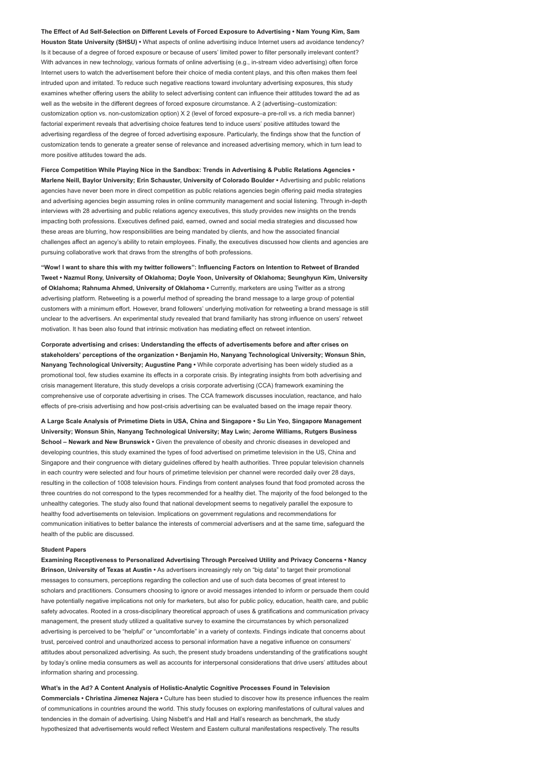The Effect of Ad Self-Selection on Different Levels of Forced Exposure to Advertising • Nam Young Kim, Sam Houston State University (SHSU) • What aspects of online advertising induce Internet users ad avoidance tendency? Is it because of a degree of forced exposure or because of users' limited power to filter personally irrelevant content? With advances in new technology, various formats of online advertising (e.g., in-stream video advertising) often force Internet users to watch the advertisement before their choice of media content plays, and this often makes them feel intruded upon and irritated. To reduce such negative reactions toward involuntary advertising exposures, this study examines whether offering users the ability to select advertising content can influence their attitudes toward the ad as well as the website in the different degrees of forced exposure circumstance. A 2 (advertising–customization: customization option vs. non-customization option) X 2 (level of forced exposure–a pre-roll vs. a rich media banner) factorial experiment reveals that advertising choice features tend to induce users' positive attitudes toward the advertising regardless of the degree of forced advertising exposure. Particularly, the findings show that the function of customization tends to generate a greater sense of relevance and increased advertising memory, which in turn lead to more positive attitudes toward the ads.

Fierce Competition While Playing Nice in the Sandbox: Trends in Advertising & Public Relations Agencies • Marlene Neill, Baylor University; Erin Schauster, University of Colorado Boulder • Advertising and public relations agencies have never been more in direct competition as public relations agencies begin offering paid media strategies and advertising agencies begin assuming roles in online community management and social listening. Through in-depth interviews with 28 advertising and public relations agency executives, this study provides new insights on the trends impacting both professions. Executives defined paid, earned, owned and social media strategies and discussed how these areas are blurring, how responsibilities are being mandated by clients, and how the associated financial challenges affect an agency's ability to retain employees. Finally, the executives discussed how clients and agencies are pursuing collaborative work that draws from the strengths of both professions.

"Wow! I want to share this with my twitter followers": Influencing Factors on Intention to Retweet of Branded Tweet • Nazmul Rony, University of Oklahoma; Doyle Yoon, University of Oklahoma; Seunghyun Kim, University of Oklahoma; Rahnuma Ahmed, University of Oklahoma • Currently, marketers are using Twitter as a strong advertising platform. Retweeting is a powerful method of spreading the brand message to a large group of potential customers with a minimum effort. However, brand followers' underlying motivation for retweeting a brand message is still unclear to the advertisers. An experimental study revealed that brand familiarity has strong influence on users' retweet motivation. It has been also found that intrinsic motivation has mediating effect on retweet intention.

Corporate advertising and crises: Understanding the effects of advertisements before and after crises on stakeholders' perceptions of the organization • Benjamin Ho, Nanyang Technological University; Wonsun Shin, Nanyang Technological University; Augustine Pang • While corporate advertising has been widely studied as a promotional tool, few studies examine its effects in a corporate crisis. By integrating insights from both advertising and crisis management literature, this study develops a crisis corporate advertising (CCA) framework examining the comprehensive use of corporate advertising in crises. The CCA framework discusses inoculation, reactance, and halo effects of pre-crisis advertising and how post-crisis advertising can be evaluated based on the image repair theory.

A Large Scale Analysis of Primetime Diets in USA, China and Singapore • Su Lin Yeo, Singapore Management University; Wonsun Shin, Nanyang Technological University; May Lwin; Jerome Williams, Rutgers Business School – Newark and New Brunswick • Given the prevalence of obesity and chronic diseases in developed and developing countries, this study examined the types of food advertised on primetime television in the US, China and Singapore and their congruence with dietary guidelines offered by health authorities. Three popular television channels in each country were selected and four hours of primetime television per channel were recorded daily over 28 days, resulting in the collection of 1008 television hours. Findings from content analyses found that food promoted across the three countries do not correspond to the types recommended for a healthy diet. The majority of the food belonged to the unhealthy categories. The study also found that national development seems to negatively parallel the exposure to healthy food advertisements on television. Implications on government regulations and recommendations for communication initiatives to better balance the interests of commercial advertisers and at the same time, safeguard the health of the public are discussed.

# Student Papers

Examining Receptiveness to Personalized Advertising Through Perceived Utility and Privacy Concerns • Nancy Brinson, University of Texas at Austin • As advertisers increasingly rely on "big data" to target their promotional messages to consumers, perceptions regarding the collection and use of such data becomes of great interest to scholars and practitioners. Consumers choosing to ignore or avoid messages intended to inform or persuade them could have potentially negative implications not only for marketers, but also for public policy, education, health care, and public safety advocates. Rooted in a cross-disciplinary theoretical approach of uses & gratifications and communication privacy management, the present study utilized a qualitative survey to examine the circumstances by which personalized advertising is perceived to be "helpful" or "uncomfortable" in a variety of contexts. Findings indicate that concerns about trust, perceived control and unauthorized access to personal information have a negative influence on consumers' attitudes about personalized advertising. As such, the present study broadens understanding of the gratifications sought by today's online media consumers as well as accounts for interpersonal considerations that drive users' attitudes about information sharing and processing.

What's in the Ad? A Content Analysis of Holistic-Analytic Cognitive Processes Found in Television

Commercials • Christina Jimenez Najera • Culture has been studied to discover how its presence influences the realm of communications in countries around the world. This study focuses on exploring manifestations of cultural values and tendencies in the domain of advertising. Using Nisbett's and Hall and Hall's research as benchmark, the study hypothesized that advertisements would reflect Western and Eastern cultural manifestations respectively. The results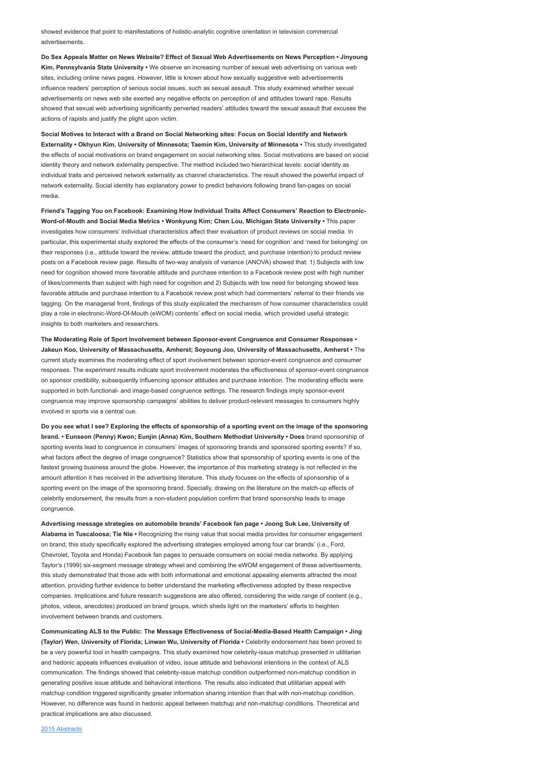showed evidence that point to manifestations of holistic-analytic cognitive orientation in television commercial advertisements.

Do Sex Appeals Matter on News Website? Effect of Sexual Web Advertisements on News Perception • Jinyoung Kim, Pennsylvania State University • We observe an increasing number of sexual web advertising on various web sites, including online news pages. However, little is known about how sexually suggestive web advertisements influence readers' perception of serious social issues, such as sexual assault. This study examined whether sexual advertisements on news web site exerted any negative effects on perception of and attitudes toward rape. Results showed that sexual web advertising significantly perverted readers' attitudes toward the sexual assault that excuses the actions of rapists and justify the plight upon victim.

Social Motives to Interact with a Brand on Social Networking sites: Focus on Social Identify and Network Externality • Okhyun Kim, University of Minnesota; Taemin Kim, University of Minnesota • This study investigated the effects of social motivations on brand engagement on social networking sites. Social motivations are based on social identity theory and network externality perspective. The method included two hierarchical levels: social identity as individual traits and perceived network externality as channel characteristics. The result showed the powerful impact of network externality. Social identity has explanatory power to predict behaviors following brand fan-pages on social media.

Friend's Tagging You on Facebook: Examining How Individual Traits Affect Consumers' Reaction to Electronic-Word-of-Mouth and Social Media Metrics • Wonkyung Kim; Chen Lou, Michigan State University • This paper investigates how consumers' individual characteristics affect their evaluation of product reviews on social media. In particular, this experimental study explored the effects of the consumer's 'need for cognition' and 'need for belonging' on their responses (i.e., attitude toward the review, attitude toward the product, and purchase intention) to product review posts on a Facebook review page. Results of two-way analysis of variance (ANOVA) showed that: 1) Subjects with low need for cognition showed more favorable attitude and purchase intention to a Facebook review post with high number of likes/comments than subject with high need for cognition and 2) Subjects with low need for belonging showed less favorable attitude and purchase intention to a Facebook review post which had commenters' referral to their friends via tagging. On the managerial front, findings of this study explicated the mechanism of how consumer characteristics could play a role in electronic-Word-Of-Mouth (eWOM) contents' effect on social media, which provided useful strategic insights to both marketers and researchers.

The Moderating Role of Sport Involvement between Sponsor-event Congruence and Consumer Responses • Jakeun Koo, University of Massachusetts, Amherst; Soyoung Joo, University of Massachusetts, Amherst • The current study examines the moderating effect of sport involvement between sponsor-event congruence and consumer responses. The experiment results indicate sport involvement moderates the effectiveness of sponsor-event congruence on sponsor credibility, subsequently influencing sponsor attitudes and purchase intention. The moderating effects were supported in both functional- and image-based congruence settings. The research findings imply sponsor-event congruence may improve sponsorship campaigns' abilities to deliver product-relevant messages to consumers highly involved in sports via a central cue.

Do you see what I see? Exploring the effects of sponsorship of a sporting event on the image of the sponsoring brand. • Eunseon (Penny) Kwon; Eunjin (Anna) Kim, Southern Methodist University • Does brand sponsorship of sporting events lead to congruence in consumers' images of sponsoring brands and sponsored sporting events? If so, what factors affect the degree of image congruence? Statistics show that sponsorship of sporting events is one of the fastest growing business around the globe. However, the importance of this marketing strategy is not reflected in the amount attention it has received in the advertising literature. This study focuses on the effects of sponsorship of a sporting event on the image of the sponsoring brand. Specially, drawing on the literature on the match-up effects of celebrity endorsement, the results from a non-student population confirm that brand sponsorship leads to image congruence.

Advertising message strategies on automobile brands' Facebook fan page • Joong Suk Lee, University of Alabama in Tuscaloosa; Tie Nie • Recognizing the rising value that social media provides for consumer engagement on brand, this study specifically explored the advertising strategies employed among four car brands' (i.e., Ford, Chevrolet, Toyota and Honda) Facebook fan pages to persuade consumers on social media networks. By applying Taylor's (1999) six-segment message strategy wheel and combining the eWOM engagement of these advertisements, this study demonstrated that those ads with both informational and emotional appealing elements attracted the most attention, providing further evidence to better understand the marketing effectiveness adopted by these respective companies. Implications and future research suggestions are also offered, considering the wide range of content (e.g., photos, videos, anecdotes) produced on brand groups, which sheds light on the marketers' efforts to heighten involvement between brands and customers.

Communicating ALS to the Public: The Message Effectiveness of Social-Media-Based Health Campaign • Jing (Taylor) Wen, University of Florida; Linwan Wu, University of Florida • Celebrity endorsement has been proved to be a very powerful tool in health campaigns. This study examined how celebrity-issue matchup presented in utilitarian and hedonic appeals influences evaluation of video, issue attitude and behavioral intentions in the context of ALS communication. The findings showed that celebrity-issue matchup condition outperformed non-matchup condition in generating positive issue attitude and behavioral intentions. The results also indicated that utilitarian appeal with matchup condition triggered significantly greater information sharing intention than that with non-matchup condition. However, no difference was found in hedonic appeal between matchup and non-matchup conditions. Theoretical and practical implications are also discussed.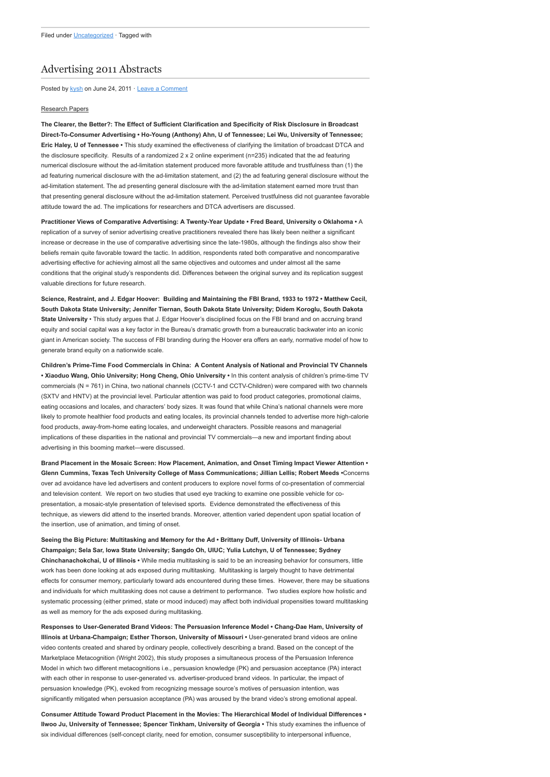# [Advertising 2011 Abstracts](http://www.aejmc.org/home/2011/06/advertising-2011-abstracts/)

Posted by [kysh](http://www.aejmc.org/home/author/kyshiab/) on June 24, 2011 · [Leave a Comment](http://www.aejmc.org/home/2011/06/advertising-2011-abstracts/#respond)

## Research Papers

The Clearer, the Better?: The Effect of Sufficient Clarification and Specificity of Risk Disclosure in Broadcast Direct-To-Consumer Advertising • Ho-Young (Anthony) Ahn, U of Tennessee; Lei Wu, University of Tennessee; Eric Haley, U of Tennessee • This study examined the effectiveness of clarifying the limitation of broadcast DTCA and the disclosure specificity. Results of a randomized 2 x 2 online experiment (n=235) indicated that the ad featuring numerical disclosure without the ad-limitation statement produced more favorable attitude and trustfulness than (1) the ad featuring numerical disclosure with the ad-limitation statement, and (2) the ad featuring general disclosure without the ad-limitation statement. The ad presenting general disclosure with the ad-limitation statement earned more trust than that presenting general disclosure without the ad-limitation statement. Perceived trustfulness did not guarantee favorable attitude toward the ad. The implications for researchers and DTCA advertisers are discussed.

Practitioner Views of Comparative Advertising: A Twenty-Year Update • Fred Beard, University o Oklahoma • A replication of a survey of senior advertising creative practitioners revealed there has likely been neither a significant increase or decrease in the use of comparative advertising since the late-1980s, although the findings also show their beliefs remain quite favorable toward the tactic. In addition, respondents rated both comparative and noncomparative advertising effective for achieving almost all the same objectives and outcomes and under almost all the same conditions that the original study's respondents did. Differences between the original survey and its replication suggest valuable directions for future research.

Science, Restraint, and J. Edgar Hoover: Building and Maintaining the FBI Brand, 1933 to 1972 • Matthew Cecil, South Dakota State University; Jennifer Tiernan, South Dakota State University; Didem Koroglu, South Dakota State University • This study argues that J. Edgar Hoover's disciplined focus on the FBI brand and on accruing brand equity and social capital was a key factor in the Bureau's dramatic growth from a bureaucratic backwater into an iconic giant in American society. The success of FBI branding during the Hoover era offers an early, normative model of how to generate brand equity on a nationwide scale.

Children's Prime-Time Food Commercials in China: A Content Analysis of National and Provincial TV Channels • Xiaoduo Wang, Ohio University; Hong Cheng, Ohio University • In this content analysis of children's prime-time TV commercials (N = 761) in China, two national channels (CCTV-1 and CCTV-Children) were compared with two channels (SXTV and HNTV) at the provincial level. Particular attention was paid to food product categories, promotional claims, eating occasions and locales, and characters' body sizes. It was found that while China's national channels were more likely to promote healthier food products and eating locales, its provincial channels tended to advertise more high-calorie food products, away-from-home eating locales, and underweight characters. Possible reasons and managerial implications of these disparities in the national and provincial TV commercials—a new and important finding about advertising in this booming market—were discussed.

Brand Placement in the Mosaic Screen: How Placement, Animation, and Onset Timing Impact Viewer Attention • Glenn Cummins, Texas Tech University College of Mass Communications; Jillian Lellis; Robert Meeds •Concerns over ad avoidance have led advertisers and content producers to explore novel forms of co-presentation of commercial and television content. We report on two studies that used eye tracking to examine one possible vehicle for copresentation, a mosaic-style presentation of televised sports. Evidence demonstrated the effectiveness of this technique, as viewers did attend to the inserted brands. Moreover, attention varied dependent upon spatial location of the insertion, use of animation, and timing of onset.

Seeing the Big Picture: Multitasking and Memory for the Ad • Brittany Duff, University of Illinois- Urbana Champaign; Sela Sar, Iowa State University; Sangdo Oh, UIUC; Yulia Lutchyn, U of Tennessee; Sydney Chinchanachokchai, U of Illinois • While media multitasking is said to be an increasing behavior for consumers, little work has been done looking at ads exposed during multitasking. Multitasking is largely thought to have detrimental effects for consumer memory, particularly toward ads encountered during these times. However, there may be situations and individuals for which multitasking does not cause a detriment to performance. Two studies explore how holistic and systematic processing (either primed, state or mood induced) may affect both individual propensities toward multitasking as well as memory for the ads exposed during multitasking.

Responses to User-Generated Brand Videos: The Persuasion Inference Model • Chang-Dae Ham, University of Illinois at Urbana-Champaign; Esther Thorson, University of Missouri • User-generated brand videos are online video contents created and shared by ordinary people, collectively describing a brand. Based on the concept of the Marketplace Metacognition (Wright 2002), this study proposes a simultaneous process of the Persuasion Inference Model in which two different metacognitions i.e., persuasion knowledge (PK) and persuasion acceptance (PA) interact with each other in response to user-generated vs. advertiser-produced brand videos. In particular, the impact of persuasion knowledge (PK), evoked from recognizing message source's motives of persuasion intention, was significantly mitigated when persuasion acceptance (PA) was aroused by the brand video's strong emotional appeal.

Consumer Attitude Toward Product Placement in the Movies: The Hierarchical Model of Individual Differences • Ilwoo Ju, University of Tennessee; Spencer Tinkham, University of Georgia • This study examines the influence of six individual differences (self-concept clarity, need for emotion, consumer susceptibility to interpersonal influence,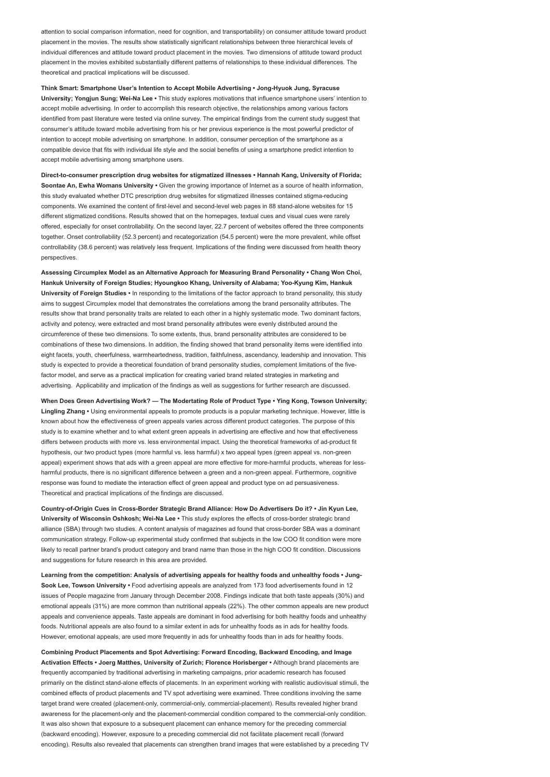attention to social comparison information, need for cognition, and transportability) on consumer attitude toward product placement in the movies. The results show statistically significant relationships between three hierarchical levels of individual differences and attitude toward product placement in the movies. Two dimensions of attitude toward product placement in the movies exhibited substantially different patterns of relationships to these individual differences. The theoretical and practical implications will be discussed.

Think Smart: Smartphone User's Intention to Accept Mobile Advertising • Jong-Hyuok Jung, Syracuse University; Yongjun Sung; Wei-Na Lee • This study explores motivations that influence smartphone users' intention to accept mobile advertising. In order to accomplish this research objective, the relationships among various factors identified from past literature were tested via online survey. The empirical findings from the current study suggest that consumer's attitude toward mobile advertising from his or her previous experience is the most powerful predictor of intention to accept mobile advertising on smartphone. In addition, consumer perception of the smartphone as a compatible device that fits with individual life style and the social benefits of using a smartphone predict intention to accept mobile advertising among smartphone users.

Direct-to-consumer prescription drug websites for stigmatized illnesses • Hannah Kang, University of Florida; Soontae An, Ewha Womans University · Given the growing importance of Internet as a source of health information, this study evaluated whether DTC prescription drug websites for stigmatized illnesses contained stigma-reducing components. We examined the content of first-level and second-level web pages in 88 stand-alone websites for 15 different stigmatized conditions. Results showed that on the homepages, textual cues and visual cues were rarely offered, especially for onset controllability. On the second layer, 22.7 percent of websites offered the three components together. Onset controllability (52.3 percent) and recategorization (54.5 percent) were the more prevalent, while offset controllability (38.6 percent) was relatively less frequent. Implications of the finding were discussed from health theory perspectives.

Assessing Circumplex Model as an Alternative Approach for Measuring Brand Personality • Chang Won Choi, Hankuk University of Foreign Studies; Hyoungkoo Khang, University of Alabama; Yoo-Kyung Kim, Hankuk University of Foreign Studies • In responding to the limitations of the factor approach to brand personality, this study aims to suggest Circumplex model that demonstrates the correlations among the brand personality attributes. The results show that brand personality traits are related to each other in a highly systematic mode. Two dominant factors, activity and potency, were extracted and most brand personality attributes were evenly distributed around the circumference of these two dimensions. To some extents, thus, brand personality attributes are considered to be combinations of these two dimensions. In addition, the finding showed that brand personality items were identified into eight facets, youth, cheerfulness, warmheartedness, tradition, faithfulness, ascendancy, leadership and innovation. This study is expected to provide a theoretical foundation of brand personality studies, complement limitations of the fivefactor model, and serve as a practical implication for creating varied brand related strategies in marketing and advertising. Applicability and implication of the findings as well as suggestions for further research are discussed.

When Does Green Advertising Work? - The Modertating Role of Product Type . Ying Kong, Towson University; Lingling Zhang • Using environmental appeals to promote products is a popular marketing technique. However, little is known about how the effectiveness of green appeals varies across different product categories. The purpose of this study is to examine whether and to what extent green appeals in advertising are effective and how that effectiveness differs between products with more vs. less environmental impact. Using the theoretical frameworks of ad-product fit hypothesis, our two product types (more harmful vs. less harmful) x two appeal types (green appeal vs. non-green appeal) experiment shows that ads with a green appeal are more effective for more-harmful products, whereas for lessharmful products, there is no significant difference between a green and a non-green appeal. Furthermore, cognitive response was found to mediate the interaction effect of green appeal and product type on ad persuasiveness. Theoretical and practical implications of the findings are discussed.

Country-of-Origin Cues in Cross-Border Strategic Brand Alliance: How Do Advertisers Do it? • Jin Kyun Lee, University of Wisconsin Oshkosh; Wei-Na Lee • This study explores the effects of cross-border strategic brand alliance (SBA) through two studies. A content analysis of magazines ad found that cross-border SBA was a dominant communication strategy. Follow-up experimental study confirmed that subjects in the low COO fit condition were more likely to recall partner brand's product category and brand name than those in the high COO fit condition. Discussions and suggestions for future research in this area are provided.

Learning from the competition: Analysis of advertising appeals for healthy foods and unhealthy foods • Jung-Sook Lee, Towson University • Food advertising appeals are analyzed from 173 food advertisements found in 12 issues of People magazine from January through December 2008. Findings indicate that both taste appeals (30%) and emotional appeals (31%) are more common than nutritional appeals (22%). The other common appeals are new product appeals and convenience appeals. Taste appeals are dominant in food advertising for both healthy foods and unhealthy foods. Nutritional appeals are also found to a similar extent in ads for unhealthy foods as in ads for healthy foods. However, emotional appeals, are used more frequently in ads for unhealthy foods than in ads for healthy foods.

Combining Product Placements and Spot Advertising: Forward Encoding, Backward Encoding, and Image Activation Effects • Joerg Matthes, University of Zurich; Florence Horisberger • Although brand placements are frequently accompanied by traditional advertising in marketing campaigns, prior academic research has focused primarily on the distinct stand-alone effects of placements. In an experiment working with realistic audiovisual stimuli, the combined effects of product placements and TV spot advertising were examined. Three conditions involving the same target brand were created (placement-only, commercial-only, commercial-placement). Results revealed higher brand awareness for the placement-only and the placement-commercial condition compared to the commercial-only condition. It was also shown that exposure to a subsequent placement can enhance memory for the preceding commercial (backward encoding). However, exposure to a preceding commercial did not facilitate placement recall (forward encoding). Results also revealed that placements can strengthen brand images that were established by a preceding TV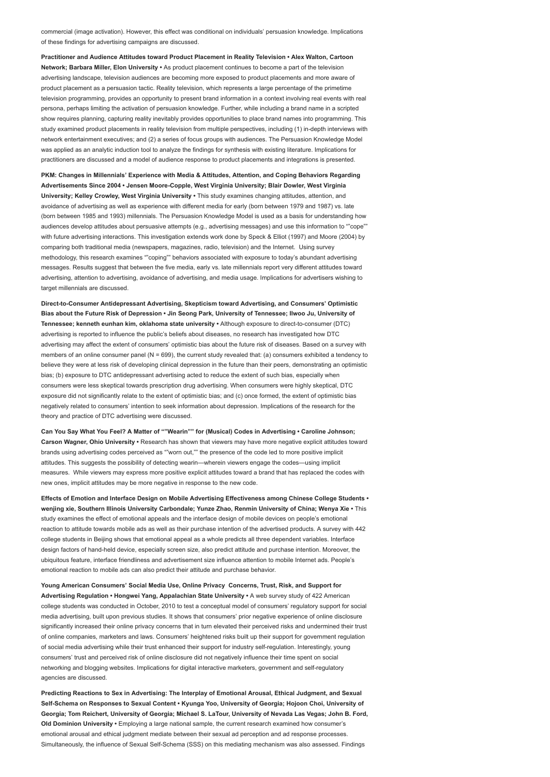commercial (image activation). However, this effect was conditional on individuals' persuasion knowledge. Implications of these findings for advertising campaigns are discussed.

Practitioner and Audience Attitudes toward Product Placement in Reality Television • Alex Walton, Cartoon Network; Barbara Miller, Elon University · As product placement continues to become a part of the television advertising landscape, television audiences are becoming more exposed to product placements and more aware of product placement as a persuasion tactic. Reality television, which represents a large percentage of the primetime television programming, provides an opportunity to present brand information in a context involving real events with real persona, perhaps limiting the activation of persuasion knowledge. Further, while including a brand name in a scripted show requires planning, capturing reality inevitably provides opportunities to place brand names into programming. This study examined product placements in reality television from multiple perspectives, including (1) in-depth interviews with network entertainment executives; and (2) a series of focus groups with audiences. The Persuasion Knowledge Model was applied as an analytic induction tool to analyze the findings for synthesis with existing literature. Implications for practitioners are discussed and a model of audience response to product placements and integrations is presented.

PKM: Changes in Millennials' Experience with Media & Attitudes, Attention, and Coping Behaviors Regarding Advertisements Since 2004 • Jensen Moore-Copple, West Virginia University; Blair Dowler, West Virginia University; Kelley Crowley, West Virginia University • This study examines changing attitudes, attention, and avoidance of advertising as well as experience with different media for early (born between 1979 and 1987) vs. late (born between 1985 and 1993) millennials. The Persuasion Knowledge Model is used as a basis for understanding how audiences develop attitudes about persuasive attempts (e.g., advertising messages) and use this information to ""cope"" with future advertising interactions. This investigation extends work done by Speck & Elliot (1997) and Moore (2004) by comparing both traditional media (newspapers, magazines, radio, television) and the Internet. Using survey methodology, this research examines ""coping"" behaviors associated with exposure to today's abundant advertising messages. Results suggest that between the five media, early vs. late millennials report very different attitudes toward advertising, attention to advertising, avoidance of advertising, and media usage. Implications for advertisers wishing to target millennials are discussed.

Direct-to-Consumer Antidepressant Advertising, Skepticism toward Advertising, and Consumers' Optimistic Bias about the Future Risk of Depression • Jin Seong Park, University of Tennessee; Ilwoo Ju, University of Tennessee; kenneth eunhan kim, oklahoma state university • Although exposure to direct-to-consumer (DTC) advertising is reported to influence the public's beliefs about diseases, no research has investigated how DTC advertising may affect the extent of consumers' optimistic bias about the future risk of diseases. Based on a survey with members of an online consumer panel (N = 699), the current study revealed that: (a) consumers exhibited a tendency to believe they were at less risk of developing clinical depression in the future than their peers, demonstrating an optimistic bias; (b) exposure to DTC antidepressant advertising acted to reduce the extent of such bias, especially when consumers were less skeptical towards prescription drug advertising. When consumers were highly skeptical, DTC exposure did not significantly relate to the extent of optimistic bias; and (c) once formed, the extent of optimistic bias negatively related to consumers' intention to seek information about depression. Implications of the research for the theory and practice of DTC advertising were discussed.

Can You Say What You Feel? A Matter of ""Wearin"" for (Musical) Codes in Advertising • Caroline Johnson; Carson Wagner, Ohio University • Research has shown that viewers may have more negative explicit attitudes toward brands using advertising codes perceived as ""worn out,"" the presence of the code led to more positive implicit attitudes. This suggests the possibility of detecting wearin—wherein viewers engage the codes—using implicit measures. While viewers may express more positive explicit attitudes toward a brand that has replaced the codes with new ones, implicit attitudes may be more negative in response to the new code.

Effects of Emotion and Interface Design on Mobile Advertising Effectiveness among Chinese College Students • wenjing xie, Southern Illinois University Carbondale; Yunze Zhao, Renmin University of China; Wenya Xie • This study examines the effect of emotional appeals and the interface design of mobile devices on people's emotional reaction to attitude towards mobile ads as well as their purchase intention of the advertised products. A survey with 442 college students in Beijing shows that emotional appeal as a whole predicts all three dependent variables. Interface design factors of hand-held device, especially screen size, also predict attitude and purchase intention. Moreover, the ubiquitous feature, interface friendliness and advertisement size influence attention to mobile Internet ads. People's emotional reaction to mobile ads can also predict their attitude and purchase behavior.

Young American Consumers' Social Media Use, Online Privacy Concerns, Trust, Risk, and Support for Advertising Regulation • Hongwei Yang, Appalachian State University • A web survey study of 422 American college students was conducted in October, 2010 to test a conceptual model of consumers' regulatory support for social media advertising, built upon previous studies. It shows that consumers' prior negative experience of online disclosure significantly increased their online privacy concerns that in turn elevated their perceived risks and undermined their trust of online companies, marketers and laws. Consumers' heightened risks built up their support for government regulation of social media advertising while their trust enhanced their support for industry self-regulation. Interestingly, young consumers' trust and perceived risk of online disclosure did not negatively influence their time spent on social networking and blogging websites. Implications for digital interactive marketers, government and self-regulatory agencies are discussed.

Predicting Reactions to Sex in Advertising: The Interplay of Emotional Arousal, Ethical Judgment, and Sexual Self-Schema on Responses to Sexual Content • Kyunga Yoo, University of Georgia; Hojoon Choi, University of Georgia; Tom Reichert, University of Georgia; Michael S. LaTour, University of Nevada Las Vegas; John B. Ford, Old Dominion University • Employing a large national sample, the current research examined how consumer's emotional arousal and ethical judgment mediate between their sexual ad perception and ad response processes. Simultaneously, the influence of Sexual Self-Schema (SSS) on this mediating mechanism was also assessed. Findings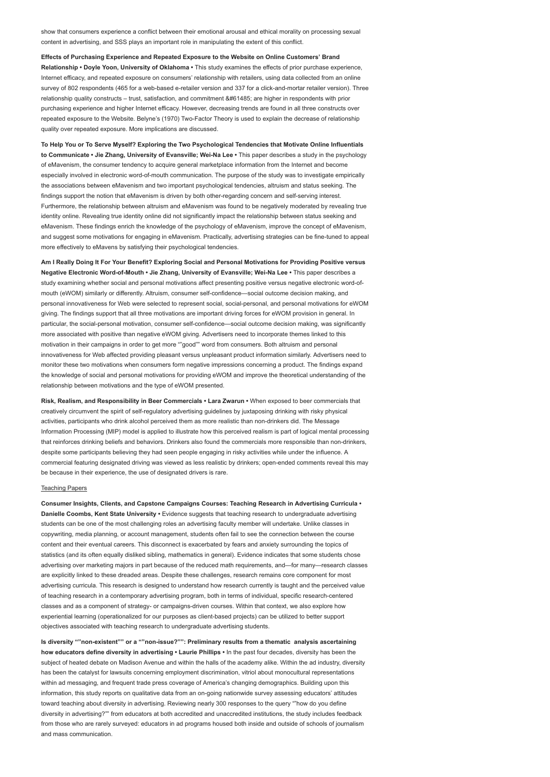show that consumers experience a conflict between their emotional arousal and ethical morality on processing sexual content in advertising, and SSS plays an important role in manipulating the extent of this conflict.

Effects of Purchasing Experience and Repeated Exposure to the Website on Online Customers' Brand Relationship • Doyle Yoon, University of Oklahoma • This study examines the effects of prior purchase experience, Internet efficacy, and repeated exposure on consumers' relationship with retailers, using data collected from an online survey of 802 respondents (465 for a web-based e-retailer version and 337 for a click-and-mortar retailer version). Three relationship quality constructs – trust, satisfaction, and commitment  are higher in respondents with prior purchasing experience and higher Internet efficacy. However, decreasing trends are found in all three constructs over repeated exposure to the Website. Belyne's (1970) Two-Factor Theory is used to explain the decrease of relationship quality over repeated exposure. More implications are discussed.

To Help You or To Serve Myself? Exploring the Two Psychological Tendencies that Motivate Online Influentials to Communicate • Jie Zhang, University of Evansville; Wei-Na Lee • This paper describes a study in the psychology of eMavenism, the consumer tendency to acquire general marketplace information from the Internet and become especially involved in electronic word-of-mouth communication. The purpose of the study was to investigate empirically the associations between eMavenism and two important psychological tendencies, altruism and status seeking. The findings support the notion that eMavenism is driven by both other-regarding concern and self-serving interest. Furthermore, the relationship between altruism and eMavenism was found to be negatively moderated by revealing true identity online. Revealing true identity online did not significantly impact the relationship between status seeking and eMavenism. These findings enrich the knowledge of the psychology of eMavenism, improve the concept of eMavenism, and suggest some motivations for engaging in eMavenism. Practically, advertising strategies can be fine-tuned to appeal more effectively to eMavens by satisfying their psychological tendencies.

Am I Really Doing It For Your Benefit? Exploring Social and Personal Motivations for Providing Positive versus Negative Electronic Word-of-Mouth • Jie Zhang, University of Evansville; Wei-Na Lee • This paper describes a study examining whether social and personal motivations affect presenting positive versus negative electronic word-ofmouth (eWOM) similarly or differently. Altruism, consumer self-confidence—social outcome decision making, and personal innovativeness for Web were selected to represent social, social-personal, and personal motivations for eWOM giving. The findings support that all three motivations are important driving forces for eWOM provision in general. In particular, the social-personal motivation, consumer self-confidence—social outcome decision making, was significantly more associated with positive than negative eWOM giving. Advertisers need to incorporate themes linked to this motivation in their campaigns in order to get more ""good"" word from consumers. Both altruism and personal innovativeness for Web affected providing pleasant versus unpleasant product information similarly. Advertisers need to monitor these two motivations when consumers form negative impressions concerning a product. The findings expand the knowledge of social and personal motivations for providing eWOM and improve the theoretical understanding of the relationship between motivations and the type of eWOM presented.

Risk, Realism, and Responsibility in Beer Commercials • Lara Zwarun • When exposed to beer commercials that creatively circumvent the spirit of self-regulatory advertising guidelines by juxtaposing drinking with risky physical activities, participants who drink alcohol perceived them as more realistic than non-drinkers did. The Message Information Processing (MIP) model is applied to illustrate how this perceived realism is part of logical mental processing that reinforces drinking beliefs and behaviors. Drinkers also found the commercials more responsible than non-drinkers, despite some participants believing they had seen people engaging in risky activities while under the influence. A commercial featuring designated driving was viewed as less realistic by drinkers; open-ended comments reveal this may be because in their experience, the use of designated drivers is rare.

### Teaching Papers

Consumer Insights, Clients, and Capstone Campaigns Courses: Teaching Research in Advertising Curricula • Danielle Coombs, Kent State University · Evidence suggests that teaching research to undergraduate advertising students can be one of the most challenging roles an advertising faculty member will undertake. Unlike classes in copywriting, media planning, or account management, students often fail to see the connection between the course content and their eventual careers. This disconnect is exacerbated by fears and anxiety surrounding the topics of statistics (and its often equally disliked sibling, mathematics in general). Evidence indicates that some students chose advertising over marketing majors in part because of the reduced math requirements, and—for many—research classes are explicitly linked to these dreaded areas. Despite these challenges, research remains core component for most advertising curricula. This research is designed to understand how research currently is taught and the perceived value of teaching research in a contemporary advertising program, both in terms of individual, specific research-centered classes and as a component of strategy- or campaigns-driven courses. Within that context, we also explore how experiential learning (operationalized for our purposes as client-based projects) can be utilized to better support objectives associated with teaching research to undergraduate advertising students.

Is diversity ""non-existent"" or a ""non-issue?"": Preliminary results from a thematic analysis ascertaining how educators define diversity in advertising • Laurie Phillips • In the past four decades, diversity has been the subject of heated debate on Madison Avenue and within the halls of the academy alike. Within the ad industry, diversity has been the catalyst for lawsuits concerning employment discrimination, vitriol about monocultural representations within ad messaging, and frequent trade press coverage of America's changing demographics. Building upon this information, this study reports on qualitative data from an on-going nationwide survey assessing educators' attitudes toward teaching about diversity in advertising. Reviewing nearly 300 responses to the query ""how do you define diversity in advertising?"" from educators at both accredited and unaccredited institutions, the study includes feedback from those who are rarely surveyed: educators in ad programs housed both inside and outside of schools of journalism and mass communication.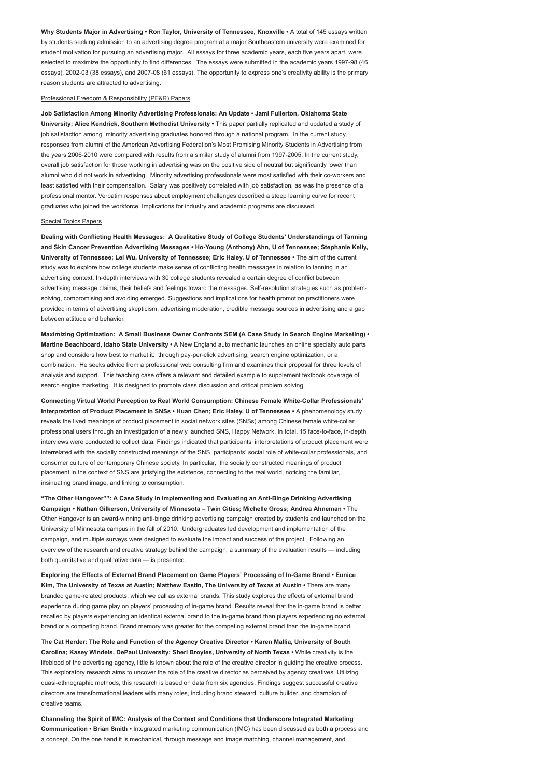Why Students Major in Advertising • Ron Taylor, University of Tennessee, Knoxville • A total of 145 essays written by students seeking admission to an advertising degree program at a major Southeastern university were examined for student motivation for pursuing an advertising major. All essays for three academic years, each five years apart, were selected to maximize the opportunity to find differences. The essays were submitted in the academic years 1997-98 (46 essays), 2002-03 (38 essays), and 2007-08 (61 essays). The opportunity to express one's creativity ability is the primary reason students are attracted to advertising.

# Professional Freedom & Responsibility (PF&R) Papers

Job Satisfaction Among Minority Advertising Professionals: An Update • Jami Fullerton, Oklahoma State University; Alice Kendrick, Southern Methodist University • This paper partially replicated and updated a study of job satisfaction among minority advertising graduates honored through a national program. In the current study, responses from alumni of the American Advertising Federation's Most Promising Minority Students in Advertising from the years 2006-2010 were compared with results from a similar study of alumni from 1997-2005. In the current study, overall job satisfaction for those working in advertising was on the positive side of neutral but significantly lower than alumni who did not work in advertising. Minority advertising professionals were most satisfied with their co-workers and least satisfied with their compensation. Salary was positively correlated with job satisfaction, as was the presence of a professional mentor. Verbatim responses about employment challenges described a steep learning curve for recent graduates who joined the workforce. Implications for industry and academic programs are discussed.

#### Special Topics Papers

Dealing with Conflicting Health Messages: A Qualitative Study of College Students' Understandings of Tanning and Skin Cancer Prevention Advertising Messages • Ho-Young (Anthony) Ahn, U of Tennessee; Stephanie Kelly, University of Tennessee; Lei Wu, University of Tennessee; Eric Haley, U of Tennessee • The aim of the current study was to explore how college students make sense of conflicting health messages in relation to tanning in an advertising context. In-depth interviews with 30 college students revealed a certain degree of conflict between advertising message claims, their beliefs and feelings toward the messages. Self-resolution strategies such as problemsolving, compromising and avoiding emerged. Suggestions and implications for health promotion practitioners were provided in terms of advertising skepticism, advertising moderation, credible message sources in advertising and a gap between attitude and behavior.

Maximizing Optimization: A Small Business Owner Confronts SEM (A Case Study In Search Engine Marketing) • Martine Beachboard, Idaho State University • A New England auto mechanic launches an online specialty auto parts shop and considers how best to market it: through pay-per-click advertising, search engine optimization, or a combination. He seeks advice from a professional web consulting firm and examines their proposal for three levels of analysis and support. This teaching case offers a relevant and detailed example to supplement textbook coverage of search engine marketing. It is designed to promote class discussion and critical problem solving.

Connecting Virtual World Perception to Real World Consumption: Chinese Female White-Collar Professionals' Interpretation of Product Placement in SNSs • Huan Chen; Eric Haley, U of Tennessee • A phenomenology study reveals the lived meanings of product placement in social network sites (SNSs) among Chinese female white-collar professional users through an investigation of a newly launched SNS, Happy Network. In total, 15 face-to-face, in-depth interviews were conducted to collect data. Findings indicated that participants' interpretations of product placement were interrelated with the socially constructed meanings of the SNS, participants' social role of white-collar professionals, and consumer culture of contemporary Chinese society. In particular, the socially constructed meanings of product placement in the context of SNS are jutisfying the existence, connecting to the real world, noticing the familiar, insinuating brand image, and linking to consumption.

"The Other Hangover"": A Case Study in Implementing and Evaluating an Anti-Binge Drinking Advertising Campaign • Nathan Gilkerson, University of Minnesota – Twin Cities; Michelle Gross; Andrea Ahneman • The Other Hangover is an award-winning anti-binge drinking advertising campaign created by students and launched on the University of Minnesota campus in the fall of 2010. Undergraduates led development and implementation of the campaign, and multiple surveys were designed to evaluate the impact and success of the project. Following an overview of the research and creative strategy behind the campaign, a summary of the evaluation results — including both quantitative and qualitative data — is presented.

Exploring the Effects of External Brand Placement on Game Players' Processing of In-Game Brand • Eunice Kim, The University of Texas at Austin; Matthew Eastin, The University of Texas at Austin • There are many branded game-related products, which we call as external brands. This study explores the effects of external brand experience during game play on players' processing of in-game brand. Results reveal that the in-game brand is better recalled by players experiencing an identical external brand to the in-game brand than players experiencing no external brand or a competing brand. Brand memory was greater for the competing external brand than the in-game brand.

The Cat Herder: The Role and Function of the Agency Creative Director • Karen Mallia, University of South Carolina; Kasey Windels, DePaul University; Sheri Broyles, University of North Texas • While creativity is the lifeblood of the advertising agency, little is known about the role of the creative director in guiding the creative process. This exploratory research aims to uncover the role of the creative director as perceived by agency creatives. Utilizing quasi-ethnographic methods, this research is based on data from six agencies. Findings suggest successful creative directors are transformational leaders with many roles, including brand steward, culture builder, and champion of creative teams.

Channeling the Spirit of IMC: Analysis of the Context and Conditions that Underscore Integrated Marketing Communication • Brian Smith • Integrated marketing communication (IMC) has been discussed as both a process and a concept. On the one hand it is mechanical, through message and image matching, channel management, and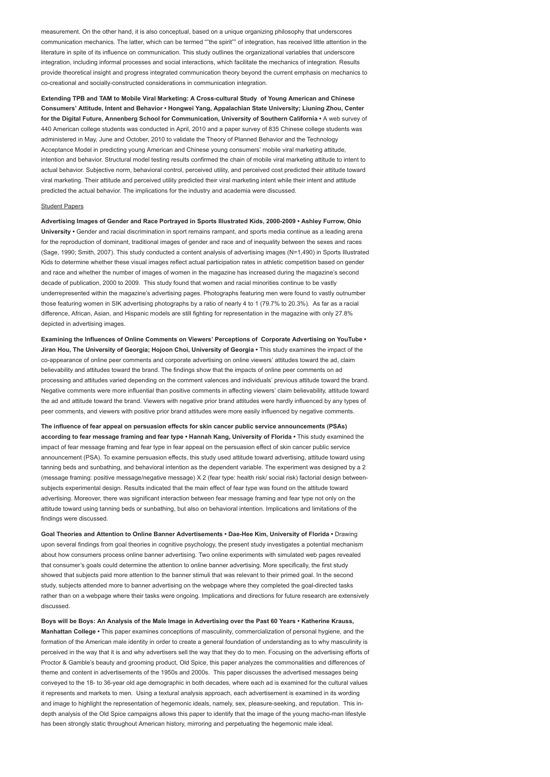measurement. On the other hand, it is also conceptual, based on a unique organizing philosophy that underscores communication mechanics. The latter, which can be termed ""the spirit"" of integration, has received little attention in the literature in spite of its influence on communication. This study outlines the organizational variables that underscore integration, including informal processes and social interactions, which facilitate the mechanics of integration. Results provide theoretical insight and progress integrated communication theory beyond the current emphasis on mechanics to co-creational and socially-constructed considerations in communication integration.

Extending TPB and TAM to Mobile Viral Marketing: A Cross-cultural Study of Young American and Chinese Consumers' Attitude, Intent and Behavior • Hongwei Yang, Appalachian State University; Liuning Zhou, Center for the Digital Future, Annenberg School for Communication, University of Southern California • A web survey of 440 American college students was conducted in April, 2010 and a paper survey of 835 Chinese college students was administered in May, June and October, 2010 to validate the Theory of Planned Behavior and the Technology Acceptance Model in predicting young American and Chinese young consumers' mobile viral marketing attitude, intention and behavior. Structural model testing results confirmed the chain of mobile viral marketing attitude to intent to actual behavior. Subjective norm, behavioral control, perceived utility, and perceived cost predicted their attitude toward viral marketing. Their attitude and perceived utility predicted their viral marketing intent while their intent and attitude predicted the actual behavior. The implications for the industry and academia were discussed.

#### Student Papers

Advertising Images of Gender and Race Portrayed in Sports Illustrated Kids, 2000-2009 • Ashley Furrow, Ohio University • Gender and racial discrimination in sport remains rampant, and sports media continue as a leading arena for the reproduction of dominant, traditional images of gender and race and of inequality between the sexes and races (Sage, 1990; Smith, 2007). This study conducted a content analysis of advertising images (N=1,490) in Sports Illustrated Kids to determine whether these visual images reflect actual participation rates in athletic competition based on gender and race and whether the number of images of women in the magazine has increased during the magazine's second decade of publication, 2000 to 2009. This study found that women and racial minorities continue to be vastly underrepresented within the magazine's advertising pages. Photographs featuring men were found to vastly outnumber those featuring women in SIK advertising photographs by a ratio of nearly 4 to 1 (79.7% to 20.3%). As far as a racial difference, African, Asian, and Hispanic models are still fighting for representation in the magazine with only 27.8% depicted in advertising images.

Examining the Influences of Online Comments on Viewers' Perceptions of Corporate Advertising on YouTube • Jiran Hou, The University of Georgia; Hojoon Choi, University of Georgia • This study examines the impact of the co-appearance of online peer comments and corporate advertising on online viewers' attitudes toward the ad, claim believability and attitudes toward the brand. The findings show that the impacts of online peer comments on ad processing and attitudes varied depending on the comment valences and individuals' previous attitude toward the brand. Negative comments were more influential than positive comments in affecting viewers' claim believability, attitude toward the ad and attitude toward the brand. Viewers with negative prior brand attitudes were hardly influenced by any types of peer comments, and viewers with positive prior brand attitudes were more easily influenced by negative comments.

The influence of fear appeal on persuasion effects for skin cancer public service announcements (PSAs) according to fear message framing and fear type • Hannah Kang, University of Florida • This study examined the impact of fear message framing and fear type in fear appeal on the persuasion effect of skin cancer public service announcement (PSA). To examine persuasion effects, this study used attitude toward advertising, attitude toward using tanning beds and sunbathing, and behavioral intention as the dependent variable. The experiment was designed by a 2 (message framing: positive message/negative message) X 2 (fear type: health risk/ social risk) factorial design betweensubjects experimental design. Results indicated that the main effect of fear type was found on the attitude toward advertising. Moreover, there was significant interaction between fear message framing and fear type not only on the attitude toward using tanning beds or sunbathing, but also on behavioral intention. Implications and limitations of the findings were discussed.

Goal Theories and Attention to Online Banner Advertisements • Dae-Hee Kim, University of Florida • Drawing upon several findings from goal theories in cognitive psychology, the present study investigates a potential mechanism about how consumers process online banner advertising. Two online experiments with simulated web pages revealed that consumer's goals could determine the attention to online banner advertising. More specifically, the first study showed that subjects paid more attention to the banner stimuli that was relevant to their primed goal. In the second study, subjects attended more to banner advertising on the webpage where they completed the goal-directed tasks rather than on a webpage where their tasks were ongoing. Implications and directions for future research are extensively discussed.

Boys will be Boys: An Analysis of the Male Image in Advertising over the Past 60 Years • Katherine Krauss, Manhattan College • This paper examines conceptions of masculinity, commercialization of personal hygiene, and the formation of the American male identity in order to create a general foundation of understanding as to why masculinity is perceived in the way that it is and why advertisers sell the way that they do to men. Focusing on the advertising efforts of Proctor & Gamble's beauty and grooming product, Old Spice, this paper analyzes the commonalities and differences of theme and content in advertisements of the 1950s and 2000s. This paper discusses the advertised messages being conveyed to the 18- to 36-year old age demographic in both decades, where each ad is examined for the cultural values it represents and markets to men. Using a textural analysis approach, each advertisement is examined in its wording and image to highlight the representation of hegemonic ideals, namely, sex, pleasure-seeking, and reputation. This indepth analysis of the Old Spice campaigns allows this paper to identify that the image of the young macho-man lifestyle has been strongly static throughout American history, mirroring and perpetuating the hegemonic male ideal.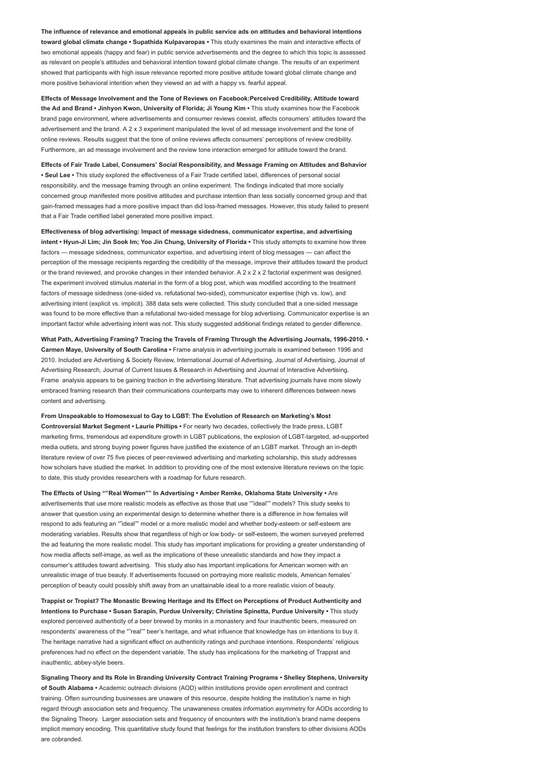The influence of relevance and emotional appeals in public service ads on attitudes and behavioral intentions toward global climate change • Supathida Kulpavaropas • This study examines the main and interactive effects of two emotional appeals (happy and fear) in public service advertisements and the degree to which this topic is assessed as relevant on people's attitudes and behavioral intention toward global climate change. The results of an experiment showed that participants with high issue relevance reported more positive attitude toward global climate change and more positive behavioral intention when they viewed an ad with a happy vs. fearful appeal.

Effects of Message Involvement and the Tone of Reviews on Facebook:Perceived Credibility, Attitude toward the Ad and Brand • Jinhyon Kwon, University of Florida; Ji Young Kim • This study examines how the Facebook brand page environment, where advertisements and consumer reviews coexist, affects consumers' attitudes toward the advertisement and the brand. A 2 x 3 experiment manipulated the level of ad message involvement and the tone of online reviews. Results suggest that the tone of online reviews affects consumers' perceptions of review credibility. Furthermore, an ad message involvement and the review tone interaction emerged for attitude toward the brand.

Effects of Fair Trade Label, Consumers' Social Responsibility, and Message Framing on Attitudes and Behavior • Seul Lee • This study explored the effectiveness of a Fair Trade certified label, differences of personal social responsibility, and the message framing through an online experiment. The findings indicated that more socially concerned group manifested more positive attitudes and purchase intention than less socially concerned group and that gain-framed messages had a more positive impact than did loss-framed messages. However, this study failed to present that a Fair Trade certified label generated more positive impact.

Effectiveness of blog advertising: Impact of message sidedness, communicator expertise, and advertising intent • Hyun-Ji Lim; Jin Sook Im; Yoo Jin Chung, University of Florida • This study attempts to examine how three factors — message sidedness, communicator expertise, and advertising intent of blog messages — can affect the perception of the message recipients regarding the credibility of the message, improve their attitudes toward the product or the brand reviewed, and provoke changes in their intended behavior. A  $2 \times 2 \times 2$  factorial experiment was designed. The experiment involved stimulus material in the form of a blog post, which was modified according to the treatment factors of message sidedness (one-sided vs. refutational two-sided), communicator expertise (high vs. low), and advertising intent (explicit vs. implicit). 388 data sets were collected. This study concluded that a one-sided message was found to be more effective than a refutational two-sided message for blog advertising. Communicator expertise is an important factor while advertising intent was not. This study suggested additional findings related to gender difference.

What Path, Advertising Framing? Tracing the Travels of Framing Through the Advertising Journals, 1996-2010. • Carmen Maye, University of South Carolina • Frame analysis in advertising journals is examined between 1996 and 2010. Included are Advertising & Society Review, International Journal of Advertising, Journal of Advertising, Journal of Advertising Research, Journal of Current Issues & Research in Advertising and Journal of Interactive Advertising. Frame analysis appears to be gaining traction in the advertising literature. That advertising journals have more slowly embraced framing research than their communications counterparts may owe to inherent differences between news content and advertising.

From Unspeakable to Homosexual to Gay to LGBT: The Evolution of Research on Marketing's Most Controversial Market Segment • Laurie Phillips • For nearly two decades, collectively the trade press, LGBT marketing firms, tremendous ad expenditure growth in LGBT publications, the explosion of LGBT-targeted, ad-supported media outlets, and strong buying power figures have justified the existence of an LGBT market. Through an in-depth literature review of over 75 five pieces of peer-reviewed advertising and marketing scholarship, this study addresses how scholars have studied the market. In addition to providing one of the most extensive literature reviews on the topic to date, this study provides researchers with a roadmap for future research.

The Effects of Using ""Real Women"" In Advertising • Amber Remke, Oklahoma State University • Are advertisements that use more realistic models as effective as those that use ""ideal"" models? This study seeks to answer that question using an experimental design to determine whether there is a difference in how females will respond to ads featuring an ""ideal"" model or a more realistic model and whether body-esteem or self-esteem are moderating variables. Results show that regardless of high or low body- or self-esteem, the women surveyed preferred the ad featuring the more realistic model. This study has important implications for providing a greater understanding of how media affects self-image, as well as the implications of these unrealistic standards and how they impact a consumer's attitudes toward advertising. This study also has important implications for American women with an unrealistic image of true beauty. If advertisements focused on portraying more realistic models, American females' perception of beauty could possibly shift away from an unattainable ideal to a more realistic vision of beauty.

Trappist or Tropist? The Monastic Brewing Heritage and Its Effect on Perceptions of Product Authenticity and Intentions to Purchase • Susan Sarapin, Purdue University; Christine Spinetta, Purdue University • This study explored perceived authenticity of a beer brewed by monks in a monastery and four inauthentic beers, measured on respondents' awareness of the ""real"" beer's heritage, and what influence that knowledge has on intentions to buy it. The heritage narrative had a significant effect on authenticity ratings and purchase intentions. Respondents' religious preferences had no effect on the dependent variable. The study has implications for the marketing of Trappist and inauthentic, abbey-style beers.

Signaling Theory and Its Role in Branding University Contract Training Programs • Shelley Stephens, University of South Alabama • Academic outreach divisions (AOD) within institutions provide open enrollment and contract training. Often surrounding businesses are unaware of this resource, despite holding the institution's name in high regard through association sets and frequency. The unawareness creates information asymmetry for AODs according to the Signaling Theory. Larger association sets and frequency of encounters with the institution's brand name deepens implicit memory encoding. This quantitative study found that feelings for the institution transfers to other divisions AODs are cobranded.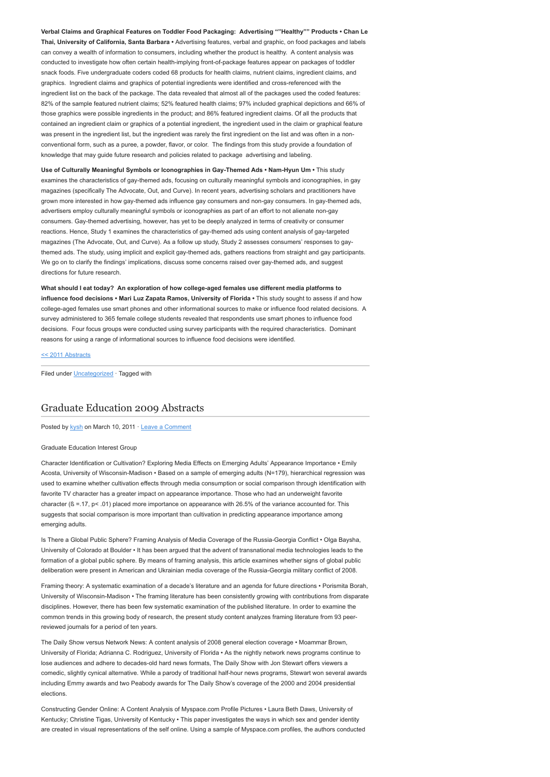Verbal Claims and Graphical Features on Toddler Food Packaging: Advertising ""Healthy"" Products • Chan Le Thai, University of California, Santa Barbara • Advertising features, verbal and graphic, on food packages and labels can convey a wealth of information to consumers, including whether the product is healthy. A content analysis was conducted to investigate how often certain health-implying front-of-package features appear on packages of toddler snack foods. Five undergraduate coders coded 68 products for health claims, nutrient claims, ingredient claims, and graphics. Ingredient claims and graphics of potential ingredients were identified and cross-referenced with the ingredient list on the back of the package. The data revealed that almost all of the packages used the coded features: 82% of the sample featured nutrient claims; 52% featured health claims; 97% included graphical depictions and 66% of those graphics were possible ingredients in the product; and 86% featured ingredient claims. Of all the products that contained an ingredient claim or graphics of a potential ingredient, the ingredient used in the claim or graphical feature was present in the ingredient list, but the ingredient was rarely the first ingredient on the list and was often in a nonconventional form, such as a puree, a powder, flavor, or color. The findings from this study provide a foundation of knowledge that may guide future research and policies related to package advertising and labeling.

Use of Culturally Meaningful Symbols or Iconographies in Gay-Themed Ads • Nam-Hyun Um • This study examines the characteristics of gay-themed ads, focusing on culturally meaningful symbols and iconographies, in gay magazines (specifically The Advocate, Out, and Curve). In recent years, advertising scholars and practitioners have grown more interested in how gay-themed ads influence gay consumers and non-gay consumers. In gay-themed ads, advertisers employ culturally meaningful symbols or iconographies as part of an effort to not alienate non-gay consumers. Gay-themed advertising, however, has yet to be deeply analyzed in terms of creativity or consumer reactions. Hence, Study 1 examines the characteristics of gay-themed ads using content analysis of gay-targeted magazines (The Advocate, Out, and Curve). As a follow up study, Study 2 assesses consumers' responses to gaythemed ads. The study, using implicit and explicit gay-themed ads, gathers reactions from straight and gay participants. We go on to clarify the findings' implications, discuss some concerns raised over gay-themed ads, and suggest directions for future research.

What should I eat today? An exploration of how college-aged females use different media platforms to influence food decisions • Mari Luz Zapata Ramos, University of Florida • This study sought to assess if and how college-aged females use smart phones and other informational sources to make or influence food related decisions. A survey administered to 365 female college students revealed that respondents use smart phones to influence food decisions. Four focus groups were conducted using survey participants with the required characteristics. Dominant reasons for using a range of informational sources to influence food decisions were identified.

[<< 2011 Abstracts](http://www.aejmc.com/home/2011/06/2011-abstracts/)

Filed under [Uncategorized](http://www.aejmc.org/home/category/uncategorized/) · Tagged with

# [Graduate Education 2009 Abstracts](http://www.aejmc.org/home/2011/03/geig-2009-abstracts/)

Posted by [kysh](http://www.aejmc.org/home/author/kyshiab/) on March 10, 2011 · [Leave a Comment](http://www.aejmc.org/home/2011/03/geig-2009-abstracts/#respond)

#### Graduate Education Interest Group

Character Identification or Cultivation? Exploring Media Effects on Emerging Adults' Appearance Importance • Emily Acosta, University of Wisconsin-Madison • Based on a sample of emerging adults (N=179), hierarchical regression was used to examine whether cultivation effects through media consumption or social comparison through identification with favorite TV character has a greater impact on appearance importance. Those who had an underweight favorite character (ß =.17, p< .01) placed more importance on appearance with 26.5% of the variance accounted for. This suggests that social comparison is more important than cultivation in predicting appearance importance among emerging adults.

Is There a Global Public Sphere? Framing Analysis of Media Coverage of the Russia-Georgia Conflict • Olga Baysha, University of Colorado at Boulder • It has been argued that the advent of transnational media technologies leads to the formation of a global public sphere. By means of framing analysis, this article examines whether signs of global public deliberation were present in American and Ukrainian media coverage of the Russia-Georgia military conflict of 2008.

Framing theory: A systematic examination of a decade's literature and an agenda for future directions • Porismita Borah, University of Wisconsin-Madison • The framing literature has been consistently growing with contributions from disparate disciplines. However, there has been few systematic examination of the published literature. In order to examine the common trends in this growing body of research, the present study content analyzes framing literature from 93 peerreviewed journals for a period of ten years.

The Daily Show versus Network News: A content analysis of 2008 general election coverage • Moammar Brown, University of Florida; Adrianna C. Rodriguez, University of Florida • As the nightly network news programs continue to lose audiences and adhere to decades-old hard news formats, The Daily Show with Jon Stewart offers viewers a comedic, slightly cynical alternative. While a parody of traditional half-hour news programs, Stewart won several awards including Emmy awards and two Peabody awards for The Daily Show's coverage of the 2000 and 2004 presidential elections.

Constructing Gender Online: A Content Analysis of Myspace.com Profile Pictures • Laura Beth Daws, University of Kentucky; Christine Tigas, University of Kentucky • This paper investigates the ways in which sex and gender identity are created in visual representations of the self online. Using a sample of Myspace.com profiles, the authors conducted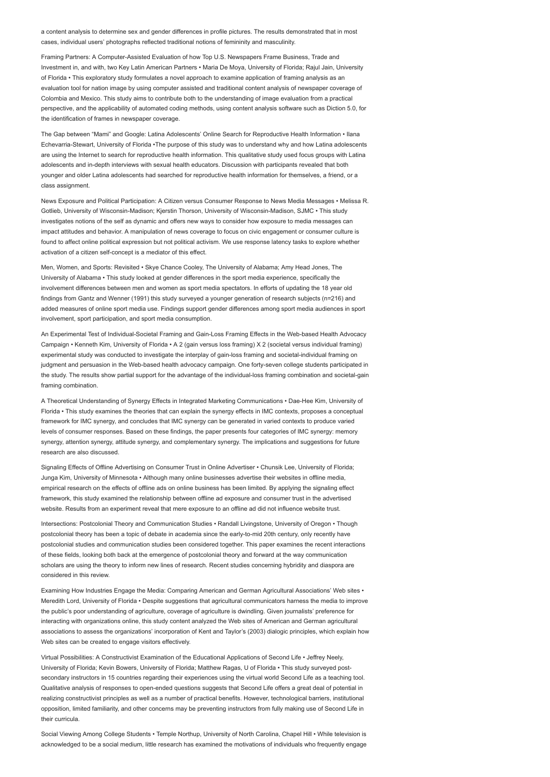a content analysis to determine sex and gender differences in profile pictures. The results demonstrated that in most cases, individual users' photographs reflected traditional notions of femininity and masculinity.

Framing Partners: A Computer-Assisted Evaluation of how Top U.S. Newspapers Frame Business, Trade and Investment in, and with, two Key Latin American Partners • Maria De Moya, University of Florida; Rajul Jain, University of Florida • This exploratory study formulates a novel approach to examine application of framing analysis as an evaluation tool for nation image by using computer assisted and traditional content analysis of newspaper coverage of Colombia and Mexico. This study aims to contribute both to the understanding of image evaluation from a practical perspective, and the applicability of automated coding methods, using content analysis software such as Diction 5.0, for the identification of frames in newspaper coverage.

The Gap between "Mami" and Google: Latina Adolescents' Online Search for Reproductive Health Information • Ilana Echevarria-Stewart, University of Florida •The purpose of this study was to understand why and how Latina adolescents are using the Internet to search for reproductive health information. This qualitative study used focus groups with Latina adolescents and in-depth interviews with sexual health educators. Discussion with participants revealed that both younger and older Latina adolescents had searched for reproductive health information for themselves, a friend, or a class assignment.

News Exposure and Political Participation: A Citizen versus Consumer Response to News Media Messages • Melissa R. Gotlieb, University of Wisconsin-Madison; Kjerstin Thorson, University of Wisconsin-Madison, SJMC • This study investigates notions of the self as dynamic and offers new ways to consider how exposure to media messages can impact attitudes and behavior. A manipulation of news coverage to focus on civic engagement or consumer culture is found to affect online political expression but not political activism. We use response latency tasks to explore whether activation of a citizen self-concept is a mediator of this effect.

Men, Women, and Sports: Revisited • Skye Chance Cooley, The University of Alabama; Amy Head Jones, The University of Alabama • This study looked at gender differences in the sport media experience, specifically the involvement differences between men and women as sport media spectators. In efforts of updating the 18 year old findings from Gantz and Wenner (1991) this study surveyed a younger generation of research subjects (n=216) and added measures of online sport media use. Findings support gender differences among sport media audiences in sport involvement, sport participation, and sport media consumption.

An Experimental Test of Individual-Societal Framing and Gain-Loss Framing Effects in the Web-based Health Advocacy Campaign • Kenneth Kim, University of Florida • A 2 (gain versus loss framing) X 2 (societal versus individual framing) experimental study was conducted to investigate the interplay of gain-loss framing and societal-individual framing on judgment and persuasion in the Web-based health advocacy campaign. One forty-seven college students participated in the study. The results show partial support for the advantage of the individual-loss framing combination and societal-gain framing combination.

A Theoretical Understanding of Synergy Effects in Integrated Marketing Communications • Dae-Hee Kim, University of Florida • This study examines the theories that can explain the synergy effects in IMC contexts, proposes a conceptual framework for IMC synergy, and concludes that IMC synergy can be generated in varied contexts to produce varied levels of consumer responses. Based on these findings, the paper presents four categories of IMC synergy: memory synergy, attention synergy, attitude synergy, and complementary synergy. The implications and suggestions for future research are also discussed.

Signaling Effects of Offline Advertising on Consumer Trust in Online Advertiser • Chunsik Lee, University of Florida; Junga Kim, University of Minnesota • Although many online businesses advertise their websites in offline media, empirical research on the effects of offline ads on online business has been limited. By applying the signaling effect framework, this study examined the relationship between offline ad exposure and consumer trust in the advertised website. Results from an experiment reveal that mere exposure to an offline ad did not influence website trust.

Intersections: Postcolonial Theory and Communication Studies • Randall Livingstone, University of Oregon • Though postcolonial theory has been a topic of debate in academia since the early-to-mid 20th century, only recently have postcolonial studies and communication studies been considered together. This paper examines the recent interactions of these fields, looking both back at the emergence of postcolonial theory and forward at the way communication scholars are using the theory to inform new lines of research. Recent studies concerning hybridity and diaspora are considered in this review.

Examining How Industries Engage the Media: Comparing American and German Agricultural Associations' Web sites • Meredith Lord, University of Florida • Despite suggestions that agricultural communicators harness the media to improve the public's poor understanding of agriculture, coverage of agriculture is dwindling. Given journalists' preference for interacting with organizations online, this study content analyzed the Web sites of American and German agricultural associations to assess the organizations' incorporation of Kent and Taylor's (2003) dialogic principles, which explain how Web sites can be created to engage visitors effectively.

Virtual Possibilities: A Constructivist Examination of the Educational Applications of Second Life • Jeffrey Neely, University of Florida; Kevin Bowers, University of Florida; Matthew Ragas, U of Florida • This study surveyed postsecondary instructors in 15 countries regarding their experiences using the virtual world Second Life as a teaching tool. Qualitative analysis of responses to open-ended questions suggests that Second Life offers a great deal of potential in realizing constructivist principles as well as a number of practical benefits. However, technological barriers, institutional opposition, limited familiarity, and other concerns may be preventing instructors from fully making use of Second Life in their curricula.

Social Viewing Among College Students • Temple Northup, University of North Carolina, Chapel Hill • While television is acknowledged to be a social medium, little research has examined the motivations of individuals who frequently engage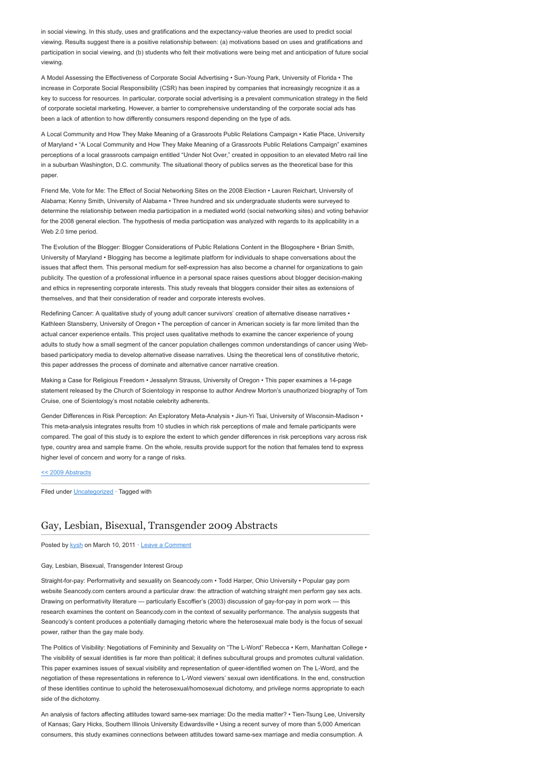in social viewing. In this study, uses and gratifications and the expectancy-value theories are used to predict social viewing. Results suggest there is a positive relationship between: (a) motivations based on uses and gratifications and participation in social viewing, and (b) students who felt their motivations were being met and anticipation of future social viewing.

A Model Assessing the Effectiveness of Corporate Social Advertising • Sun-Young Park, University of Florida • The increase in Corporate Social Responsibility (CSR) has been inspired by companies that increasingly recognize it as a key to success for resources. In particular, corporate social advertising is a prevalent communication strategy in the field of corporate societal marketing. However, a barrier to comprehensive understanding of the corporate social ads has been a lack of attention to how differently consumers respond depending on the type of ads.

A Local Community and How They Make Meaning of a Grassroots Public Relations Campaign • Katie Place, University of Maryland • "A Local Community and How They Make Meaning of a Grassroots Public Relations Campaign" examines perceptions of a local grassroots campaign entitled "Under Not Over," created in opposition to an elevated Metro rail line in a suburban Washington, D.C. community. The situational theory of publics serves as the theoretical base for this paper.

Friend Me, Vote for Me: The Effect of Social Networking Sites on the 2008 Election • Lauren Reichart, University of Alabama; Kenny Smith, University of Alabama • Three hundred and six undergraduate students were surveyed to determine the relationship between media participation in a mediated world (social networking sites) and voting behavior for the 2008 general election. The hypothesis of media participation was analyzed with regards to its applicability in a Web 2.0 time period.

The Evolution of the Blogger: Blogger Considerations of Public Relations Content in the Blogosphere • Brian Smith, University of Maryland • Blogging has become a legitimate platform for individuals to shape conversations about the issues that affect them. This personal medium for self-expression has also become a channel for organizations to gain publicity. The question of a professional influence in a personal space raises questions about blogger decision-making and ethics in representing corporate interests. This study reveals that bloggers consider their sites as extensions of themselves, and that their consideration of reader and corporate interests evolves.

Redefining Cancer: A qualitative study of young adult cancer survivors' creation of alternative disease narratives • Kathleen Stansberry, University of Oregon • The perception of cancer in American society is far more limited than the actual cancer experience entails. This project uses qualitative methods to examine the cancer experience of young adults to study how a small segment of the cancer population challenges common understandings of cancer using Webbased participatory media to develop alternative disease narratives. Using the theoretical lens of constitutive rhetoric, this paper addresses the process of dominate and alternative cancer narrative creation.

Making a Case for Religious Freedom • Jessalynn Strauss, University of Oregon • This paper examines a 14-page statement released by the Church of Scientology in response to author Andrew Morton's unauthorized biography of Tom Cruise, one of Scientology's most notable celebrity adherents.

Gender Differences in Risk Perception: An Exploratory Meta-Analysis • Jiun-Yi Tsai, University of Wisconsin-Madison • This meta-analysis integrates results from 10 studies in which risk perceptions of male and female participants were compared. The goal of this study is to explore the extent to which gender differences in risk perceptions vary across risk type, country area and sample frame. On the whole, results provide support for the notion that females tend to express higher level of concern and worry for a range of risks.

#### [<< 2009 Abstracts](http://www.aejmc.org/2011/03/2009-abstracts/)

Filed under [Uncategorized](http://www.aejmc.org/home/category/uncategorized/) · Tagged with

# [Gay, Lesbian, Bisexual, Transgender 2009 Abstracts](http://www.aejmc.org/home/2011/03/glbt-2009-abstracts/)

Posted by [kysh](http://www.aejmc.org/home/author/kyshiab/) on March 10, 2011 · [Leave a Comment](http://www.aejmc.org/home/2011/03/glbt-2009-abstracts/#respond)

### Gay, Lesbian, Bisexual, Transgender Interest Group

Straight-for-pay: Performativity and sexuality on Seancody.com • Todd Harper, Ohio University • Popular gay porn website Seancody.com centers around a particular draw: the attraction of watching straight men perform gay sex acts. Drawing on performativity literature — particularly Escoffier's (2003) discussion of gay-for-pay in porn work — this research examines the content on Seancody.com in the context of sexuality performance. The analysis suggests that Seancody's content produces a potentially damaging rhetoric where the heterosexual male body is the focus of sexual power, rather than the gay male body.

The Politics of Visibility: Negotiations of Femininity and Sexuality on "The L-Word" Rebecca • Kern, Manhattan College • The visibility of sexual identities is far more than political; it defines subcultural groups and promotes cultural validation. This paper examines issues of sexual visibility and representation of queer-identified women on The L-Word, and the negotiation of these representations in reference to L-Word viewers' sexual own identifications. In the end, construction of these identities continue to uphold the heterosexual/homosexual dichotomy, and privilege norms appropriate to each side of the dichotomy.

An analysis of factors affecting attitudes toward same-sex marriage: Do the media matter? • Tien-Tsung Lee, University of Kansas; Gary Hicks, Southern Illinois University Edwardsville • Using a recent survey of more than 5,000 American consumers, this study examines connections between attitudes toward same-sex marriage and media consumption. A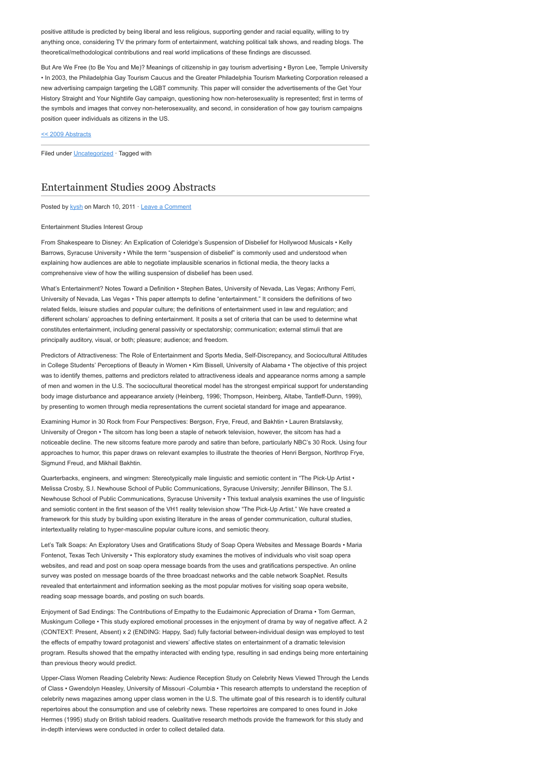positive attitude is predicted by being liberal and less religious, supporting gender and racial equality, willing to try anything once, considering TV the primary form of entertainment, watching political talk shows, and reading blogs. The theoretical/methodological contributions and real world implications of these findings are discussed.

But Are We Free (to Be You and Me)? Meanings of citizenship in gay tourism advertising • Byron Lee, Temple University • In 2003, the Philadelphia Gay Tourism Caucus and the Greater Philadelphia Tourism Marketing Corporation released a new advertising campaign targeting the LGBT community. This paper will consider the advertisements of the Get Your History Straight and Your Nightlife Gay campaign, questioning how non-heterosexuality is represented; first in terms of the symbols and images that convey non-heterosexuality, and second, in consideration of how gay tourism campaigns position queer individuals as citizens in the US.

[<< 2009 Abstracts](http://www.aejmc.org/2011/03/2009-abstracts/)

Filed under *[Uncategorized](http://www.aejmc.org/home/category/uncategorized/)* · Tagged with

# [Entertainment Studies 2009 Abstracts](http://www.aejmc.org/home/2011/03/ent-2009-abstracts/)

Posted by [kysh](http://www.aejmc.org/home/author/kyshiab/) on March 10, 2011 · [Leave a Comment](http://www.aejmc.org/home/2011/03/ent-2009-abstracts/#respond)

#### Entertainment Studies Interest Group

From Shakespeare to Disney: An Explication of Coleridge's Suspension of Disbelief for Hollywood Musicals • Kelly Barrows, Syracuse University • While the term "suspension of disbelief" is commonly used and understood when explaining how audiences are able to negotiate implausible scenarios in fictional media, the theory lacks a comprehensive view of how the willing suspension of disbelief has been used.

What's Entertainment? Notes Toward a Definition • Stephen Bates, University of Nevada, Las Vegas; Anthony Ferri, University of Nevada, Las Vegas • This paper attempts to define "entertainment." It considers the definitions of two related fields, leisure studies and popular culture; the definitions of entertainment used in law and regulation; and different scholars' approaches to defining entertainment. It posits a set of criteria that can be used to determine what constitutes entertainment, including general passivity or spectatorship; communication; external stimuli that are principally auditory, visual, or both; pleasure; audience; and freedom.

Predictors of Attractiveness: The Role of Entertainment and Sports Media, Self-Discrepancy, and Sociocultural Attitudes in College Students' Perceptions of Beauty in Women • Kim Bissell, University of Alabama • The objective of this project was to identify themes, patterns and predictors related to attractiveness ideals and appearance norms among a sample of men and women in the U.S. The sociocultural theoretical model has the strongest empirical support for understanding body image disturbance and appearance anxiety (Heinberg, 1996; Thompson, Heinberg, Altabe, Tantleff-Dunn, 1999), by presenting to women through media representations the current societal standard for image and appearance.

Examining Humor in 30 Rock from Four Perspectives: Bergson, Frye, Freud, and Bakhtin • Lauren Bratslavsky, University of Oregon • The sitcom has long been a staple of network television, however, the sitcom has had a noticeable decline. The new sitcoms feature more parody and satire than before, particularly NBC's 30 Rock. Using four approaches to humor, this paper draws on relevant examples to illustrate the theories of Henri Bergson, Northrop Frye, Sigmund Freud, and Mikhail Bakhtin.

Quarterbacks, engineers, and wingmen: Stereotypically male linguistic and semiotic content in "The Pick-Up Artist • Melissa Crosby, S.I. Newhouse School of Public Communications, Syracuse University; Jennifer Billinson, The S.I. Newhouse School of Public Communications, Syracuse University • This textual analysis examines the use of linguistic and semiotic content in the first season of the VH1 reality television show "The Pick-Up Artist." We have created a framework for this study by building upon existing literature in the areas of gender communication, cultural studies, intertextuality relating to hyper-masculine popular culture icons, and semiotic theory.

Let's Talk Soaps: An Exploratory Uses and Gratifications Study of Soap Opera Websites and Message Boards • Maria Fontenot, Texas Tech University • This exploratory study examines the motives of individuals who visit soap opera websites, and read and post on soap opera message boards from the uses and gratifications perspective. An online survey was posted on message boards of the three broadcast networks and the cable network SoapNet. Results revealed that entertainment and information seeking as the most popular motives for visiting soap opera website, reading soap message boards, and posting on such boards.

Enjoyment of Sad Endings: The Contributions of Empathy to the Eudaimonic Appreciation of Drama • Tom German, Muskingum College • This study explored emotional processes in the enjoyment of drama by way of negative affect. A 2 (CONTEXT: Present, Absent) x 2 (ENDING: Happy, Sad) fully factorial between-individual design was employed to test the effects of empathy toward protagonist and viewers' affective states on entertainment of a dramatic television program. Results showed that the empathy interacted with ending type, resulting in sad endings being more entertaining than previous theory would predict.

Upper-Class Women Reading Celebrity News: Audience Reception Study on Celebrity News Viewed Through the Lends of Class • Gwendolyn Heasley, University of Missouri -Columbia • This research attempts to understand the reception of celebrity news magazines among upper class women in the U.S. The ultimate goal of this research is to identify cultural repertoires about the consumption and use of celebrity news. These repertoires are compared to ones found in Joke Hermes (1995) study on British tabloid readers. Qualitative research methods provide the framework for this study and in-depth interviews were conducted in order to collect detailed data.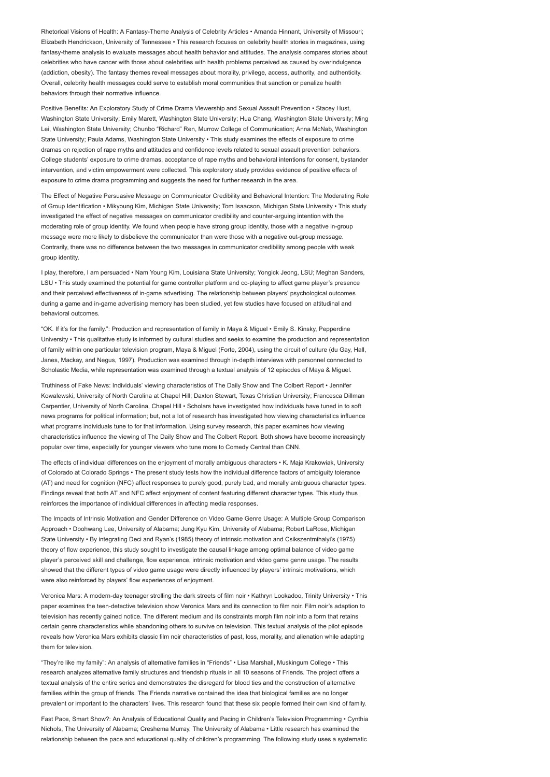Rhetorical Visions of Health: A Fantasy-Theme Analysis of Celebrity Articles • Amanda Hinnant, University of Missouri; Elizabeth Hendrickson, University of Tennessee • This research focuses on celebrity health stories in magazines, using fantasy-theme analysis to evaluate messages about health behavior and attitudes. The analysis compares stories about celebrities who have cancer with those about celebrities with health problems perceived as caused by overindulgence (addiction, obesity). The fantasy themes reveal messages about morality, privilege, access, authority, and authenticity. Overall, celebrity health messages could serve to establish moral communities that sanction or penalize health behaviors through their normative influence.

Positive Benefits: An Exploratory Study of Crime Drama Viewership and Sexual Assault Prevention • Stacey Hust, Washington State University; Emily Marett, Washington State University; Hua Chang, Washington State University; Ming Lei, Washington State University; Chunbo "Richard" Ren, Murrow College of Communication; Anna McNab, Washington State University; Paula Adams, Washington State University • This study examines the effects of exposure to crime dramas on rejection of rape myths and attitudes and confidence levels related to sexual assault prevention behaviors. College students' exposure to crime dramas, acceptance of rape myths and behavioral intentions for consent, bystander intervention, and victim empowerment were collected. This exploratory study provides evidence of positive effects of exposure to crime drama programming and suggests the need for further research in the area.

The Effect of Negative Persuasive Message on Communicator Credibility and Behavioral Intention: The Moderating Role of Group Identification • Mikyoung Kim, Michigan State University; Tom Isaacson, Michigan State University • This study investigated the effect of negative messages on communicator credibility and counter-arguing intention with the moderating role of group identity. We found when people have strong group identity, those with a negative in-group message were more likely to disbelieve the communicator than were those with a negative out-group message. Contrarily, there was no difference between the two messages in communicator credibility among people with weak group identity.

I play, therefore, I am persuaded • Nam Young Kim, Louisiana State University; Yongick Jeong, LSU; Meghan Sanders, LSU • This study examined the potential for game controller platform and co-playing to affect game player's presence and their perceived effectiveness of in-game advertising. The relationship between players' psychological outcomes during a game and in-game advertising memory has been studied, yet few studies have focused on attitudinal and behavioral outcomes.

"OK. If it's for the family.": Production and representation of family in Maya & Miguel • Emily S. Kinsky, Pepperdine University • This qualitative study is informed by cultural studies and seeks to examine the production and representation of family within one particular television program, Maya & Miguel (Forte, 2004), using the circuit of culture (du Gay, Hall, Janes, Mackay, and Negus, 1997). Production was examined through in-depth interviews with personnel connected to Scholastic Media, while representation was examined through a textual analysis of 12 episodes of Maya & Miguel.

Truthiness of Fake News: Individuals' viewing characteristics of The Daily Show and The Colbert Report • Jennifer Kowalewski, University of North Carolina at Chapel Hill; Daxton Stewart, Texas Christian University; Francesca Dillman Carpentier, University of North Carolina, Chapel Hill • Scholars have investigated how individuals have tuned in to soft news programs for political information; but, not a lot of research has investigated how viewing characteristics influence what programs individuals tune to for that information. Using survey research, this paper examines how viewing characteristics influence the viewing of The Daily Show and The Colbert Report. Both shows have become increasingly popular over time, especially for younger viewers who tune more to Comedy Central than CNN.

The effects of individual differences on the enjoyment of morally ambiguous characters • K. Maja Krakowiak, University of Colorado at Colorado Springs • The present study tests how the individual difference factors of ambiguity tolerance (AT) and need for cognition (NFC) affect responses to purely good, purely bad, and morally ambiguous character types. Findings reveal that both AT and NFC affect enjoyment of content featuring different character types. This study thus reinforces the importance of individual differences in affecting media responses.

The Impacts of Intrinsic Motivation and Gender Difference on Video Game Genre Usage: A Multiple Group Comparison Approach • Doohwang Lee, University of Alabama; Jung Kyu Kim, University of Alabama; Robert LaRose, Michigan State University • By integrating Deci and Ryan's (1985) theory of intrinsic motivation and Csikszentmihalyi's (1975) theory of flow experience, this study sought to investigate the causal linkage among optimal balance of video game player's perceived skill and challenge, flow experience, intrinsic motivation and video game genre usage. The results showed that the different types of video game usage were directly influenced by players' intrinsic motivations, which were also reinforced by players' flow experiences of enjoyment.

Veronica Mars: A modern-day teenager strolling the dark streets of film noir • Kathryn Lookadoo, Trinity University • This paper examines the teen-detective television show Veronica Mars and its connection to film noir. Film noir's adaption to television has recently gained notice. The different medium and its constraints morph film noir into a form that retains certain genre characteristics while abandoning others to survive on television. This textual analysis of the pilot episode reveals how Veronica Mars exhibits classic film noir characteristics of past, loss, morality, and alienation while adapting them for television.

"They're like my family": An analysis of alternative families in "Friends" • Lisa Marshall, Muskingum College • This research analyzes alternative family structures and friendship rituals in all 10 seasons of Friends. The project offers a textual analysis of the entire series and demonstrates the disregard for blood ties and the construction of alternative families within the group of friends. The Friends narrative contained the idea that biological families are no longer prevalent or important to the characters' lives. This research found that these six people formed their own kind of family.

Fast Pace, Smart Show?: An Analysis of Educational Quality and Pacing in Children's Television Programming • Cynthia Nichols, The University of Alabama; Creshema Murray, The University of Alabama • Little research has examined the relationship between the pace and educational quality of children's programming. The following study uses a systematic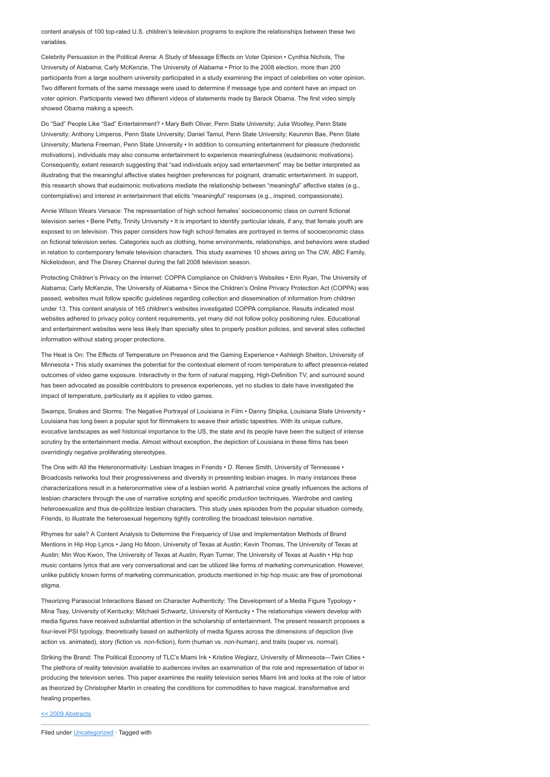content analysis of 100 top-rated U.S. children's television programs to explore the relationships between these two variables.

Celebrity Persuasion in the Political Arena: A Study of Message Effects on Voter Opinion • Cynthia Nichols, The University of Alabama; Carly McKenzie, The University of Alabama • Prior to the 2008 election, more than 200 participants from a large southern university participated in a study examining the impact of celebrities on voter opinion. Two different formats of the same message were used to determine if message type and content have an impact on voter opinion. Participants viewed two different videos of statements made by Barack Obama. The first video simply showed Obama making a speech.

Do "Sad" People Like "Sad" Entertainment? • Mary Beth Oliver, Penn State University; Julia Woolley, Penn State University; Anthony Limperos, Penn State University; Daniel Tamul, Penn State University; Keunmin Bae, Penn State University; Marlena Freeman, Penn State University • In addition to consuming entertainment for pleasure (hedonistic motivations), individuals may also consume entertainment to experience meaningfulness (eudaimonic motivations). Consequently, extant research suggesting that "sad individuals enjoy sad entertainment" may be better interpreted as illustrating that the meaningful affective states heighten preferences for poignant, dramatic entertainment. In support, this research shows that eudaimonic motivations mediate the relationship between "meaningful" affective states (e.g., contemplative) and interest in entertainment that elicits "meaningful" responses (e.g., inspired, compassionate).

Annie Wilson Wears Versace: The representation of high school females' socioeconomic class on current fictional television series • Bene Petty, Trinity University • It is important to identify particular ideals, if any, that female youth are exposed to on television. This paper considers how high school females are portrayed in terms of socioeconomic class on fictional television series. Categories such as clothing, home environments, relationships, and behaviors were studied in relation to contemporary female television characters. This study examines 10 shows airing on The CW, ABC Family, Nickelodeon, and The Disney Channel during the fall 2008 television season.

Protecting Children's Privacy on the Internet: COPPA Compliance on Children's Websites • Erin Ryan, The University of Alabama; Carly McKenzie, The University of Alabama • Since the Children's Online Privacy Protection Act (COPPA) was passed, websites must follow specific guidelines regarding collection and dissemination of information from children under 13. This content analysis of 165 children's websites investigated COPPA compliance. Results indicated most websites adhered to privacy policy content requirements, yet many did not follow policy positioning rules. Educational and entertainment websites were less likely than specialty sites to properly position policies, and several sites collected information without stating proper protections.

The Heat is On: The Effects of Temperature on Presence and the Gaming Experience • Ashleigh Shelton, University of Minnesota • This study examines the potential for the contextual element of room temperature to affect presence-related outcomes of video game exposure. Interactivity in the form of natural mapping, High-Definition TV, and surround sound has been advocated as possible contributors to presence experiences, yet no studies to date have investigated the impact of temperature, particularly as it applies to video games.

Swamps, Snakes and Storms: The Negative Portrayal of Louisiana in Film • Danny Shipka, Louisiana State University • Louisiana has long been a popular spot for filmmakers to weave their artistic tapestries. With its unique culture, evocative landscapes as well historical importance to the US, the state and its people have been the subject of intense scrutiny by the entertainment media. Almost without exception, the depiction of Louisiana in these films has been overridingly negative proliferating stereotypes.

The One with All the Heteronormativity: Lesbian Images in Friends • D. Renee Smith, University of Tennessee • Broadcasts networks tout their progressiveness and diversity in presenting lesbian images. In many instances these characterizations result in a heteronormative view of a lesbian world. A patriarchal voice greatly influences the actions of lesbian characters through the use of narrative scripting and specific production techniques. Wardrobe and casting heterosexualize and thus de-politicize lesbian characters. This study uses episodes from the popular situation comedy, Friends, to illustrate the heterosexual hegemony tightly controlling the broadcast television narrative.

Rhymes for sale? A Content Analysis to Determine the Frequency of Use and Implementation Methods of Brand Mentions in Hip Hop Lyrics • Jang Ho Moon, University of Texas at Austin; Kevin Thomas, The University of Texas at Austin; Min Woo Kwon, The University of Texas at Austin; Ryan Turner, The University of Texas at Austin • Hip hop music contains lyrics that are very conversational and can be utilized like forms of marketing communication. However, unlike publicly known forms of marketing communication, products mentioned in hip hop music are free of promotional stigma.

Theorizing Parasocial Interactions Based on Character Authenticity: The Development of a Media Figure Typology • Mina Tsay, University of Kentucky; Mitchael Schwartz, University of Kentucky • The relationships viewers develop with media figures have received substantial attention in the scholarship of entertainment. The present research proposes a four-level PSI typology, theoretically based on authenticity of media figures across the dimensions of depiction (live action vs. animated), story (fiction vs. non-fiction), form (human vs. non-human), and traits (super vs. normal).

Striking the Brand: The Political Economy of TLC's Miami Ink • Kristine Weglarz, University of Minnesota—Twin Cities • The plethora of reality television available to audiences invites an examination of the role and representation of labor in producing the television series. This paper examines the reality television series Miami Ink and looks at the role of labor as theorized by Christopher Martin in creating the conditions for commodities to have magical, transformative and healing properties.

#### [<< 2009 Abstracts](http://www.aejmc.org/2011/03/2009-abstracts/)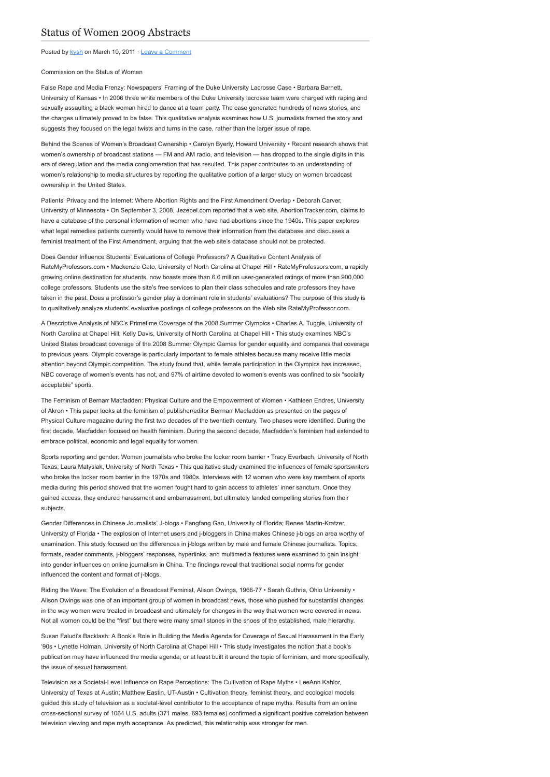Posted by [kysh](http://www.aejmc.org/home/author/kyshiab/) on March 10, 2011 · [Leave a Comment](http://www.aejmc.org/home/2011/03/csw-2009-abstracts/#respond)

Commission on the Status of Women

False Rape and Media Frenzy: Newspapers' Framing of the Duke University Lacrosse Case • Barbara Barnett, University of Kansas • In 2006 three white members of the Duke University lacrosse team were charged with raping and sexually assaulting a black woman hired to dance at a team party. The case generated hundreds of news stories, and the charges ultimately proved to be false. This qualitative analysis examines how U.S. journalists framed the story and suggests they focused on the legal twists and turns in the case, rather than the larger issue of rape.

Behind the Scenes of Women's Broadcast Ownership • Carolyn Byerly, Howard University • Recent research shows that women's ownership of broadcast stations — FM and AM radio, and television — has dropped to the single digits in this era of deregulation and the media conglomeration that has resulted. This paper contributes to an understanding of women's relationship to media structures by reporting the qualitative portion of a larger study on women broadcast ownership in the United States.

Patients' Privacy and the Internet: Where Abortion Rights and the First Amendment Overlap • Deborah Carver, University of Minnesota • On September 3, 2008, Jezebel.com reported that a web site, AbortionTracker.com, claims to have a database of the personal information of women who have had abortions since the 1940s. This paper explores what legal remedies patients currently would have to remove their information from the database and discusses a feminist treatment of the First Amendment, arguing that the web site's database should not be protected.

Does Gender Influence Students' Evaluations of College Professors? A Qualitative Content Analysis of RateMyProfessors.com • Mackenzie Cato, University of North Carolina at Chapel Hill • RateMyProfessors.com, a rapidly growing online destination for students, now boasts more than 6.6 million user-generated ratings of more than 900,000 college professors. Students use the site's free services to plan their class schedules and rate professors they have taken in the past. Does a professor's gender play a dominant role in students' evaluations? The purpose of this study is to qualitatively analyze students' evaluative postings of college professors on the Web site RateMyProfessor.com.

A Descriptive Analysis of NBC's Primetime Coverage of the 2008 Summer Olympics • Charles A. Tuggle, University of North Carolina at Chapel Hill; Kelly Davis, University of North Carolina at Chapel Hill • This study examines NBC's United States broadcast coverage of the 2008 Summer Olympic Games for gender equality and compares that coverage to previous years. Olympic coverage is particularly important to female athletes because many receive little media attention beyond Olympic competition. The study found that, while female participation in the Olympics has increased, NBC coverage of women's events has not, and 97% of airtime devoted to women's events was confined to six "socially acceptable" sports.

The Feminism of Bernarr Macfadden: Physical Culture and the Empowerment of Women • Kathleen Endres, University of Akron • This paper looks at the feminism of publisher/editor Berrnarr Macfadden as presented on the pages of Physical Culture magazine during the first two decades of the twentieth century. Two phases were identified. During the first decade, Macfadden focused on health feminism. During the second decade, Macfadden's feminism had extended to embrace political, economic and legal equality for women.

Sports reporting and gender: Women journalists who broke the locker room barrier • Tracy Everbach, University of North Texas; Laura Matysiak, University of North Texas • This qualitative study examined the influences of female sportswriters who broke the locker room barrier in the 1970s and 1980s. Interviews with 12 women who were key members of sports media during this period showed that the women fought hard to gain access to athletes' inner sanctum. Once they gained access, they endured harassment and embarrassment, but ultimately landed compelling stories from their subjects.

Gender Differences in Chinese Journalists' J-blogs • Fangfang Gao, University of Florida; Renee Martin-Kratzer, University of Florida • The explosion of Internet users and j-bloggers in China makes Chinese j-blogs an area worthy of examination. This study focused on the differences in j-blogs written by male and female Chinese journalists. Topics, formats, reader comments, j-bloggers' responses, hyperlinks, and multimedia features were examined to gain insight into gender influences on online journalism in China. The findings reveal that traditional social norms for gender influenced the content and format of j-blogs.

Riding the Wave: The Evolution of a Broadcast Feminist, Alison Owings, 1966-77 • Sarah Guthrie, Ohio University • Alison Owings was one of an important group of women in broadcast news, those who pushed for substantial changes in the way women were treated in broadcast and ultimately for changes in the way that women were covered in news. Not all women could be the "first" but there were many small stones in the shoes of the established, male hierarchy.

Susan Faludi's Backlash: A Book's Role in Building the Media Agenda for Coverage of Sexual Harassment in the Early '90s • Lynette Holman, University of North Carolina at Chapel Hill • This study investigates the notion that a book's publication may have influenced the media agenda, or at least built it around the topic of feminism, and more specifically, the issue of sexual harassment.

Television as a Societal-Level Influence on Rape Perceptions: The Cultivation of Rape Myths • LeeAnn Kahlor, University of Texas at Austin; Matthew Eastin, UT-Austin • Cultivation theory, feminist theory, and ecological models guided this study of television as a societal-level contributor to the acceptance of rape myths. Results from an online cross-sectional survey of 1064 U.S. adults (371 males, 693 females) confirmed a significant positive correlation between television viewing and rape myth acceptance. As predicted, this relationship was stronger for men.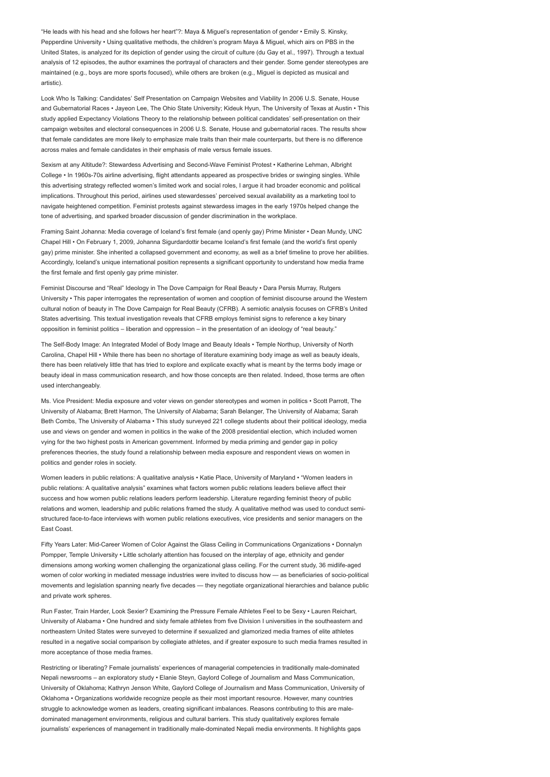"He leads with his head and she follows her heart"?: Maya & Miguel's representation of gender • Emily S. Kinsky, Pepperdine University • Using qualitative methods, the children's program Maya & Miguel, which airs on PBS in the United States, is analyzed for its depiction of gender using the circuit of culture (du Gay et al., 1997). Through a textual analysis of 12 episodes, the author examines the portrayal of characters and their gender. Some gender stereotypes are maintained (e.g., boys are more sports focused), while others are broken (e.g., Miguel is depicted as musical and artistic).

Look Who Is Talking: Candidates' Self Presentation on Campaign Websites and Viability In 2006 U.S. Senate, House and Gubernatorial Races • Jayeon Lee, The Ohio State University; Kideuk Hyun, The University of Texas at Austin • This study applied Expectancy Violations Theory to the relationship between political candidates' self-presentation on their campaign websites and electoral consequences in 2006 U.S. Senate, House and gubernatorial races. The results show that female candidates are more likely to emphasize male traits than their male counterparts, but there is no difference across males and female candidates in their emphasis of male versus female issues.

Sexism at any Altitude?: Stewardess Advertising and Second-Wave Feminist Protest • Katherine Lehman, Albright College • In 1960s-70s airline advertising, flight attendants appeared as prospective brides or swinging singles. While this advertising strategy reflected women's limited work and social roles, I argue it had broader economic and political implications. Throughout this period, airlines used stewardesses' perceived sexual availability as a marketing tool to navigate heightened competition. Feminist protests against stewardess images in the early 1970s helped change the tone of advertising, and sparked broader discussion of gender discrimination in the workplace.

Framing Saint Johanna: Media coverage of Iceland's first female (and openly gay) Prime Minister • Dean Mundy, UNC Chapel Hill • On February 1, 2009, Johanna Sigurdardottir became Iceland's first female (and the world's first openly gay) prime minister. She inherited a collapsed government and economy, as well as a brief timeline to prove her abilities. Accordingly, Iceland's unique international position represents a significant opportunity to understand how media frame the first female and first openly gay prime minister.

Feminist Discourse and "Real" Ideology in The Dove Campaign for Real Beauty • Dara Persis Murray, Rutgers University • This paper interrogates the representation of women and cooption of feminist discourse around the Western cultural notion of beauty in The Dove Campaign for Real Beauty (CFRB). A semiotic analysis focuses on CFRB's United States advertising. This textual investigation reveals that CFRB employs feminist signs to reference a key binary opposition in feminist politics – liberation and oppression – in the presentation of an ideology of "real beauty."

The Self-Body Image: An Integrated Model of Body Image and Beauty Ideals • Temple Northup, University of North Carolina, Chapel Hill • While there has been no shortage of literature examining body image as well as beauty ideals, there has been relatively little that has tried to explore and explicate exactly what is meant by the terms body image or beauty ideal in mass communication research, and how those concepts are then related. Indeed, those terms are often used interchangeably.

Ms. Vice President: Media exposure and voter views on gender stereotypes and women in politics • Scott Parrott, The University of Alabama; Brett Harmon, The University of Alabama; Sarah Belanger, The University of Alabama; Sarah Beth Combs, The University of Alabama • This study surveyed 221 college students about their political ideology, media use and views on gender and women in politics in the wake of the 2008 presidential election, which included women vying for the two highest posts in American government. Informed by media priming and gender gap in policy preferences theories, the study found a relationship between media exposure and respondent views on women in politics and gender roles in society.

Women leaders in public relations: A qualitative analysis • Katie Place, University of Maryland • "Women leaders in public relations: A qualitative analysis" examines what factors women public relations leaders believe affect their success and how women public relations leaders perform leadership. Literature regarding feminist theory of public relations and women, leadership and public relations framed the study. A qualitative method was used to conduct semistructured face-to-face interviews with women public relations executives, vice presidents and senior managers on the East Coast.

Fifty Years Later: Mid-Career Women of Color Against the Glass Ceiling in Communications Organizations • Donnalyn Pompper, Temple University • Little scholarly attention has focused on the interplay of age, ethnicity and gender dimensions among working women challenging the organizational glass ceiling. For the current study, 36 midlife-aged women of color working in mediated message industries were invited to discuss how — as beneficiaries of socio-political movements and legislation spanning nearly five decades — they negotiate organizational hierarchies and balance public and private work spheres.

Run Faster, Train Harder, Look Sexier? Examining the Pressure Female Athletes Feel to be Sexy • Lauren Reichart, University of Alabama • One hundred and sixty female athletes from five Division I universities in the southeastern and northeastern United States were surveyed to determine if sexualized and glamorized media frames of elite athletes resulted in a negative social comparison by collegiate athletes, and if greater exposure to such media frames resulted in more acceptance of those media frames.

Restricting or liberating? Female journalists' experiences of managerial competencies in traditionally male-dominated Nepali newsrooms – an exploratory study • Elanie Steyn, Gaylord College of Journalism and Mass Communication, University of Oklahoma; Kathryn Jenson White, Gaylord College of Journalism and Mass Communication, University of Oklahoma • Organizations worldwide recognize people as their most important resource. However, many countries struggle to acknowledge women as leaders, creating significant imbalances. Reasons contributing to this are maledominated management environments, religious and cultural barriers. This study qualitatively explores female journalists' experiences of management in traditionally male-dominated Nepali media environments. It highlights gaps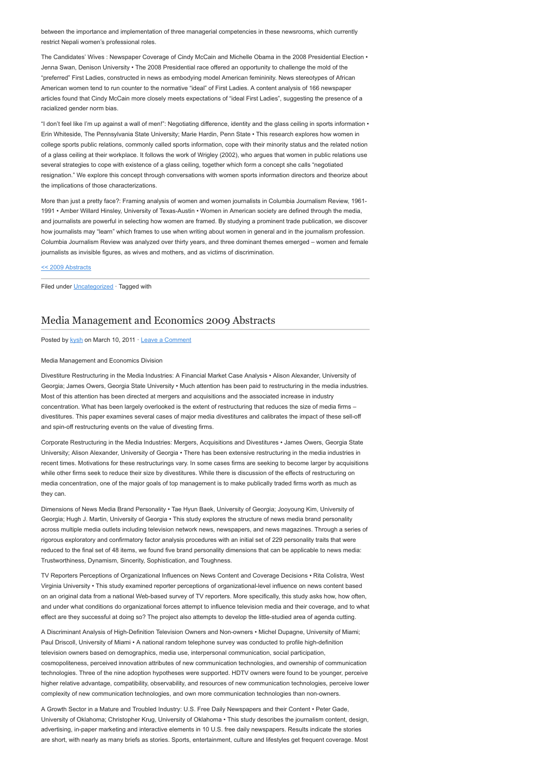between the importance and implementation of three managerial competencies in these newsrooms, which currently restrict Nepali women's professional roles.

The Candidates' Wives : Newspaper Coverage of Cindy McCain and Michelle Obama in the 2008 Presidential Election • Jenna Swan, Denison University • The 2008 Presidential race offered an opportunity to challenge the mold of the "preferred" First Ladies, constructed in news as embodying model American femininity. News stereotypes of African American women tend to run counter to the normative "ideal" of First Ladies. A content analysis of 166 newspaper articles found that Cindy McCain more closely meets expectations of "ideal First Ladies", suggesting the presence of a racialized gender norm bias.

"I don't feel like I'm up against a wall of men!": Negotiating difference, identity and the glass ceiling in sports information • Erin Whiteside, The Pennsylvania State University; Marie Hardin, Penn State • This research explores how women in college sports public relations, commonly called sports information, cope with their minority status and the related notion of a glass ceiling at their workplace. It follows the work of Wrigley (2002), who argues that women in public relations use several strategies to cope with existence of a glass ceiling, together which form a concept she calls "negotiated resignation." We explore this concept through conversations with women sports information directors and theorize about the implications of those characterizations.

More than just a pretty face?: Framing analysis of women and women journalists in Columbia Journalism Review, 1961- 1991 • Amber Willard Hinsley, University of Texas-Austin • Women in American society are defined through the media, and journalists are powerful in selecting how women are framed. By studying a prominent trade publication, we discover how journalists may "learn" which frames to use when writing about women in general and in the journalism profession. Columbia Journalism Review was analyzed over thirty years, and three dominant themes emerged – women and female journalists as invisible figures, as wives and mothers, and as victims of discrimination.

## [<< 2009 Abstracts](http://www.aejmc.org/2011/03/2009-abstracts/)

Filed under [Uncategorized](http://www.aejmc.org/home/category/uncategorized/) · Tagged with

# [Media Management and Economics 2009 Abstracts](http://www.aejmc.org/home/2011/03/mme-2009-abstracts/)

Posted by [kysh](http://www.aejmc.org/home/author/kyshiab/) on March 10, 2011 · [Leave a Comment](http://www.aejmc.org/home/2011/03/mme-2009-abstracts/#respond)

# Media Management and Economics Division

Divestiture Restructuring in the Media Industries: A Financial Market Case Analysis • Alison Alexander, University of Georgia; James Owers, Georgia State University • Much attention has been paid to restructuring in the media industries. Most of this attention has been directed at mergers and acquisitions and the associated increase in industry concentration. What has been largely overlooked is the extent of restructuring that reduces the size of media firms – divestitures. This paper examines several cases of major media divestitures and calibrates the impact of these sell-off and spin-off restructuring events on the value of divesting firms.

Corporate Restructuring in the Media Industries: Mergers, Acquisitions and Divestitures • James Owers, Georgia State University; Alison Alexander, University of Georgia • There has been extensive restructuring in the media industries in recent times. Motivations for these restructurings vary. In some cases firms are seeking to become larger by acquisitions while other firms seek to reduce their size by divestitures. While there is discussion of the effects of restructuring on media concentration, one of the major goals of top management is to make publically traded firms worth as much as they can.

Dimensions of News Media Brand Personality • Tae Hyun Baek, University of Georgia; Jooyoung Kim, University of Georgia; Hugh J. Martin, University of Georgia • This study explores the structure of news media brand personality across multiple media outlets including television network news, newspapers, and news magazines. Through a series of rigorous exploratory and confirmatory factor analysis procedures with an initial set of 229 personality traits that were reduced to the final set of 48 items, we found five brand personality dimensions that can be applicable to news media: Trustworthiness, Dynamism, Sincerity, Sophistication, and Toughness.

TV Reporters Perceptions of Organizational Influences on News Content and Coverage Decisions • Rita Colistra, West Virginia University • This study examined reporter perceptions of organizational-level influence on news content based on an original data from a national Web-based survey of TV reporters. More specifically, this study asks how, how often, and under what conditions do organizational forces attempt to influence television media and their coverage, and to what effect are they successful at doing so? The project also attempts to develop the little-studied area of agenda cutting.

A Discriminant Analysis of High-Definition Television Owners and Non-owners • Michel Dupagne, University of Miami; Paul Driscoll, University of Miami • A national random telephone survey was conducted to profile high-definition television owners based on demographics, media use, interpersonal communication, social participation, cosmopoliteness, perceived innovation attributes of new communication technologies, and ownership of communication technologies. Three of the nine adoption hypotheses were supported. HDTV owners were found to be younger, perceive higher relative advantage, compatibility, observability, and resources of new communication technologies, perceive lower complexity of new communication technologies, and own more communication technologies than non-owners.

A Growth Sector in a Mature and Troubled Industry: U.S. Free Daily Newspapers and their Content • Peter Gade, University of Oklahoma; Christopher Krug, University of Oklahoma • This study describes the journalism content, design, advertising, in-paper marketing and interactive elements in 10 U.S. free daily newspapers. Results indicate the stories are short, with nearly as many briefs as stories. Sports, entertainment, culture and lifestyles get frequent coverage. Most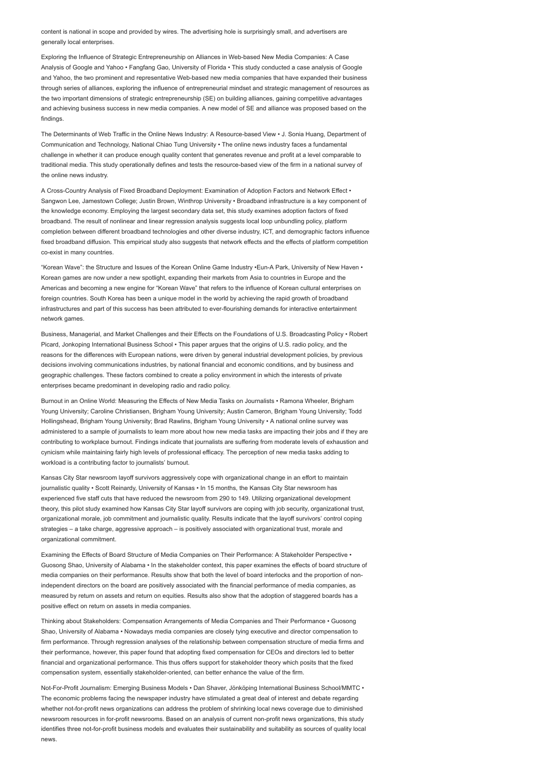content is national in scope and provided by wires. The advertising hole is surprisingly small, and advertisers are generally local enterprises.

Exploring the Influence of Strategic Entrepreneurship on Alliances in Web-based New Media Companies: A Case Analysis of Google and Yahoo • Fangfang Gao, University of Florida • This study conducted a case analysis of Google and Yahoo, the two prominent and representative Web-based new media companies that have expanded their business through series of alliances, exploring the influence of entrepreneurial mindset and strategic management of resources as the two important dimensions of strategic entrepreneurship (SE) on building alliances, gaining competitive advantages and achieving business success in new media companies. A new model of SE and alliance was proposed based on the findings.

The Determinants of Web Traffic in the Online News Industry: A Resource-based View • J. Sonia Huang, Department of Communication and Technology, National Chiao Tung University • The online news industry faces a fundamental challenge in whether it can produce enough quality content that generates revenue and profit at a level comparable to traditional media. This study operationally defines and tests the resource-based view of the firm in a national survey of the online news industry.

A Cross-Country Analysis of Fixed Broadband Deployment: Examination of Adoption Factors and Network Effect • Sangwon Lee, Jamestown College; Justin Brown, Winthrop University • Broadband infrastructure is a key component of the knowledge economy. Employing the largest secondary data set, this study examines adoption factors of fixed broadband. The result of nonlinear and linear regression analysis suggests local loop unbundling policy, platform completion between different broadband technologies and other diverse industry, ICT, and demographic factors influence fixed broadband diffusion. This empirical study also suggests that network effects and the effects of platform competition co-exist in many countries.

"Korean Wave": the Structure and Issues of the Korean Online Game Industry •Eun-A Park, University of New Haven • Korean games are now under a new spotlight, expanding their markets from Asia to countries in Europe and the Americas and becoming a new engine for "Korean Wave" that refers to the influence of Korean cultural enterprises on foreign countries. South Korea has been a unique model in the world by achieving the rapid growth of broadband infrastructures and part of this success has been attributed to ever-flourishing demands for interactive entertainment network games.

Business, Managerial, and Market Challenges and their Effects on the Foundations of U.S. Broadcasting Policy • Robert Picard, Jonkoping International Business School • This paper argues that the origins of U.S. radio policy, and the reasons for the differences with European nations, were driven by general industrial development policies, by previous decisions involving communications industries, by national financial and economic conditions, and by business and geographic challenges. These factors combined to create a policy environment in which the interests of private enterprises became predominant in developing radio and radio policy.

Burnout in an Online World: Measuring the Effects of New Media Tasks on Journalists • Ramona Wheeler, Brigham Young University; Caroline Christiansen, Brigham Young University; Austin Cameron, Brigham Young University; Todd Hollingshead, Brigham Young University; Brad Rawlins, Brigham Young University • A national online survey was administered to a sample of journalists to learn more about how new media tasks are impacting their jobs and if they are contributing to workplace burnout. Findings indicate that journalists are suffering from moderate levels of exhaustion and cynicism while maintaining fairly high levels of professional efficacy. The perception of new media tasks adding to workload is a contributing factor to journalists' burnout.

Kansas City Star newsroom layoff survivors aggressively cope with organizational change in an effort to maintain journalistic quality • Scott Reinardy, University of Kansas • In 15 months, the Kansas City Star newsroom has experienced five staff cuts that have reduced the newsroom from 290 to 149. Utilizing organizational development theory, this pilot study examined how Kansas City Star layoff survivors are coping with job security, organizational trust, organizational morale, job commitment and journalistic quality. Results indicate that the layoff survivors' control coping strategies – a take charge, aggressive approach – is positively associated with organizational trust, morale and organizational commitment.

Examining the Effects of Board Structure of Media Companies on Their Performance: A Stakeholder Perspective • Guosong Shao, University of Alabama • In the stakeholder context, this paper examines the effects of board structure of media companies on their performance. Results show that both the level of board interlocks and the proportion of nonindependent directors on the board are positively associated with the financial performance of media companies, as measured by return on assets and return on equities. Results also show that the adoption of staggered boards has a positive effect on return on assets in media companies.

Thinking about Stakeholders: Compensation Arrangements of Media Companies and Their Performance • Guosong Shao, University of Alabama • Nowadays media companies are closely tying executive and director compensation to firm performance. Through regression analyses of the relationship between compensation structure of media firms and their performance, however, this paper found that adopting fixed compensation for CEOs and directors led to better financial and organizational performance. This thus offers support for stakeholder theory which posits that the fixed compensation system, essentially stakeholder-oriented, can better enhance the value of the firm.

Not-For-Profit Journalism: Emerging Business Models • Dan Shaver, Jönköping International Business School/MMTC • The economic problems facing the newspaper industry have stimulated a great deal of interest and debate regarding whether not-for-profit news organizations can address the problem of shrinking local news coverage due to diminished newsroom resources in for-profit newsrooms. Based on an analysis of current non-profit news organizations, this study identifies three not-for-profit business models and evaluates their sustainability and suitability as sources of quality local news.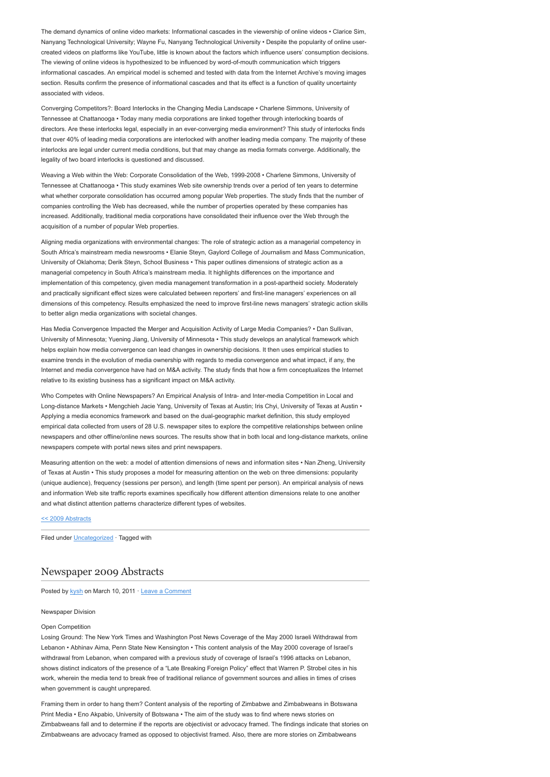The demand dynamics of online video markets: Informational cascades in the viewership of online videos • Clarice Sim, Nanyang Technological University; Wayne Fu, Nanyang Technological University • Despite the popularity of online usercreated videos on platforms like YouTube, little is known about the factors which influence users' consumption decisions. The viewing of online videos is hypothesized to be influenced by word-of-mouth communication which triggers informational cascades. An empirical model is schemed and tested with data from the Internet Archive's moving images section. Results confirm the presence of informational cascades and that its effect is a function of quality uncertainty associated with videos.

Converging Competitors?: Board Interlocks in the Changing Media Landscape • Charlene Simmons, University of Tennessee at Chattanooga • Today many media corporations are linked together through interlocking boards of directors. Are these interlocks legal, especially in an ever-converging media environment? This study of interlocks finds that over 40% of leading media corporations are interlocked with another leading media company. The majority of these interlocks are legal under current media conditions, but that may change as media formats converge. Additionally, the legality of two board interlocks is questioned and discussed.

Weaving a Web within the Web: Corporate Consolidation of the Web, 1999-2008 • Charlene Simmons, University of Tennessee at Chattanooga • This study examines Web site ownership trends over a period of ten years to determine what whether corporate consolidation has occurred among popular Web properties. The study finds that the number of companies controlling the Web has decreased, while the number of properties operated by these companies has increased. Additionally, traditional media corporations have consolidated their influence over the Web through the acquisition of a number of popular Web properties.

Aligning media organizations with environmental changes: The role of strategic action as a managerial competency in South Africa's mainstream media newsrooms • Elanie Steyn, Gaylord College of Journalism and Mass Communication, University of Oklahoma; Derik Steyn, School Business • This paper outlines dimensions of strategic action as a managerial competency in South Africa's mainstream media. It highlights differences on the importance and implementation of this competency, given media management transformation in a post-apartheid society. Moderately and practically significant effect sizes were calculated between reporters' and first-line managers' experiences on all dimensions of this competency. Results emphasized the need to improve first-line news managers' strategic action skills to better align media organizations with societal changes.

Has Media Convergence Impacted the Merger and Acquisition Activity of Large Media Companies? • Dan Sullivan, University of Minnesota; Yuening Jiang, University of Minnesota • This study develops an analytical framework which helps explain how media convergence can lead changes in ownership decisions. It then uses empirical studies to examine trends in the evolution of media ownership with regards to media convergence and what impact, if any, the Internet and media convergence have had on M&A activity. The study finds that how a firm conceptualizes the Internet relative to its existing business has a significant impact on M&A activity.

Who Competes with Online Newspapers? An Empirical Analysis of Intra- and Inter-media Competition in Local and Long-distance Markets • Mengchieh Jacie Yang, University of Texas at Austin; Iris Chyi, University of Texas at Austin • Applying a media economics framework and based on the dual-geographic market definition, this study employed empirical data collected from users of 28 U.S. newspaper sites to explore the competitive relationships between online newspapers and other offline/online news sources. The results show that in both local and long-distance markets, online newspapers compete with portal news sites and print newspapers.

Measuring attention on the web: a model of attention dimensions of news and information sites • Nan Zheng, University of Texas at Austin • This study proposes a model for measuring attention on the web on three dimensions: popularity (unique audience), frequency (sessions per person), and length (time spent per person). An empirical analysis of news and information Web site traffic reports examines specifically how different attention dimensions relate to one another and what distinct attention patterns characterize different types of websites.

[<< 2009 Abstracts](http://www.aejmc.org/2011/03/2009-abstracts/)

Filed under [Uncategorized](http://www.aejmc.org/home/category/uncategorized/) · Tagged with

# [Newspaper 2009 Abstracts](http://www.aejmc.org/home/2011/03/news-2009-abstracts/)

Posted by [kysh](http://www.aejmc.org/home/author/kyshiab/) on March 10, 2011 · [Leave a Comment](http://www.aejmc.org/home/2011/03/news-2009-abstracts/#respond)

#### Newspaper Division

#### Open Competition

Losing Ground: The New York Times and Washington Post News Coverage of the May 2000 Israeli Withdrawal from Lebanon • Abhinav Aima, Penn State New Kensington • This content analysis of the May 2000 coverage of Israel's withdrawal from Lebanon, when compared with a previous study of coverage of Israel's 1996 attacks on Lebanon, shows distinct indicators of the presence of a "Late Breaking Foreign Policy" effect that Warren P. Strobel cites in his work, wherein the media tend to break free of traditional reliance of government sources and allies in times of crises when government is caught unprepared.

Framing them in order to hang them? Content analysis of the reporting of Zimbabwe and Zimbabweans in Botswana Print Media • Eno Akpabio, University of Botswana • The aim of the study was to find where news stories on Zimbabweans fall and to determine if the reports are objectivist or advocacy framed. The findings indicate that stories on Zimbabweans are advocacy framed as opposed to objectivist framed. Also, there are more stories on Zimbabweans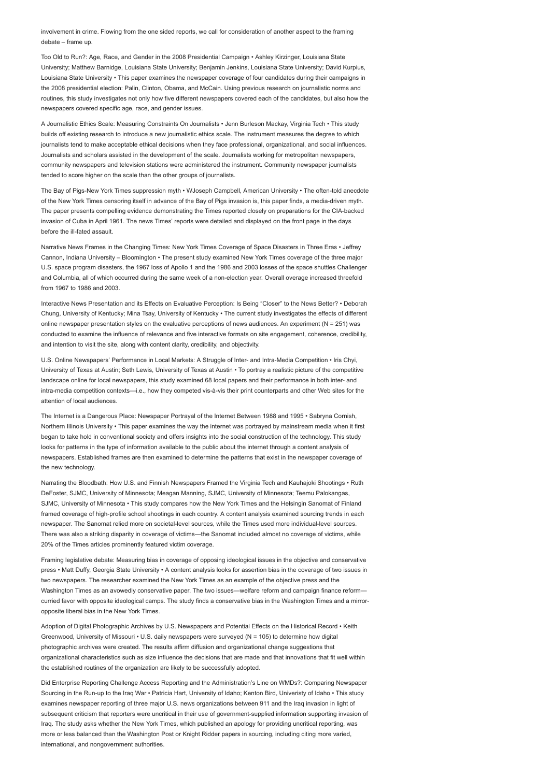involvement in crime. Flowing from the one sided reports, we call for consideration of another aspect to the framing debate – frame up.

Too Old to Run?: Age, Race, and Gender in the 2008 Presidential Campaign • Ashley Kirzinger, Louisiana State University; Matthew Barnidge, Louisiana State University; Benjamin Jenkins, Louisiana State University; David Kurpius, Louisiana State University • This paper examines the newspaper coverage of four candidates during their campaigns in the 2008 presidential election: Palin, Clinton, Obama, and McCain. Using previous research on journalistic norms and routines, this study investigates not only how five different newspapers covered each of the candidates, but also how the newspapers covered specific age, race, and gender issues.

A Journalistic Ethics Scale: Measuring Constraints On Journalists • Jenn Burleson Mackay, Virginia Tech • This study builds off existing research to introduce a new journalistic ethics scale. The instrument measures the degree to which journalists tend to make acceptable ethical decisions when they face professional, organizational, and social influences. Journalists and scholars assisted in the development of the scale. Journalists working for metropolitan newspapers, community newspapers and television stations were administered the instrument. Community newspaper journalists tended to score higher on the scale than the other groups of journalists.

The Bay of Pigs-New York Times suppression myth • WJoseph Campbell, American University • The often-told anecdote of the New York Times censoring itself in advance of the Bay of Pigs invasion is, this paper finds, a media-driven myth. The paper presents compelling evidence demonstrating the Times reported closely on preparations for the CIA-backed invasion of Cuba in April 1961. The news Times' reports were detailed and displayed on the front page in the days before the ill-fated assault.

Narrative News Frames in the Changing Times: New York Times Coverage of Space Disasters in Three Eras • Jeffrey Cannon, Indiana University – Bloomington • The present study examined New York Times coverage of the three major U.S. space program disasters, the 1967 loss of Apollo 1 and the 1986 and 2003 losses of the space shuttles Challenger and Columbia, all of which occurred during the same week of a non-election year. Overall overage increased threefold from 1967 to 1986 and 2003.

Interactive News Presentation and its Effects on Evaluative Perception: Is Being "Closer" to the News Better? • Deborah Chung, University of Kentucky; Mina Tsay, University of Kentucky • The current study investigates the effects of different online newspaper presentation styles on the evaluative perceptions of news audiences. An experiment ( $N = 251$ ) was conducted to examine the influence of relevance and five interactive formats on site engagement, coherence, credibility, and intention to visit the site, along with content clarity, credibility, and objectivity.

U.S. Online Newspapers' Performance in Local Markets: A Struggle of Inter- and Intra-Media Competition • Iris Chyi, University of Texas at Austin; Seth Lewis, University of Texas at Austin • To portray a realistic picture of the competitive landscape online for local newspapers, this study examined 68 local papers and their performance in both inter- and intra-media competition contexts—i.e., how they competed vis-à-vis their print counterparts and other Web sites for the attention of local audiences.

The Internet is a Dangerous Place: Newspaper Portrayal of the Internet Between 1988 and 1995 • Sabryna Cornish, Northern Illinois University • This paper examines the way the internet was portrayed by mainstream media when it first began to take hold in conventional society and offers insights into the social construction of the technology. This study looks for patterns in the type of information available to the public about the internet through a content analysis of newspapers. Established frames are then examined to determine the patterns that exist in the newspaper coverage of the new technology.

Narrating the Bloodbath: How U.S. and Finnish Newspapers Framed the Virginia Tech and Kauhajoki Shootings • Ruth DeFoster, SJMC, University of Minnesota; Meagan Manning, SJMC, University of Minnesota; Teemu Palokangas, SJMC, University of Minnesota • This study compares how the New York Times and the Helsingin Sanomat of Finland framed coverage of high-profile school shootings in each country. A content analysis examined sourcing trends in each newspaper. The Sanomat relied more on societal-level sources, while the Times used more individual-level sources. There was also a striking disparity in coverage of victims—the Sanomat included almost no coverage of victims, while 20% of the Times articles prominently featured victim coverage.

Framing legislative debate: Measuring bias in coverage of opposing ideological issues in the objective and conservative press • Matt Duffy, Georgia State University • A content analysis looks for assertion bias in the coverage of two issues in two newspapers. The researcher examined the New York Times as an example of the objective press and the Washington Times as an avowedly conservative paper. The two issues—welfare reform and campaign finance reform curried favor with opposite ideological camps. The study finds a conservative bias in the Washington Times and a mirroropposite liberal bias in the New York Times.

Adoption of Digital Photographic Archives by U.S. Newspapers and Potential Effects on the Historical Record • Keith Greenwood, University of Missouri • U.S. daily newspapers were surveyed (N = 105) to determine how digital photographic archives were created. The results affirm diffusion and organizational change suggestions that organizational characteristics such as size influence the decisions that are made and that innovations that fit well within the established routines of the organization are likely to be successfully adopted.

Did Enterprise Reporting Challenge Access Reporting and the Administration's Line on WMDs?: Comparing Newspaper Sourcing in the Run-up to the Iraq War • Patricia Hart, University of Idaho; Kenton Bird, Univeristy of Idaho • This study examines newspaper reporting of three major U.S. news organizations between 911 and the Iraq invasion in light of subsequent criticism that reporters were uncritical in their use of government-supplied information supporting invasion of Iraq. The study asks whether the New York Times, which published an apology for providing uncritical reporting, was more or less balanced than the Washington Post or Knight Ridder papers in sourcing, including citing more varied, international, and nongovernment authorities.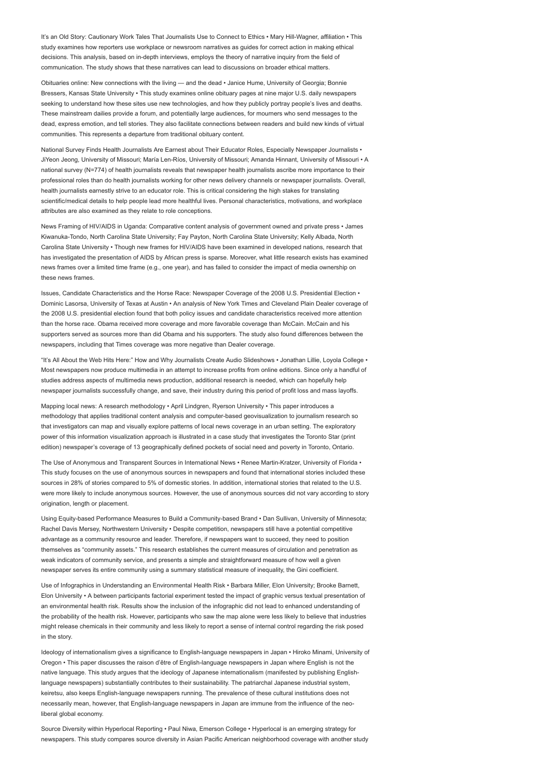It's an Old Story: Cautionary Work Tales That Journalists Use to Connect to Ethics • Mary Hill-Wagner, affiliation • This study examines how reporters use workplace or newsroom narratives as guides for correct action in making ethical decisions. This analysis, based on in-depth interviews, employs the theory of narrative inquiry from the field of communication. The study shows that these narratives can lead to discussions on broader ethical matters.

Obituaries online: New connections with the living — and the dead • Janice Hume, University of Georgia; Bonnie Bressers, Kansas State University • This study examines online obituary pages at nine major U.S. daily newspapers seeking to understand how these sites use new technologies, and how they publicly portray people's lives and deaths. These mainstream dailies provide a forum, and potentially large audiences, for mourners who send messages to the dead, express emotion, and tell stories. They also facilitate connections between readers and build new kinds of virtual communities. This represents a departure from traditional obituary content.

National Survey Finds Health Journalists Are Earnest about Their Educator Roles, Especially Newspaper Journalists • JiYeon Jeong, University of Missouri; María Len-Ríos, University of Missouri; Amanda Hinnant, University of Missouri • A national survey (N=774) of health journalists reveals that newspaper health journalists ascribe more importance to their professional roles than do health journalists working for other news delivery channels or newspaper journalists. Overall, health journalists earnestly strive to an educator role. This is critical considering the high stakes for translating scientific/medical details to help people lead more healthful lives. Personal characteristics, motivations, and workplace attributes are also examined as they relate to role conceptions.

News Framing of HIV/AIDS in Uganda: Comparative content analysis of government owned and private press • James Kiwanuka-Tondo, North Carolina State University; Fay Payton, North Carolina State University; Kelly Albada, North Carolina State University • Though new frames for HIV/AIDS have been examined in developed nations, research that has investigated the presentation of AIDS by African press is sparse. Moreover, what little research exists has examined news frames over a limited time frame (e.g., one year), and has failed to consider the impact of media ownership on these news frames.

Issues, Candidate Characteristics and the Horse Race: Newspaper Coverage of the 2008 U.S. Presidential Election • Dominic Lasorsa, University of Texas at Austin • An analysis of New York Times and Cleveland Plain Dealer coverage of the 2008 U.S. presidential election found that both policy issues and candidate characteristics received more attention than the horse race. Obama received more coverage and more favorable coverage than McCain. McCain and his supporters served as sources more than did Obama and his supporters. The study also found differences between the newspapers, including that Times coverage was more negative than Dealer coverage.

"It's All About the Web Hits Here:" How and Why Journalists Create Audio Slideshows • Jonathan Lillie, Loyola College • Most newspapers now produce multimedia in an attempt to increase profits from online editions. Since only a handful of studies address aspects of multimedia news production, additional research is needed, which can hopefully help newspaper journalists successfully change, and save, their industry during this period of profit loss and mass layoffs.

Mapping local news: A research methodology • April Lindgren, Ryerson University • This paper introduces a methodology that applies traditional content analysis and computer-based geovisualization to journalism research so that investigators can map and visually explore patterns of local news coverage in an urban setting. The exploratory power of this information visualization approach is illustrated in a case study that investigates the Toronto Star (print edition) newspaper's coverage of 13 geographically defined pockets of social need and poverty in Toronto, Ontario.

The Use of Anonymous and Transparent Sources in International News • Renee Martin-Kratzer, University of Florida • This study focuses on the use of anonymous sources in newspapers and found that international stories included these sources in 28% of stories compared to 5% of domestic stories. In addition, international stories that related to the U.S. were more likely to include anonymous sources. However, the use of anonymous sources did not vary according to story origination, length or placement.

Using Equity-based Performance Measures to Build a Community-based Brand • Dan Sullivan, University of Minnesota; Rachel Davis Mersey, Northwestern University • Despite competition, newspapers still have a potential competitive advantage as a community resource and leader. Therefore, if newspapers want to succeed, they need to position themselves as "community assets." This research establishes the current measures of circulation and penetration as weak indicators of community service, and presents a simple and straightforward measure of how well a given newspaper serves its entire community using a summary statistical measure of inequality, the Gini coefficient.

Use of Infographics in Understanding an Environmental Health Risk • Barbara Miller, Elon University; Brooke Barnett, Elon University • A between participants factorial experiment tested the impact of graphic versus textual presentation of an environmental health risk. Results show the inclusion of the infographic did not lead to enhanced understanding of the probability of the health risk. However, participants who saw the map alone were less likely to believe that industries might release chemicals in their community and less likely to report a sense of internal control regarding the risk posed in the story.

Ideology of internationalism gives a significance to English-language newspapers in Japan • Hiroko Minami, University of Oregon • This paper discusses the raison d'être of English-language newspapers in Japan where English is not the native language. This study argues that the ideology of Japanese internationalism (manifested by publishing Englishlanguage newspapers) substantially contributes to their sustainability. The patriarchal Japanese industrial system, keiretsu, also keeps English-language newspapers running. The prevalence of these cultural institutions does not necessarily mean, however, that English-language newspapers in Japan are immune from the influence of the neoliberal global economy.

Source Diversity within Hyperlocal Reporting • Paul Niwa, Emerson College • Hyperlocal is an emerging strategy for newspapers. This study compares source diversity in Asian Pacific American neighborhood coverage with another study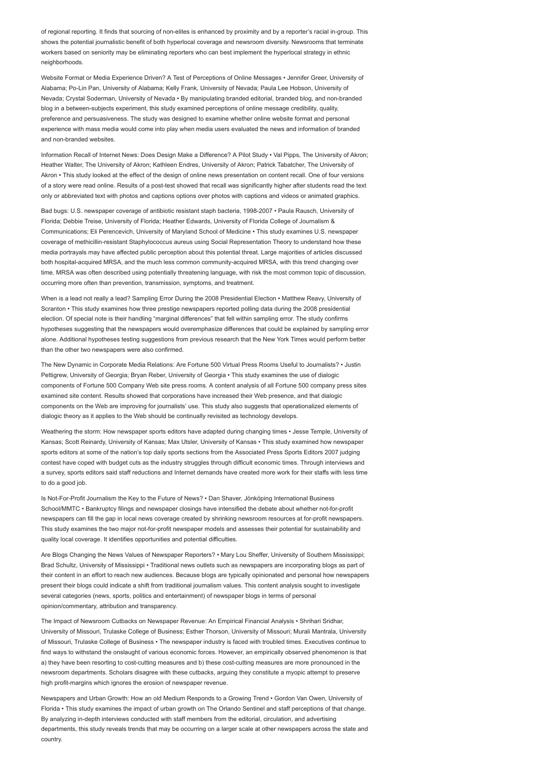of regional reporting. It finds that sourcing of non-elites is enhanced by proximity and by a reporter's racial in-group. This shows the potential journalistic benefit of both hyperlocal coverage and newsroom diversity. Newsrooms that terminate workers based on seniority may be eliminating reporters who can best implement the hyperlocal strategy in ethnic neighborhoods.

Website Format or Media Experience Driven? A Test of Perceptions of Online Messages • Jennifer Greer, University of Alabama; Po-Lin Pan, University of Alabama; Kelly Frank, University of Nevada; Paula Lee Hobson, University of Nevada; Crystal Soderman, University of Nevada • By manipulating branded editorial, branded blog, and non-branded blog in a between-subjects experiment, this study examined perceptions of online message credibility, quality, preference and persuasiveness. The study was designed to examine whether online website format and personal experience with mass media would come into play when media users evaluated the news and information of branded and non-branded websites.

Information Recall of Internet News: Does Design Make a Difference? A Pilot Study • Val Pipps, The University of Akron; Heather Walter, The University of Akron; Kathleen Endres, University of Akron; Patrick Tabatcher, The University of Akron • This study looked at the effect of the design of online news presentation on content recall. One of four versions of a story were read online. Results of a post-test showed that recall was significantly higher after students read the text only or abbreviated text with photos and captions options over photos with captions and videos or animated graphics.

Bad bugs: U.S. newspaper coverage of antibiotic resistant staph bacteria, 1998-2007 • Paula Rausch, University of Florida; Debbie Treise, University of Florida; Heather Edwards, University of Florida College of Journalism & Communications; Eli Perencevich, University of Maryland School of Medicine • This study examines U.S. newspaper coverage of methicillin-resistant Staphylococcus aureus using Social Representation Theory to understand how these media portrayals may have affected public perception about this potential threat. Large majorities of articles discussed both hospital-acquired MRSA, and the much less common community-acquired MRSA, with this trend changing over time. MRSA was often described using potentially threatening language, with risk the most common topic of discussion, occurring more often than prevention, transmission, symptoms, and treatment.

When is a lead not really a lead? Sampling Error During the 2008 Presidential Election • Matthew Reavy, University of Scranton • This study examines how three prestige newspapers reported polling data during the 2008 presidential election. Of special note is their handling "marginal differences" that fell within sampling error. The study confirms hypotheses suggesting that the newspapers would overemphasize differences that could be explained by sampling error alone. Additional hypotheses testing suggestions from previous research that the New York Times would perform better than the other two newspapers were also confirmed.

The New Dynamic in Corporate Media Relations: Are Fortune 500 Virtual Press Rooms Useful to Journalists? • Justin Pettigrew, University of Georgia; Bryan Reber, University of Georgia • This study examines the use of dialogic components of Fortune 500 Company Web site press rooms. A content analysis of all Fortune 500 company press sites examined site content. Results showed that corporations have increased their Web presence, and that dialogic components on the Web are improving for journalists' use. This study also suggests that operationalized elements of dialogic theory as it applies to the Web should be continually revisited as technology develops.

Weathering the storm: How newspaper sports editors have adapted during changing times • Jesse Temple, University of Kansas; Scott Reinardy, University of Kansas; Max Utsler, University of Kansas • This study examined how newspaper sports editors at some of the nation's top daily sports sections from the Associated Press Sports Editors 2007 judging contest have coped with budget cuts as the industry struggles through difficult economic times. Through interviews and a survey, sports editors said staff reductions and Internet demands have created more work for their staffs with less time to do a good job.

Is Not-For-Profit Journalism the Key to the Future of News? • Dan Shaver, Jönköping International Business School/MMTC • Bankruptcy filings and newspaper closings have intensified the debate about whether not-for-profit newspapers can fill the gap in local news coverage created by shrinking newsroom resources at for-profit newspapers. This study examines the two major not-for-profit newspaper models and assesses their potential for sustainability and quality local coverage. It identifies opportunities and potential difficulties.

Are Blogs Changing the News Values of Newspaper Reporters? • Mary Lou Sheffer, University of Southern Mississippi; Brad Schultz, University of Mississippi • Traditional news outlets such as newspapers are incorporating blogs as part of their content in an effort to reach new audiences. Because blogs are typically opinionated and personal how newspapers present their blogs could indicate a shift from traditional journalism values. This content analysis sought to investigate several categories (news, sports, politics and entertainment) of newspaper blogs in terms of personal opinion/commentary, attribution and transparency.

The Impact of Newsroom Cutbacks on Newspaper Revenue: An Empirical Financial Analysis • Shrihari Sridhar, University of Missouri, Trulaske College of Business; Esther Thorson, University of Missouri; Murali Mantrala, University of Missouri, Trulaske College of Business • The newspaper industry is faced with troubled times. Executives continue to find ways to withstand the onslaught of various economic forces. However, an empirically observed phenomenon is that a) they have been resorting to cost-cutting measures and b) these cost-cutting measures are more pronounced in the newsroom departments. Scholars disagree with these cutbacks, arguing they constitute a myopic attempt to preserve high profit-margins which ignores the erosion of newspaper revenue.

Newspapers and Urban Growth: How an old Medium Responds to a Growing Trend • Gordon Van Owen, University of Florida • This study examines the impact of urban growth on The Orlando Sentinel and staff perceptions of that change. By analyzing in-depth interviews conducted with staff members from the editorial, circulation, and advertising departments, this study reveals trends that may be occurring on a larger scale at other newspapers across the state and country.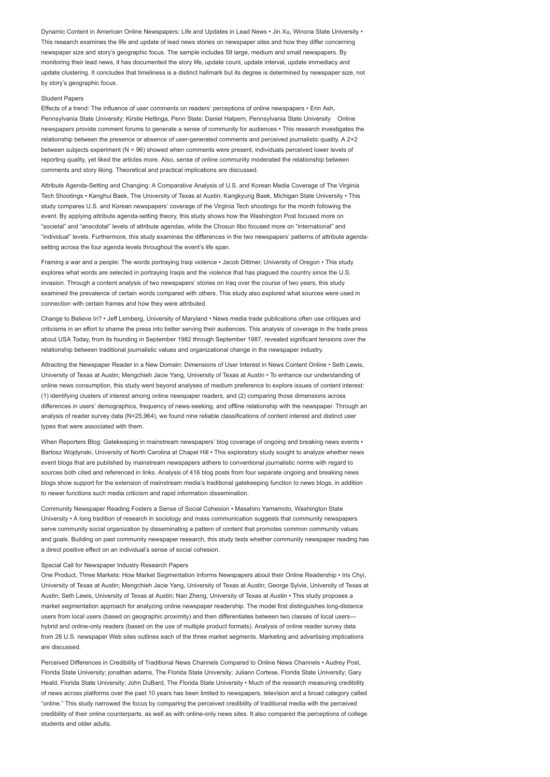Dynamic Content in American Online Newspapers: Life and Updates in Lead News • Jin Xu, Winona State University • This research examines the life and update of lead news stories on newspaper sites and how they differ concerning newspaper size and story's geographic focus. The sample includes 59 large, medium and small newspapers. By monitoring their lead news, it has documented the story life, update count, update interval, update immediacy and update clustering. It concludes that timeliness is a distinct hallmark but its degree is determined by newspaper size, not by story's geographic focus.

### Student Papers

Effects of a trend: The influence of user comments on readers' perceptions of online newspapers • Erin Ash, Pennsylvania State University; Kirstie Hettinga, Penn State; Daniel Halpern, Pennsylvania State University Online newspapers provide comment forums to generate a sense of community for audiences • This research investigates the relationship between the presence or absence of user-generated comments and perceived journalistic quality. A 2×2 between subjects experiment (N = 96) showed when comments were present, individuals perceived lower levels of reporting quality, yet liked the articles more. Also, sense of online community moderated the relationship between comments and story liking. Theoretical and practical implications are discussed.

Attribute Agenda-Setting and Changing: A Comparative Analysis of U.S. and Korean Media Coverage of The Virginia Tech Shootings • Kanghui Baek, The University of Texas at Austin; Kangkyung Baek, Michigan State University • This study compares U.S. and Korean newspapers' coverage of the Virginia Tech shootings for the month following the event. By applying attribute agenda-setting theory, this study shows how the Washington Post focused more on "societal" and "anecdotal" levels of attribute agendas, while the Chosun Ilbo focused more on "international" and "individual" levels. Furthermore, this study examines the differences in the two newspapers' patterns of attribute agendasetting across the four agenda levels throughout the event's life span.

Framing a war and a people: The words portraving Iragi violence • Jacob Dittmer, University of Oregon • This study explores what words are selected in portraying Iraqis and the violence that has plagued the country since the U.S. invasion. Through a content analysis of two newspapers' stories on Iraq over the course of two years, this study examined the prevalence of certain words compared with others. This study also explored what sources were used in connection with certain frames and how they were attributed.

Change to Believe In? • Jeff Lemberg, University of Maryland • News media trade publications often use critiques and criticisms in an effort to shame the press into better serving their audiences. This analysis of coverage in the trade press about USA Today, from its founding in September 1982 through September 1987, revealed significant tensions over the relationship between traditional journalistic values and organizational change in the newspaper industry.

Attracting the Newspaper Reader in a New Domain: Dimensions of User Interest in News Content Online • Seth Lewis, University of Texas at Austin; Mengchieh Jacie Yang, University of Texas at Austin • To enhance our understanding of online news consumption, this study went beyond analyses of medium preference to explore issues of content interest: (1) identifying clusters of interest among online newspaper readers, and (2) comparing those dimensions across differences in users' demographics, frequency of news-seeking, and offline relationship with the newspaper. Through an analysis of reader survey data (N=25,964), we found nine reliable classifications of content interest and distinct user types that were associated with them.

When Reporters Blog: Gatekeeping in mainstream newspapers' blog coverage of ongoing and breaking news events • Bartosz Wojdynski, University of North Carolina at Chapel Hill • This exploratory study sought to analyze whether news event blogs that are published by mainstream newspapers adhere to conventional journalistic norms with regard to sources both cited and referenced in links. Analysis of 416 blog posts from four separate ongoing and breaking news blogs show support for the extension of mainstream media's traditional gatekeeping function to news blogs, in addition to newer functions such media criticism and rapid information dissemination.

Community Newspaper Reading Fosters a Sense of Social Cohesion • Masahiro Yamamoto, Washington State University • A long tradition of research in sociology and mass communication suggests that community newspapers serve community social organization by disseminating a pattern of content that promotes common community values and goals. Building on past community newspaper research, this study tests whether community newspaper reading has a direct positive effect on an individual's sense of social cohesion.

#### Special Call for Newspaper Industry Research Papers

One Product, Three Markets: How Market Segmentation Informs Newspapers about their Online Readership • Iris Chyi, University of Texas at Austin; Mengchieh Jacie Yang, University of Texas at Austin; George Sylvie, University of Texas at Austin; Seth Lewis, University of Texas at Austin; Nan Zheng, University of Texas at Austin • This study proposes a market segmentation approach for analyzing online newspaper readership. The model first distinguishes long-distance users from local users (based on geographic proximity) and then differentiates between two classes of local users hybrid and online-only readers (based on the use of multiple product formats). Analysis of online reader survey data from 28 U.S. newspaper Web sites outlines each of the three market segments. Marketing and advertising implications are discussed.

Perceived Differences in Credibility of Traditional News Channels Compared to Online News Channels • Audrey Post, Florida State University; jonathan adams, The Florida State University; Juliann Cortese, Florida State University; Gary Heald, Florida State University; John DuBard, The Florida State University • Much of the research measuring credibility of news across platforms over the past 10 years has been limited to newspapers, television and a broad category called "online." This study narrowed the focus by comparing the perceived credibility of traditional media with the perceived credibility of their online counterparts, as well as with online-only news sites. It also compared the perceptions of college students and older adults.